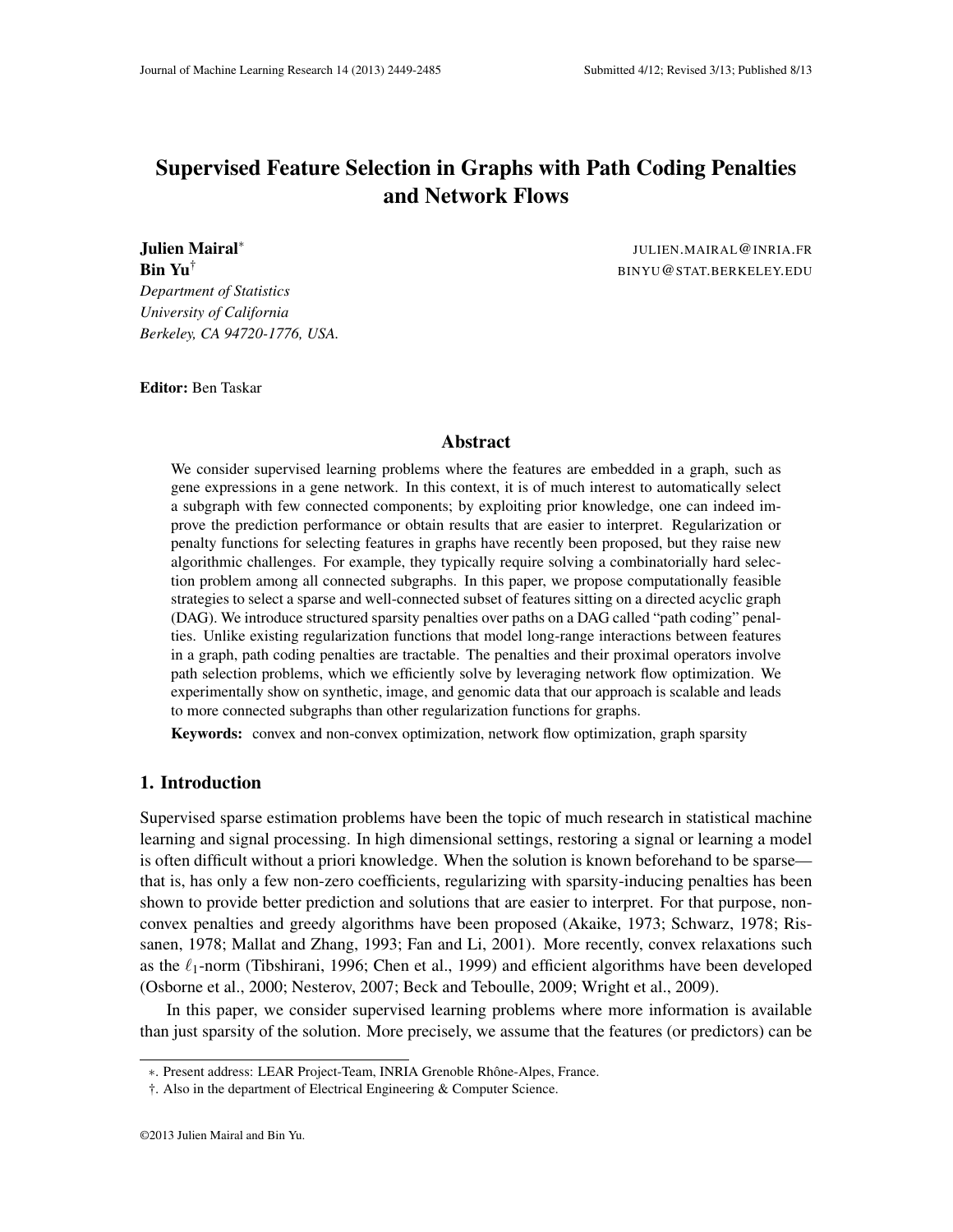# Supervised Feature Selection in Graphs with Path Coding Penalties and Network Flows

Julien Mairal<sup>∗</sup> *Department of Statistics University of California Berkeley, CA 94720-1776, USA.*

JULIEN.MAIRAL@INRIA.FR **Bin Yu**<sup>†</sup> BINYU@STAT.BERKELEY.EDU

Editor: Ben Taskar

## Abstract

We consider supervised learning problems where the features are embedded in a graph, such as gene expressions in a gene network. In this context, it is of much interest to automatically select a subgraph with few connected components; by exploiting prior knowledge, one can indeed improve the prediction performance or obtain results that are easier to interpret. Regularization or penalty functions for selecting features in graphs have recently been proposed, but they raise new algorithmic challenges. For example, they typically require solving a combinatorially hard selection problem among all connected subgraphs. In this paper, we propose computationally feasible strategies to select a sparse and well-connected subset of features sitting on a directed acyclic graph (DAG). We introduce structured sparsity penalties over paths on a DAG called "path coding" penalties. Unlike existing regularization functions that model long-range interactions between features in a graph, path coding penalties are tractable. The penalties and their proximal operators involve path selection problems, which we efficiently solve by leveraging network flow optimization. We experimentally show on synthetic, image, and genomic data that our approach is scalable and leads to more connected subgraphs than other regularization functions for graphs.

Keywords: convex and non-convex optimization, network flow optimization, graph sparsity

## 1. Introduction

Supervised sparse estimation problems have been the topic of much research in statistical machine learning and signal processing. In high dimensional settings, restoring a signal or learning a model is often difficult without a priori knowledge. When the solution is known beforehand to be sparse that is, has only a few non-zero coefficients, regularizing with sparsity-inducing penalties has been shown to provide better prediction and solutions that are easier to interpret. For that purpose, nonconvex penalties and greedy algorithms have been proposed (Akaike, 1973; Schwarz, 1978; Rissanen, 1978; Mallat and Zhang, 1993; Fan and Li, 2001). More recently, convex relaxations such as the  $\ell_1$ -norm (Tibshirani, 1996; Chen et al., 1999) and efficient algorithms have been developed (Osborne et al., 2000; Nesterov, 2007; Beck and Teboulle, 2009; Wright et al., 2009).

In this paper, we consider supervised learning problems where more information is available than just sparsity of the solution. More precisely, we assume that the features (or predictors) can be

<sup>∗</sup>. Present address: LEAR Project-Team, INRIA Grenoble Rhone-Alpes, France. ˆ

<sup>†.</sup> Also in the department of Electrical Engineering & Computer Science.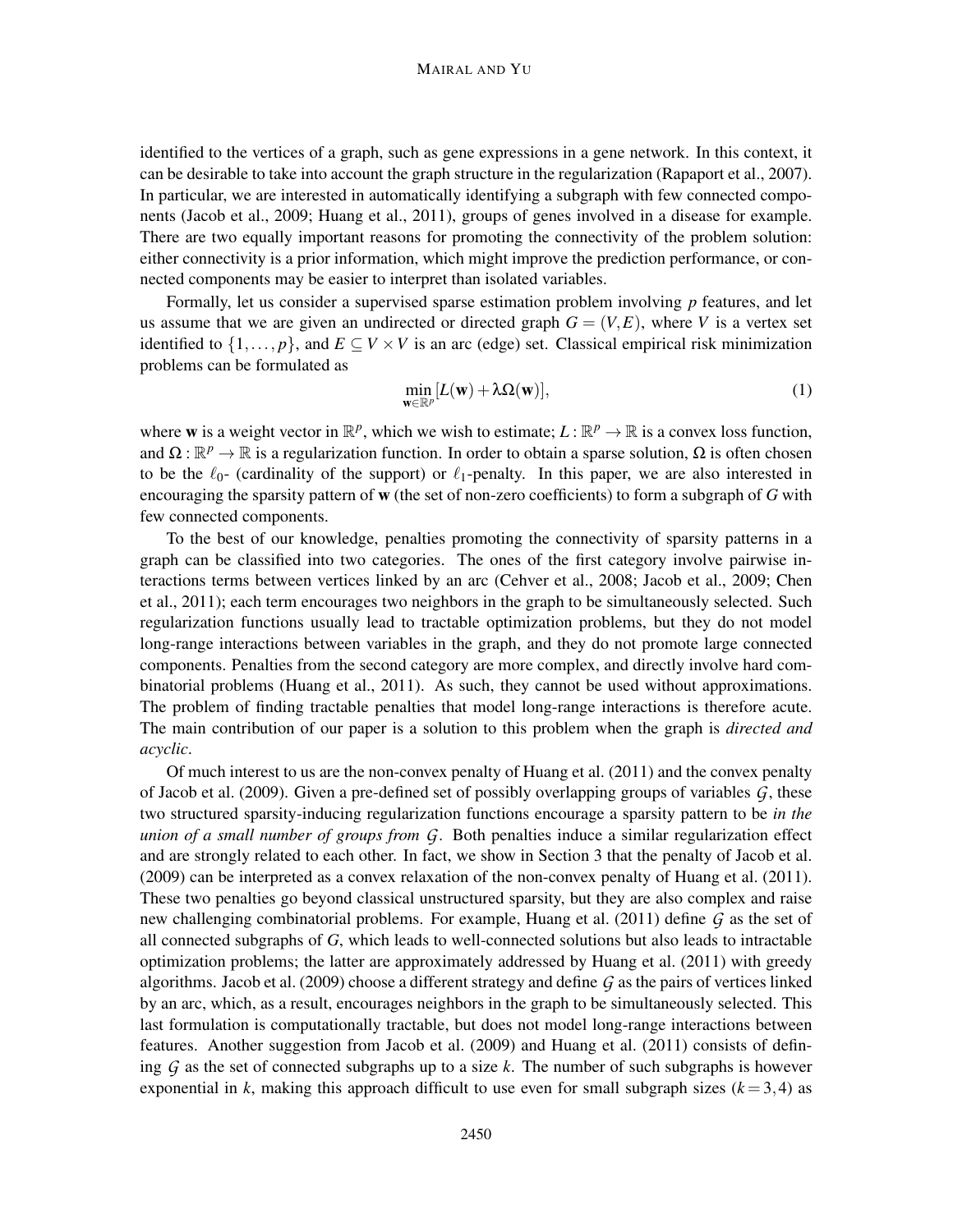#### MAIRAL AND YU

identified to the vertices of a graph, such as gene expressions in a gene network. In this context, it can be desirable to take into account the graph structure in the regularization (Rapaport et al., 2007). In particular, we are interested in automatically identifying a subgraph with few connected components (Jacob et al., 2009; Huang et al., 2011), groups of genes involved in a disease for example. There are two equally important reasons for promoting the connectivity of the problem solution: either connectivity is a prior information, which might improve the prediction performance, or connected components may be easier to interpret than isolated variables.

Formally, let us consider a supervised sparse estimation problem involving *p* features, and let us assume that we are given an undirected or directed graph  $G = (V, E)$ , where V is a vertex set identified to  $\{1,\ldots,p\}$ , and  $E\subseteq V\times V$  is an arc (edge) set. Classical empirical risk minimization problems can be formulated as

$$
\min_{\mathbf{w}\in\mathbb{R}^p} [L(\mathbf{w}) + \lambda \Omega(\mathbf{w})],\tag{1}
$$

where **w** is a weight vector in  $\mathbb{R}^p$ , which we wish to estimate;  $L : \mathbb{R}^p \to \mathbb{R}$  is a convex loss function, and  $\Omega : \mathbb{R}^p \to \mathbb{R}$  is a regularization function. In order to obtain a sparse solution,  $\Omega$  is often chosen to be the  $\ell_0$ - (cardinality of the support) or  $\ell_1$ -penalty. In this paper, we are also interested in encouraging the sparsity pattern of w (the set of non-zero coefficients) to form a subgraph of *G* with few connected components.

To the best of our knowledge, penalties promoting the connectivity of sparsity patterns in a graph can be classified into two categories. The ones of the first category involve pairwise interactions terms between vertices linked by an arc (Cehver et al., 2008; Jacob et al., 2009; Chen et al., 2011); each term encourages two neighbors in the graph to be simultaneously selected. Such regularization functions usually lead to tractable optimization problems, but they do not model long-range interactions between variables in the graph, and they do not promote large connected components. Penalties from the second category are more complex, and directly involve hard combinatorial problems (Huang et al., 2011). As such, they cannot be used without approximations. The problem of finding tractable penalties that model long-range interactions is therefore acute. The main contribution of our paper is a solution to this problem when the graph is *directed and acyclic*.

Of much interest to us are the non-convex penalty of Huang et al. (2011) and the convex penalty of Jacob et al. (2009). Given a pre-defined set of possibly overlapping groups of variables *G*, these two structured sparsity-inducing regularization functions encourage a sparsity pattern to be *in the union of a small number of groups from G*. Both penalties induce a similar regularization effect and are strongly related to each other. In fact, we show in Section 3 that the penalty of Jacob et al. (2009) can be interpreted as a convex relaxation of the non-convex penalty of Huang et al. (2011). These two penalties go beyond classical unstructured sparsity, but they are also complex and raise new challenging combinatorial problems. For example, Huang et al. (2011) define *G* as the set of all connected subgraphs of *G*, which leads to well-connected solutions but also leads to intractable optimization problems; the latter are approximately addressed by Huang et al. (2011) with greedy algorithms. Jacob et al. (2009) choose a different strategy and define *G* as the pairs of vertices linked by an arc, which, as a result, encourages neighbors in the graph to be simultaneously selected. This last formulation is computationally tractable, but does not model long-range interactions between features. Another suggestion from Jacob et al. (2009) and Huang et al. (2011) consists of defining *G* as the set of connected subgraphs up to a size *k*. The number of such subgraphs is however exponential in *k*, making this approach difficult to use even for small subgraph sizes  $(k=3,4)$  as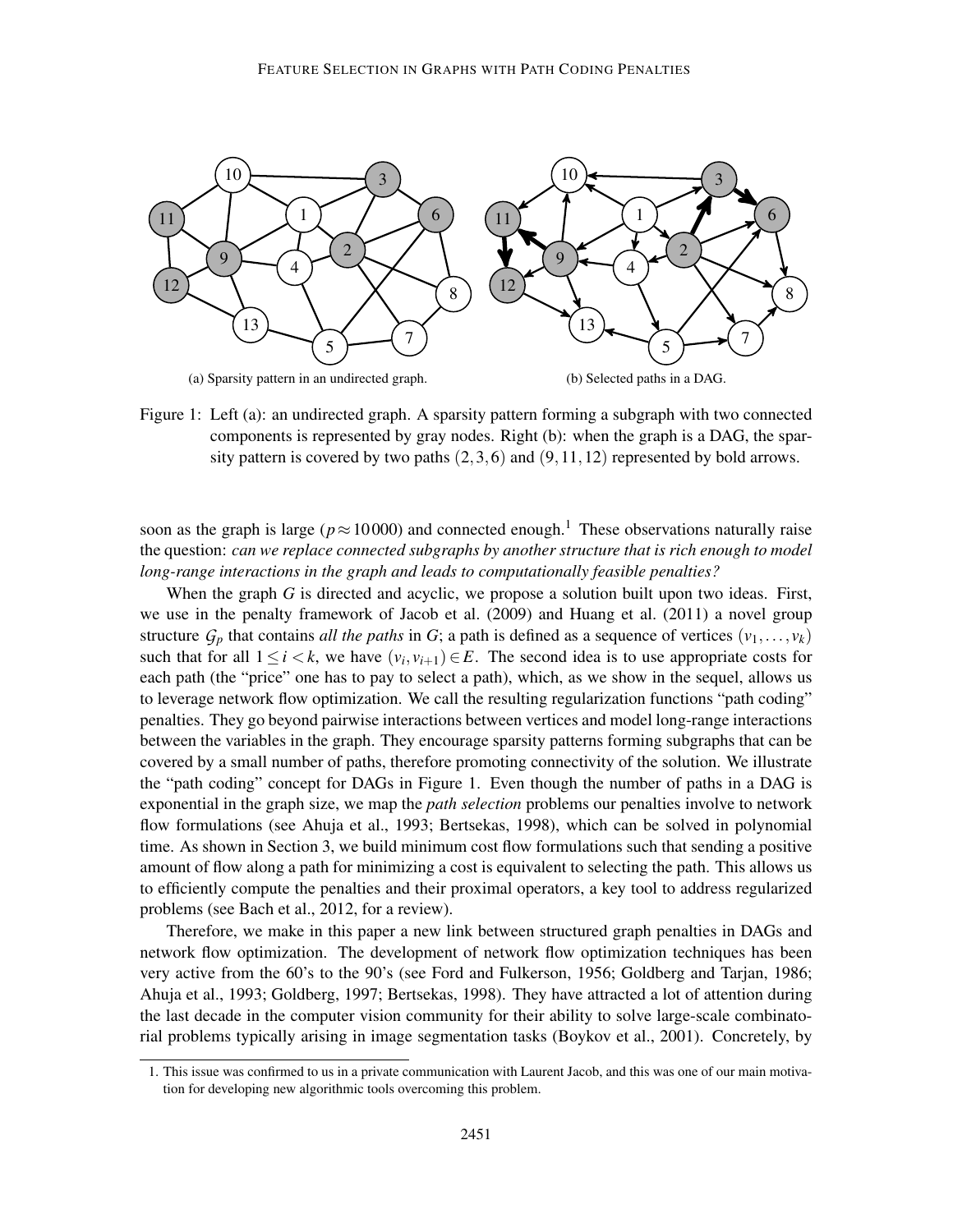

Figure 1: Left (a): an undirected graph. A sparsity pattern forming a subgraph with two connected components is represented by gray nodes. Right (b): when the graph is a DAG, the sparsity pattern is covered by two paths  $(2,3,6)$  and  $(9,11,12)$  represented by bold arrows.

soon as the graph is large ( $p \approx 10000$ ) and connected enough.<sup>1</sup> These observations naturally raise the question: *can we replace connected subgraphs by another structure that is rich enough to model long-range interactions in the graph and leads to computationally feasible penalties?*

When the graph *G* is directed and acyclic, we propose a solution built upon two ideas. First, we use in the penalty framework of Jacob et al. (2009) and Huang et al. (2011) a novel group structure  $G_p$  that contains *all the paths* in *G*; a path is defined as a sequence of vertices  $(v_1, \ldots, v_k)$ such that for all  $1 \leq i \leq k$ , we have  $(v_i, v_{i+1}) \in E$ . The second idea is to use appropriate costs for each path (the "price" one has to pay to select a path), which, as we show in the sequel, allows us to leverage network flow optimization. We call the resulting regularization functions "path coding" penalties. They go beyond pairwise interactions between vertices and model long-range interactions between the variables in the graph. They encourage sparsity patterns forming subgraphs that can be covered by a small number of paths, therefore promoting connectivity of the solution. We illustrate the "path coding" concept for DAGs in Figure 1. Even though the number of paths in a DAG is exponential in the graph size, we map the *path selection* problems our penalties involve to network flow formulations (see Ahuja et al., 1993; Bertsekas, 1998), which can be solved in polynomial time. As shown in Section 3, we build minimum cost flow formulations such that sending a positive amount of flow along a path for minimizing a cost is equivalent to selecting the path. This allows us to efficiently compute the penalties and their proximal operators, a key tool to address regularized problems (see Bach et al., 2012, for a review).

Therefore, we make in this paper a new link between structured graph penalties in DAGs and network flow optimization. The development of network flow optimization techniques has been very active from the 60's to the 90's (see Ford and Fulkerson, 1956; Goldberg and Tarjan, 1986; Ahuja et al., 1993; Goldberg, 1997; Bertsekas, 1998). They have attracted a lot of attention during the last decade in the computer vision community for their ability to solve large-scale combinatorial problems typically arising in image segmentation tasks (Boykov et al., 2001). Concretely, by

<sup>1.</sup> This issue was confirmed to us in a private communication with Laurent Jacob, and this was one of our main motivation for developing new algorithmic tools overcoming this problem.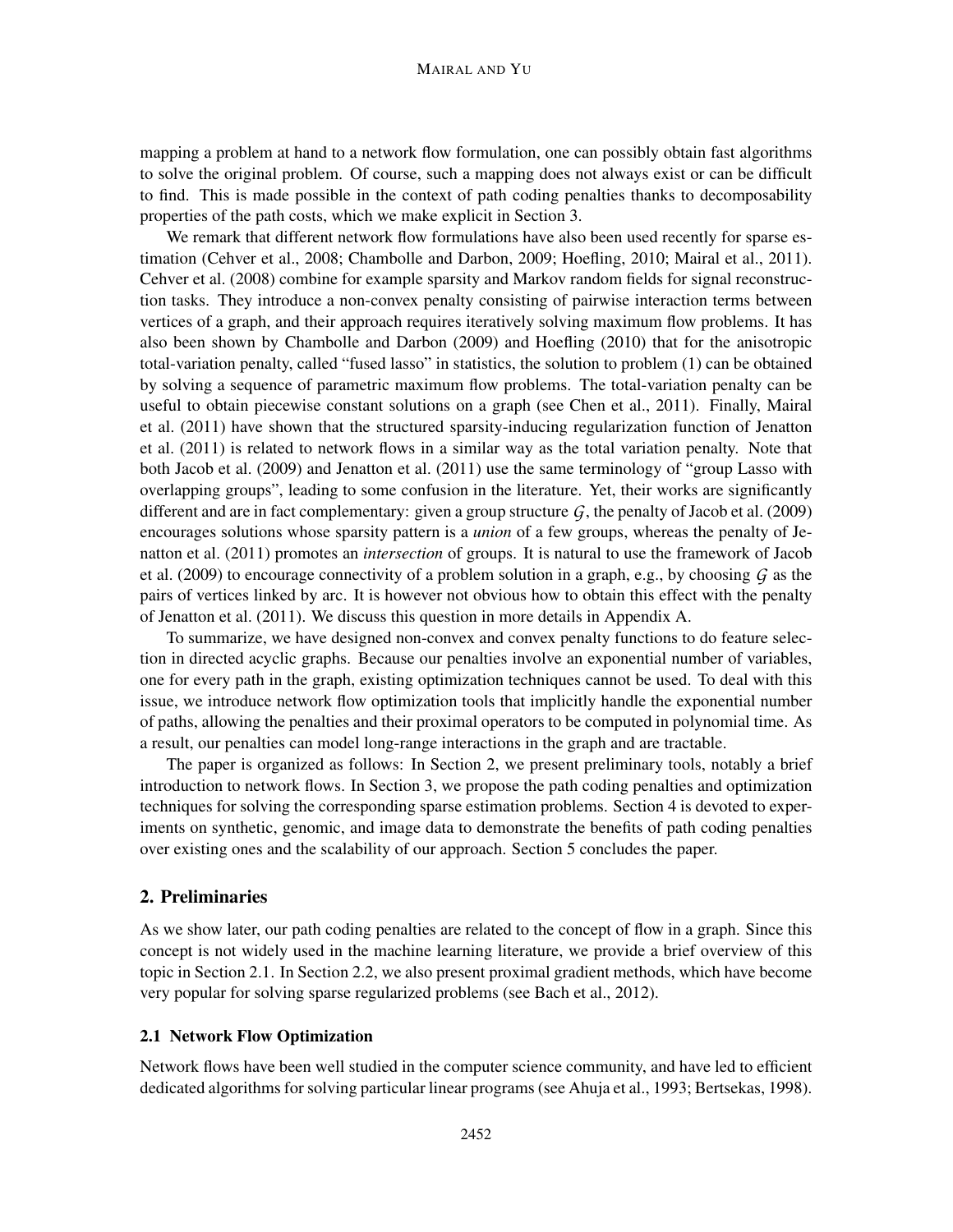mapping a problem at hand to a network flow formulation, one can possibly obtain fast algorithms to solve the original problem. Of course, such a mapping does not always exist or can be difficult to find. This is made possible in the context of path coding penalties thanks to decomposability properties of the path costs, which we make explicit in Section 3.

We remark that different network flow formulations have also been used recently for sparse estimation (Cehver et al., 2008; Chambolle and Darbon, 2009; Hoefling, 2010; Mairal et al., 2011). Cehver et al. (2008) combine for example sparsity and Markov random fields for signal reconstruction tasks. They introduce a non-convex penalty consisting of pairwise interaction terms between vertices of a graph, and their approach requires iteratively solving maximum flow problems. It has also been shown by Chambolle and Darbon (2009) and Hoefling (2010) that for the anisotropic total-variation penalty, called "fused lasso" in statistics, the solution to problem (1) can be obtained by solving a sequence of parametric maximum flow problems. The total-variation penalty can be useful to obtain piecewise constant solutions on a graph (see Chen et al., 2011). Finally, Mairal et al. (2011) have shown that the structured sparsity-inducing regularization function of Jenatton et al. (2011) is related to network flows in a similar way as the total variation penalty. Note that both Jacob et al. (2009) and Jenatton et al. (2011) use the same terminology of "group Lasso with overlapping groups", leading to some confusion in the literature. Yet, their works are significantly different and are in fact complementary: given a group structure  $G$ , the penalty of Jacob et al. (2009) encourages solutions whose sparsity pattern is a *union* of a few groups, whereas the penalty of Jenatton et al. (2011) promotes an *intersection* of groups. It is natural to use the framework of Jacob et al. (2009) to encourage connectivity of a problem solution in a graph, e.g., by choosing *G* as the pairs of vertices linked by arc. It is however not obvious how to obtain this effect with the penalty of Jenatton et al. (2011). We discuss this question in more details in Appendix A.

To summarize, we have designed non-convex and convex penalty functions to do feature selection in directed acyclic graphs. Because our penalties involve an exponential number of variables, one for every path in the graph, existing optimization techniques cannot be used. To deal with this issue, we introduce network flow optimization tools that implicitly handle the exponential number of paths, allowing the penalties and their proximal operators to be computed in polynomial time. As a result, our penalties can model long-range interactions in the graph and are tractable.

The paper is organized as follows: In Section 2, we present preliminary tools, notably a brief introduction to network flows. In Section 3, we propose the path coding penalties and optimization techniques for solving the corresponding sparse estimation problems. Section 4 is devoted to experiments on synthetic, genomic, and image data to demonstrate the benefits of path coding penalties over existing ones and the scalability of our approach. Section 5 concludes the paper.

## 2. Preliminaries

As we show later, our path coding penalties are related to the concept of flow in a graph. Since this concept is not widely used in the machine learning literature, we provide a brief overview of this topic in Section 2.1. In Section 2.2, we also present proximal gradient methods, which have become very popular for solving sparse regularized problems (see Bach et al., 2012).

## 2.1 Network Flow Optimization

Network flows have been well studied in the computer science community, and have led to efficient dedicated algorithms for solving particular linear programs (see Ahuja et al., 1993; Bertsekas, 1998).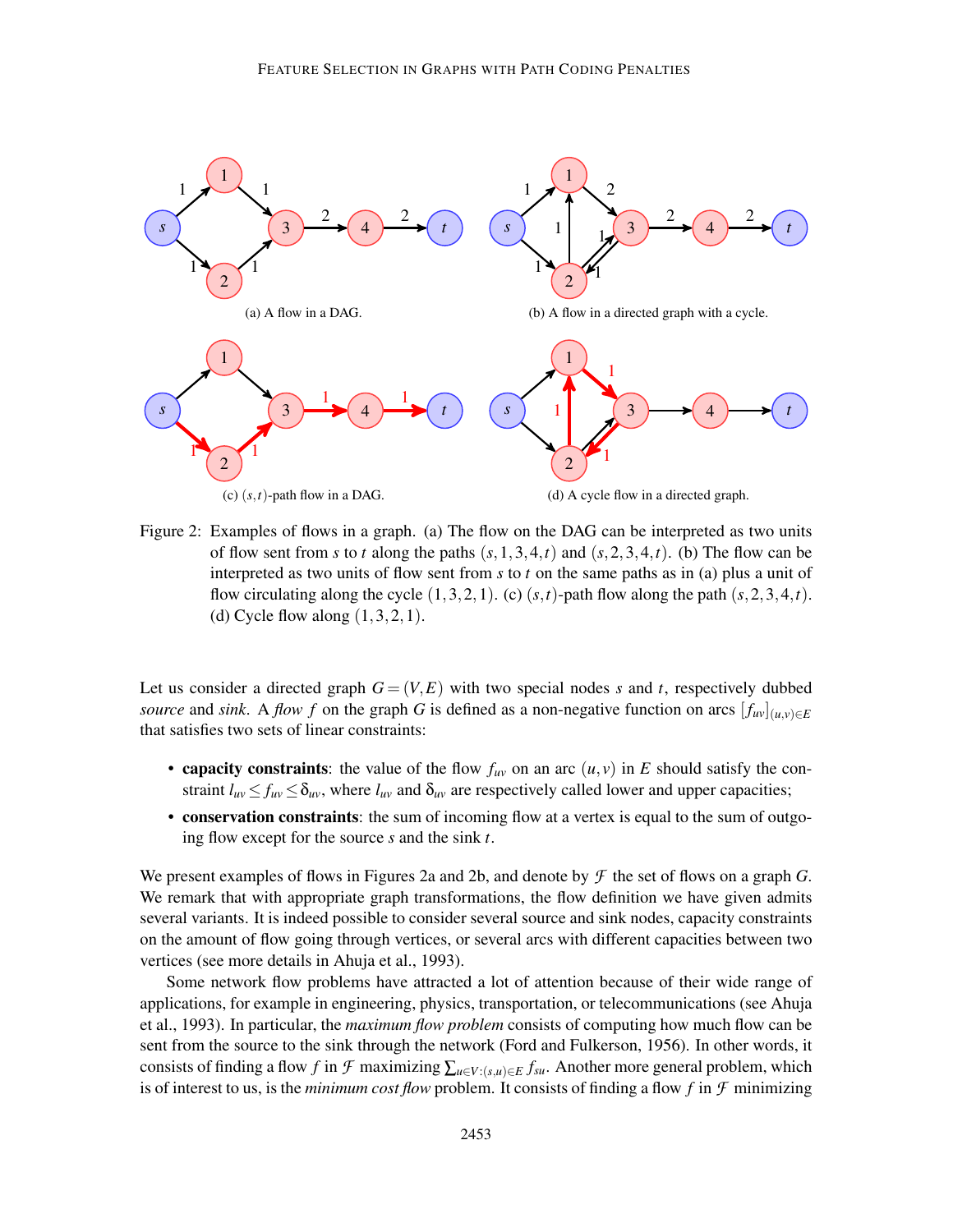

Figure 2: Examples of flows in a graph. (a) The flow on the DAG can be interpreted as two units of flow sent from *s* to *t* along the paths  $(s,1,3,4,t)$  and  $(s,2,3,4,t)$ . (b) The flow can be interpreted as two units of flow sent from *s* to *t* on the same paths as in (a) plus a unit of flow circulating along the cycle  $(1,3,2,1)$ . (c)  $(s,t)$ -path flow along the path  $(s,2,3,4,t)$ . (d) Cycle flow along  $(1,3,2,1)$ .

Let us consider a directed graph  $G = (V, E)$  with two special nodes *s* and *t*, respectively dubbed *source* and *sink*. A *flow f* on the graph *G* is defined as a non-negative function on arcs  $[f_{uv}](u,v) \in E$ that satisfies two sets of linear constraints:

- capacity constraints: the value of the flow  $f_{uv}$  on an arc  $(u, v)$  in *E* should satisfy the constraint  $l_{uv} \le f_{uv} \le \delta_{uv}$ , where  $l_{uv}$  and  $\delta_{uv}$  are respectively called lower and upper capacities;
- conservation constraints: the sum of incoming flow at a vertex is equal to the sum of outgoing flow except for the source *s* and the sink *t*.

We present examples of flows in Figures 2a and 2b, and denote by *F* the set of flows on a graph *G*. We remark that with appropriate graph transformations, the flow definition we have given admits several variants. It is indeed possible to consider several source and sink nodes, capacity constraints on the amount of flow going through vertices, or several arcs with different capacities between two vertices (see more details in Ahuja et al., 1993).

Some network flow problems have attracted a lot of attention because of their wide range of applications, for example in engineering, physics, transportation, or telecommunications (see Ahuja et al., 1993). In particular, the *maximum flow problem* consists of computing how much flow can be sent from the source to the sink through the network (Ford and Fulkerson, 1956). In other words, it consists of finding a flow *f* in *F* maximizing  $\sum_{u \in V : (s,u) \in E} f_{su}$ . Another more general problem, which is of interest to us, is the *minimum cost flow* problem. It consists of finding a flow  $f$  in  $\mathcal F$  minimizing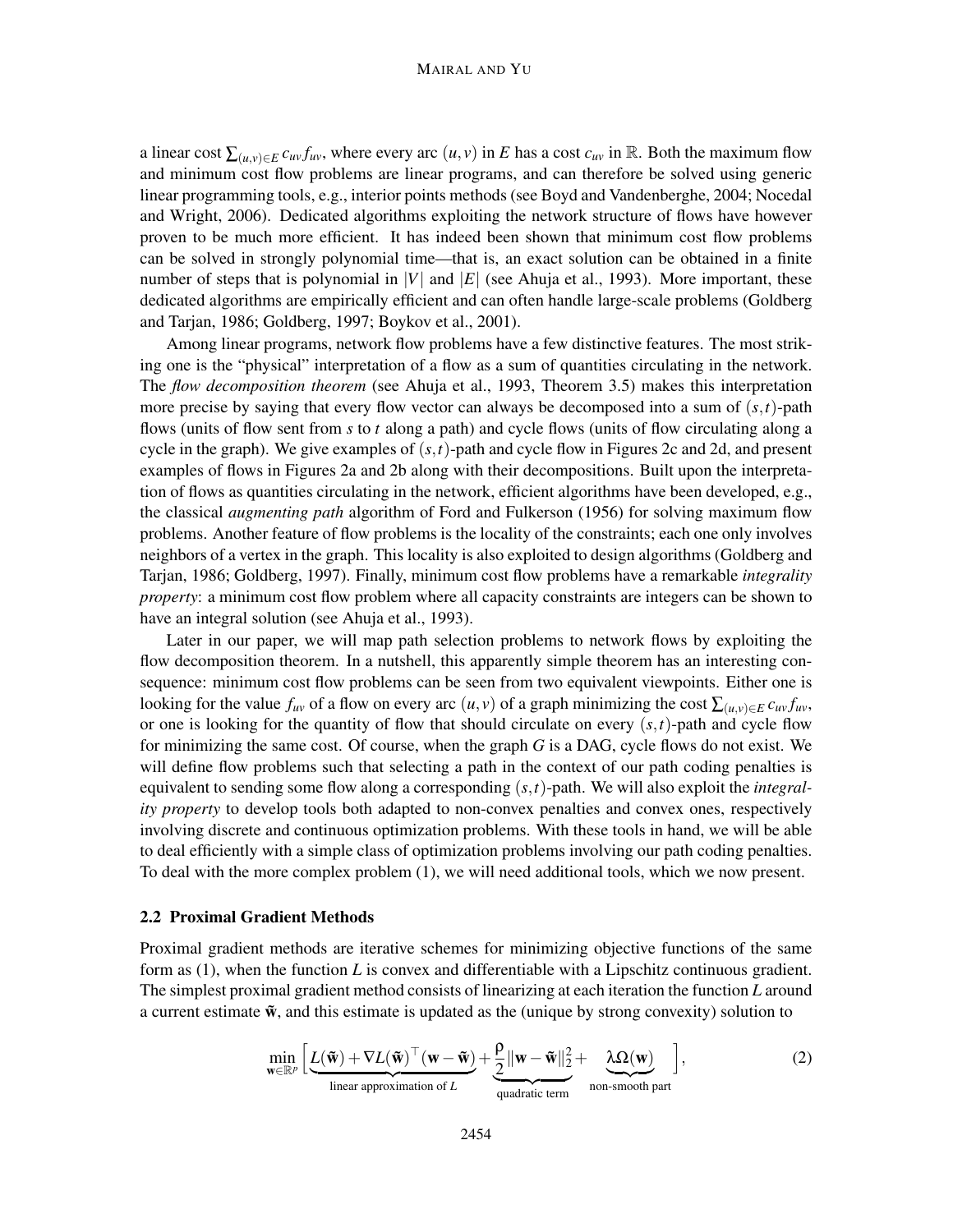#### MAIRAL AND YU

a linear cost  $\sum_{(u,v)\in E} c_{uv} f_{uv}$ , where every arc  $(u, v)$  in *E* has a cost  $c_{uv}$  in R. Both the maximum flow and minimum cost flow problems are linear programs, and can therefore be solved using generic linear programming tools, e.g., interior points methods (see Boyd and Vandenberghe, 2004; Nocedal and Wright, 2006). Dedicated algorithms exploiting the network structure of flows have however proven to be much more efficient. It has indeed been shown that minimum cost flow problems can be solved in strongly polynomial time—that is, an exact solution can be obtained in a finite number of steps that is polynomial in |*V*| and  $|E|$  (see Ahuja et al., 1993). More important, these dedicated algorithms are empirically efficient and can often handle large-scale problems (Goldberg and Tarjan, 1986; Goldberg, 1997; Boykov et al., 2001).

Among linear programs, network flow problems have a few distinctive features. The most striking one is the "physical" interpretation of a flow as a sum of quantities circulating in the network. The *flow decomposition theorem* (see Ahuja et al., 1993, Theorem 3.5) makes this interpretation more precise by saying that every flow vector can always be decomposed into a sum of (*s*,*t*)-path flows (units of flow sent from *s* to *t* along a path) and cycle flows (units of flow circulating along a cycle in the graph). We give examples of (*s*,*t*)-path and cycle flow in Figures 2c and 2d, and present examples of flows in Figures 2a and 2b along with their decompositions. Built upon the interpretation of flows as quantities circulating in the network, efficient algorithms have been developed, e.g., the classical *augmenting path* algorithm of Ford and Fulkerson (1956) for solving maximum flow problems. Another feature of flow problems is the locality of the constraints; each one only involves neighbors of a vertex in the graph. This locality is also exploited to design algorithms (Goldberg and Tarjan, 1986; Goldberg, 1997). Finally, minimum cost flow problems have a remarkable *integrality property*: a minimum cost flow problem where all capacity constraints are integers can be shown to have an integral solution (see Ahuja et al., 1993).

Later in our paper, we will map path selection problems to network flows by exploiting the flow decomposition theorem. In a nutshell, this apparently simple theorem has an interesting consequence: minimum cost flow problems can be seen from two equivalent viewpoints. Either one is looking for the value  $f_{uv}$  of a flow on every arc  $(u, v)$  of a graph minimizing the cost  $\sum_{(u, v) \in E} c_{uv} f_{uv}$ , or one is looking for the quantity of flow that should circulate on every  $(s,t)$ -path and cycle flow for minimizing the same cost. Of course, when the graph *G* is a DAG, cycle flows do not exist. We will define flow problems such that selecting a path in the context of our path coding penalties is equivalent to sending some flow along a corresponding (*s*,*t*)-path. We will also exploit the *integrality property* to develop tools both adapted to non-convex penalties and convex ones, respectively involving discrete and continuous optimization problems. With these tools in hand, we will be able to deal efficiently with a simple class of optimization problems involving our path coding penalties. To deal with the more complex problem (1), we will need additional tools, which we now present.

#### 2.2 Proximal Gradient Methods

Proximal gradient methods are iterative schemes for minimizing objective functions of the same form as (1), when the function *L* is convex and differentiable with a Lipschitz continuous gradient. The simplest proximal gradient method consists of linearizing at each iteration the function *L* around a current estimate  $\tilde{\mathbf{w}}$ , and this estimate is updated as the (unique by strong convexity) solution to

$$
\min_{\mathbf{w}\in\mathbb{R}^p} \left[ \underbrace{L(\tilde{\mathbf{w}}) + \nabla L(\tilde{\mathbf{w}})^\top (\mathbf{w} - \tilde{\mathbf{w}})}_{\text{linear approximation of } L} + \underbrace{\frac{\rho}{2} ||\mathbf{w} - \tilde{\mathbf{w}}||_2^2}_{\text{quadratic term}} + \underbrace{\lambda \Omega(\mathbf{w})}_{\text{non-smooth part}} \right],
$$
\n(2)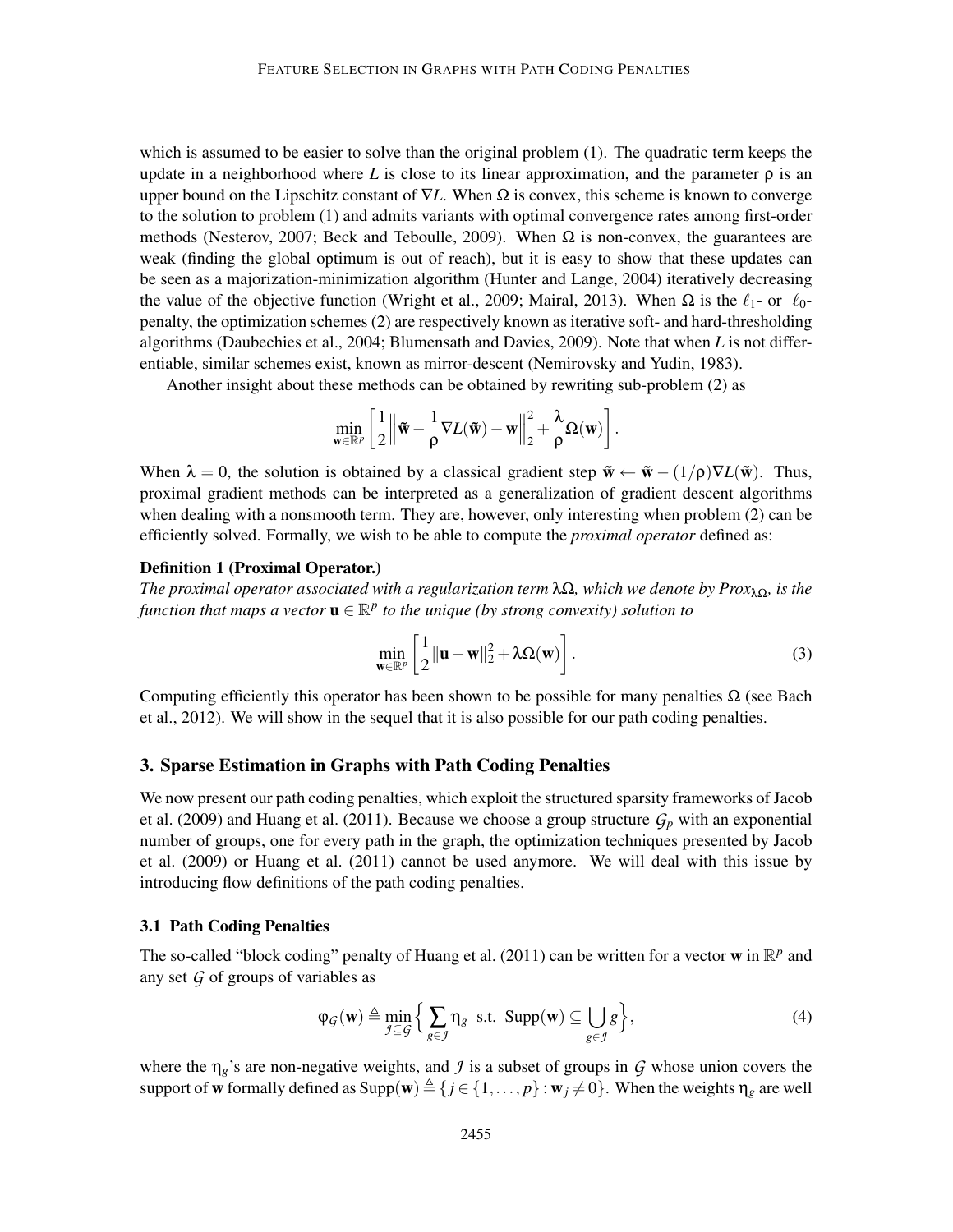which is assumed to be easier to solve than the original problem (1). The quadratic term keeps the update in a neighborhood where L is close to its linear approximation, and the parameter  $\rho$  is an upper bound on the Lipschitz constant of  $\nabla L$ . When  $\Omega$  is convex, this scheme is known to converge to the solution to problem (1) and admits variants with optimal convergence rates among first-order methods (Nesterov, 2007; Beck and Teboulle, 2009). When  $\Omega$  is non-convex, the guarantees are weak (finding the global optimum is out of reach), but it is easy to show that these updates can be seen as a majorization-minimization algorithm (Hunter and Lange, 2004) iteratively decreasing the value of the objective function (Wright et al., 2009; Mairal, 2013). When  $\Omega$  is the  $\ell_1$ - or  $\ell_0$ penalty, the optimization schemes (2) are respectively known as iterative soft- and hard-thresholding algorithms (Daubechies et al., 2004; Blumensath and Davies, 2009). Note that when *L* is not differentiable, similar schemes exist, known as mirror-descent (Nemirovsky and Yudin, 1983).

Another insight about these methods can be obtained by rewriting sub-problem (2) as

$$
\min_{\mathbf{w}\in\mathbb{R}^p}\left[\frac{1}{2}\left\|\tilde{\mathbf{w}}-\frac{1}{\rho}\nabla L(\tilde{\mathbf{w}})-\mathbf{w}\right\|_2^2+\frac{\lambda}{\rho}\Omega(\mathbf{w})\right].
$$

When  $\lambda = 0$ , the solution is obtained by a classical gradient step  $\tilde{\mathbf{w}} \leftarrow \tilde{\mathbf{w}} - (1/\rho)\nabla L(\tilde{\mathbf{w}})$ . Thus, proximal gradient methods can be interpreted as a generalization of gradient descent algorithms when dealing with a nonsmooth term. They are, however, only interesting when problem (2) can be efficiently solved. Formally, we wish to be able to compute the *proximal operator* defined as:

#### Definition 1 (Proximal Operator.)

*The proximal operator associated with a regularization term* λΩ*, which we denote by Prox*λΩ*, is the* function that maps a vector  **to the unique (by strong convexity) solution to** 

$$
\min_{\mathbf{w}\in\mathbb{R}^p} \left[ \frac{1}{2} ||\mathbf{u} - \mathbf{w}||_2^2 + \lambda \Omega(\mathbf{w}) \right].
$$
\n(3)

Computing efficiently this operator has been shown to be possible for many penalties  $\Omega$  (see Bach et al., 2012). We will show in the sequel that it is also possible for our path coding penalties.

## 3. Sparse Estimation in Graphs with Path Coding Penalties

We now present our path coding penalties, which exploit the structured sparsity frameworks of Jacob et al. (2009) and Huang et al. (2011). Because we choose a group structure  $G_p$  with an exponential number of groups, one for every path in the graph, the optimization techniques presented by Jacob et al. (2009) or Huang et al. (2011) cannot be used anymore. We will deal with this issue by introducing flow definitions of the path coding penalties.

#### 3.1 Path Coding Penalties

The so-called "block coding" penalty of Huang et al. (2011) can be written for a vector **w** in  $\mathbb{R}^p$  and any set *G* of groups of variables as

$$
\varphi_{\mathcal{G}}(\mathbf{w}) \triangleq \min_{\mathcal{I} \subseteq \mathcal{G}} \Big\{ \sum_{g \in \mathcal{I}} \eta_g \quad \text{s.t. } \text{Supp}(\mathbf{w}) \subseteq \bigcup_{g \in \mathcal{I}} g \Big\},\tag{4}
$$

where the η*g*'s are non-negative weights, and *J* is a subset of groups in *G* whose union covers the support of w formally defined as  $\text{Supp}(w) \triangleq \{j \in \{1, ..., p\} : w_j \neq 0\}$ . When the weights  $\eta_g$  are well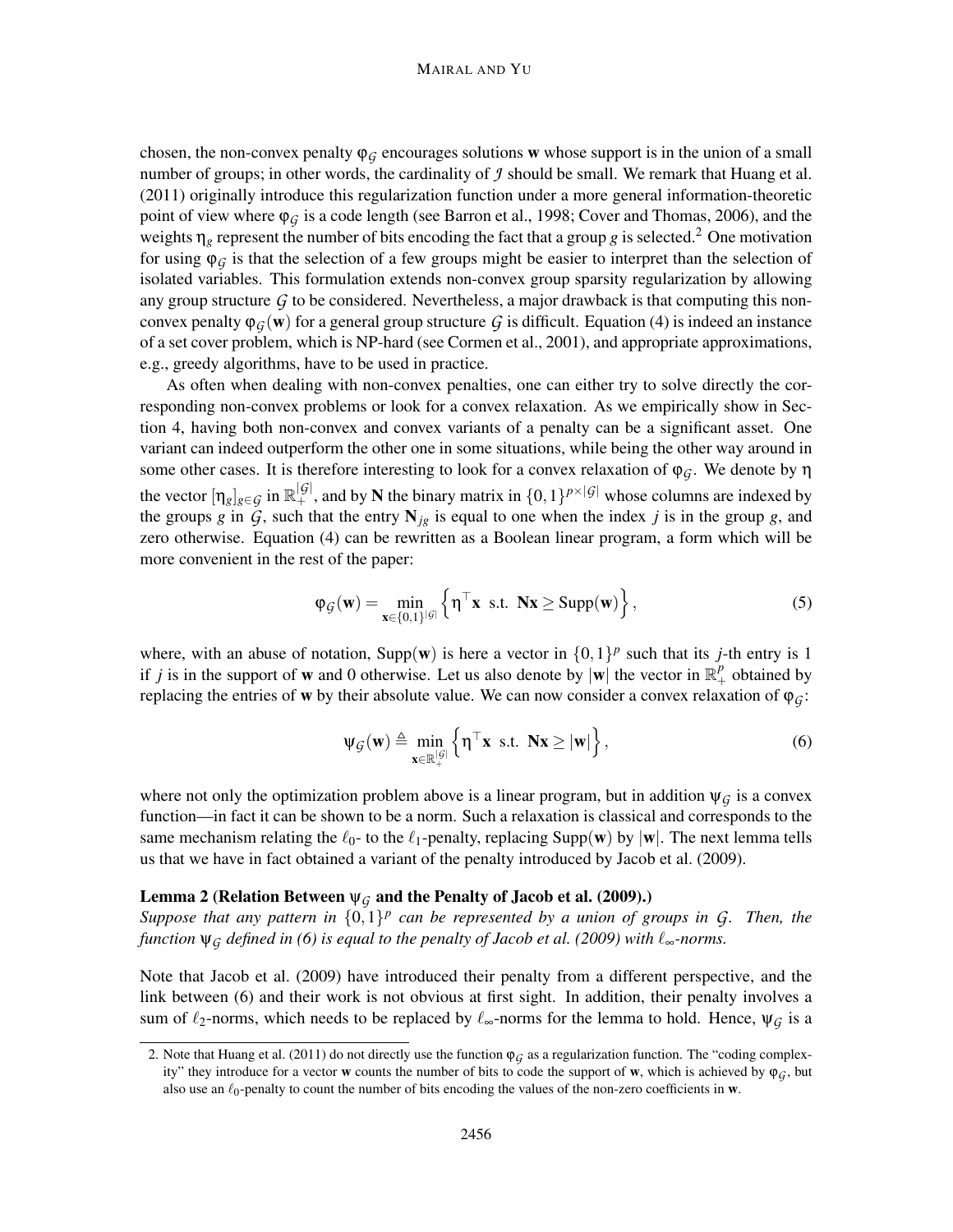#### MAIRAL AND YU

chosen, the non-convex penalty  $\varphi_G$  encourages solutions w whose support is in the union of a small number of groups; in other words, the cardinality of  $\hat{J}$  should be small. We remark that Huang et al. (2011) originally introduce this regularization function under a more general information-theoretic point of view where  $\varphi_G$  is a code length (see Barron et al., 1998; Cover and Thomas, 2006), and the weights  $\eta_g$  represent the number of bits encoding the fact that a group *g* is selected.<sup>2</sup> One motivation for using  $\varphi$ <sup>*G*</sup> is that the selection of a few groups might be easier to interpret than the selection of isolated variables. This formulation extends non-convex group sparsity regularization by allowing any group structure  $G$  to be considered. Nevertheless, a major drawback is that computing this nonconvex penalty  $\varphi_G(w)$  for a general group structure *G* is difficult. Equation (4) is indeed an instance of a set cover problem, which is NP-hard (see Cormen et al., 2001), and appropriate approximations, e.g., greedy algorithms, have to be used in practice.

As often when dealing with non-convex penalties, one can either try to solve directly the corresponding non-convex problems or look for a convex relaxation. As we empirically show in Section 4, having both non-convex and convex variants of a penalty can be a significant asset. One variant can indeed outperform the other one in some situations, while being the other way around in some other cases. It is therefore interesting to look for a convex relaxation of ϕ*G*. We denote by η the vector  $[\eta_g]_{g \in \mathcal{G}}$  in  $\mathbb{R}^{|\mathcal{G}|}_+$ , and by N the binary matrix in  $\{0,1\}^{p\times |\mathcal{G}|}$  whose columns are indexed by the groups *g* in  $\tilde{G}$ , such that the entry  $N_{jg}$  is equal to one when the index *j* is in the group *g*, and zero otherwise. Equation (4) can be rewritten as a Boolean linear program, a form which will be more convenient in the rest of the paper:

$$
\varphi_{\mathcal{G}}(\mathbf{w}) = \min_{\mathbf{x} \in \{0,1\}^{|\mathcal{G}|}} \left\{ \mathbf{\eta}^\top \mathbf{x} \text{ s.t. } \mathbf{N} \mathbf{x} \ge \text{Supp}(\mathbf{w}) \right\},\tag{5}
$$

where, with an abuse of notation, Supp(w) is here a vector in  $\{0,1\}^p$  such that its *j*-th entry is 1 if *j* is in the support of **w** and 0 otherwise. Let us also denote by  $|\mathbf{w}|$  the vector in  $\mathbb{R}^p_+$  obtained by replacing the entries of w by their absolute value. We can now consider a convex relaxation of  $\varphi_G$ :

$$
\Psi_{\mathcal{G}}(\mathbf{w}) \triangleq \min_{\mathbf{x} \in \mathbb{R}_+^{|\mathcal{G}|}} \left\{ \boldsymbol{\eta}^\top \mathbf{x} \text{ s.t. } \mathbf{N} \mathbf{x} \geq |\mathbf{w}| \right\},\tag{6}
$$

where not only the optimization problem above is a linear program, but in addition  $\psi_{\mathcal{G}}$  is a convex function—in fact it can be shown to be a norm. Such a relaxation is classical and corresponds to the same mechanism relating the  $\ell_0$ - to the  $\ell_1$ -penalty, replacing Supp(w) by |w|. The next lemma tells us that we have in fact obtained a variant of the penalty introduced by Jacob et al. (2009).

## Lemma 2 (Relation Between  $\psi_G$  and the Penalty of Jacob et al. (2009).)

*Suppose that any pattern in*  $\{0,1\}^p$  can be represented by a union of groups in G. Then, the *function*  $\psi$ <sup>*G*</sup> *defined in* (6) *is equal to the penalty of Jacob et al.* (2009) with  $\ell_{\infty}$ *-norms.* 

Note that Jacob et al. (2009) have introduced their penalty from a different perspective, and the link between (6) and their work is not obvious at first sight. In addition, their penalty involves a sum of  $\ell_2$ -norms, which needs to be replaced by  $\ell_{\infty}$ -norms for the lemma to hold. Hence,  $\psi_G$  is a

<sup>2.</sup> Note that Huang et al. (2011) do not directly use the function  $\varphi_G$  as a regularization function. The "coding complexity" they introduce for a vector **w** counts the number of bits to code the support of **w**, which is achieved by  $\varphi_G$ , but also use an  $\ell_0$ -penalty to count the number of bits encoding the values of the non-zero coefficients in w.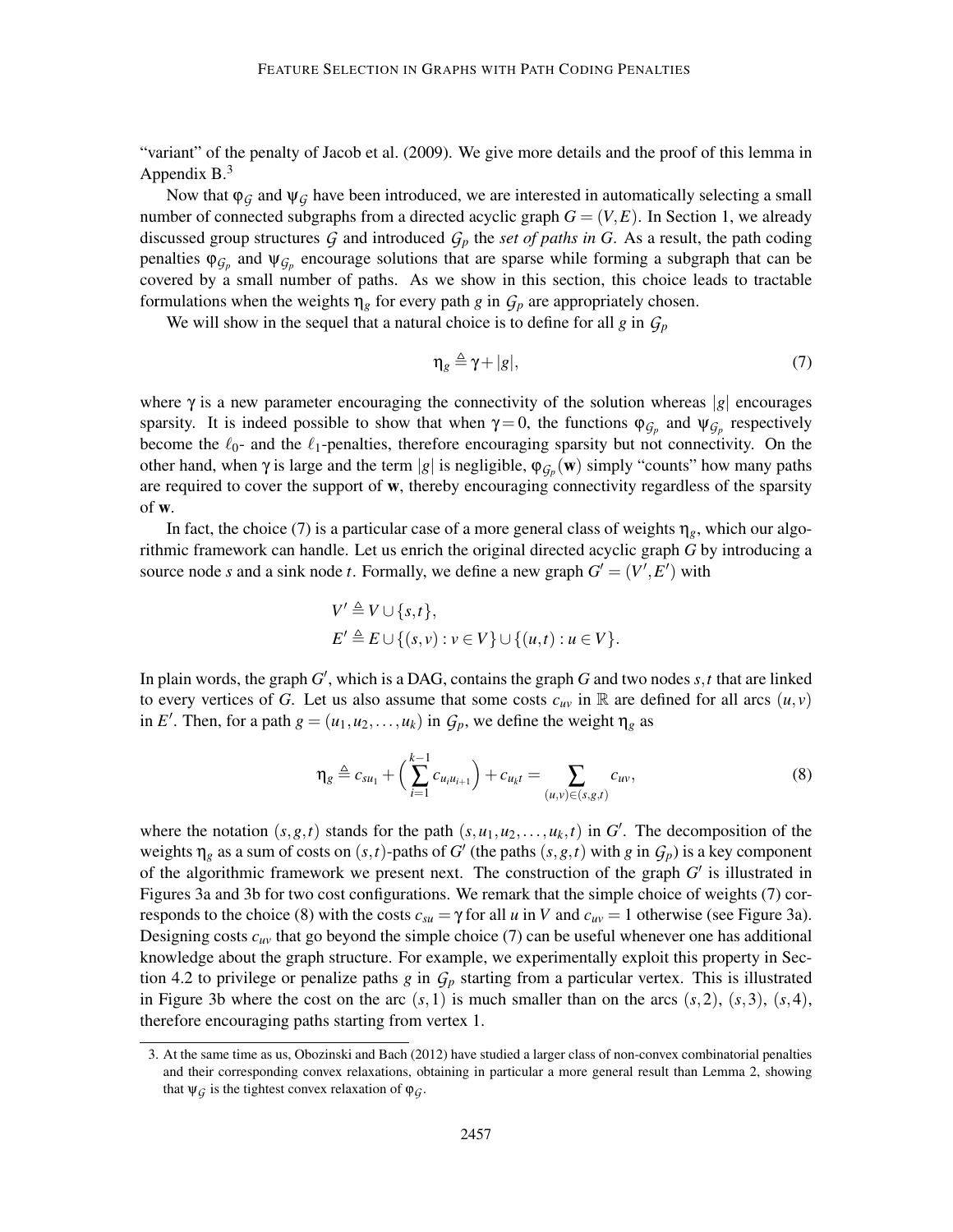"variant" of the penalty of Jacob et al. (2009). We give more details and the proof of this lemma in Appendix  $B<sup>3</sup>$ 

Now that  $\varphi_G$  and  $\psi_G$  have been introduced, we are interested in automatically selecting a small number of connected subgraphs from a directed acyclic graph  $G = (V, E)$ . In Section 1, we already discussed group structures  $G$  and introduced  $G_p$  the *set of paths in G*. As a result, the path coding penalties  $\varphi_{\mathcal{G}_p}$  and  $\psi_{\mathcal{G}_p}$  encourage solutions that are sparse while forming a subgraph that can be covered by a small number of paths. As we show in this section, this choice leads to tractable formulations when the weights  $\eta_g$  for every path *g* in  $G_p$  are appropriately chosen.

We will show in the sequel that a natural choice is to define for all *g* in  $G_p$ 

$$
\eta_g \triangleq \gamma + |g|,\tag{7}
$$

where  $\gamma$  is a new parameter encouraging the connectivity of the solution whereas |*g*| encourages sparsity. It is indeed possible to show that when  $\gamma = 0$ , the functions  $\varphi_{\mathcal{G}_p}$  and  $\psi_{\mathcal{G}_p}$  respectively become the  $\ell_0$ - and the  $\ell_1$ -penalties, therefore encouraging sparsity but not connectivity. On the other hand, when  $\gamma$  is large and the term |*g*| is negligible,  $\varphi_{\mathcal{G}_p}(\mathbf{w})$  simply "counts" how many paths are required to cover the support of w, thereby encouraging connectivity regardless of the sparsity of w.

In fact, the choice (7) is a particular case of a more general class of weights  $\eta_g$ , which our algorithmic framework can handle. Let us enrich the original directed acyclic graph *G* by introducing a source node *s* and a sink node *t*. Formally, we define a new graph  $G' = (V', E')$  with

$$
V' \triangleq V \cup \{s,t\},
$$
  
\n
$$
E' \triangleq E \cup \{(s,v) : v \in V\} \cup \{(u,t) : u \in V\}.
$$

In plain words, the graph *G* ′ , which is a DAG, contains the graph *G* and two nodes *s*,*t* that are linked to every vertices of *G*. Let us also assume that some costs  $c_{uv}$  in R are defined for all arcs  $(u, v)$ in *E'*. Then, for a path  $g = (u_1, u_2, \dots, u_k)$  in  $G_p$ , we define the weight  $\eta_g$  as

$$
\eta_g \triangleq c_{su_1} + \left(\sum_{i=1}^{k-1} c_{u_i u_{i+1}}\right) + c_{u_k t} = \sum_{(u,v) \in (s,g,t)} c_{uv},\tag{8}
$$

where the notation  $(s, g, t)$  stands for the path  $(s, u_1, u_2, \ldots, u_k, t)$  in *G*<sup>'</sup>. The decomposition of the weights  $\eta_g$  as a sum of costs on  $(s,t)$ -paths of *G'* (the paths  $(s,g,t)$  with *g* in  $G_p$ ) is a key component of the algorithmic framework we present next. The construction of the graph *G* ′ is illustrated in Figures 3a and 3b for two cost configurations. We remark that the simple choice of weights (7) corresponds to the choice (8) with the costs  $c_{su} = \gamma$  for all *u* in *V* and  $c_{uv} = 1$  otherwise (see Figure 3a). Designing costs  $c_{uv}$  that go beyond the simple choice (7) can be useful whenever one has additional knowledge about the graph structure. For example, we experimentally exploit this property in Section 4.2 to privilege or penalize paths *g* in *G<sup>p</sup>* starting from a particular vertex. This is illustrated in Figure 3b where the cost on the arc  $(s,1)$  is much smaller than on the arcs  $(s,2)$ ,  $(s,3)$ ,  $(s,4)$ , therefore encouraging paths starting from vertex 1.

<sup>3.</sup> At the same time as us, Obozinski and Bach (2012) have studied a larger class of non-convex combinatorial penalties and their corresponding convex relaxations, obtaining in particular a more general result than Lemma 2, showing that  $\Psi_G$  is the tightest convex relaxation of  $\Phi_G$ .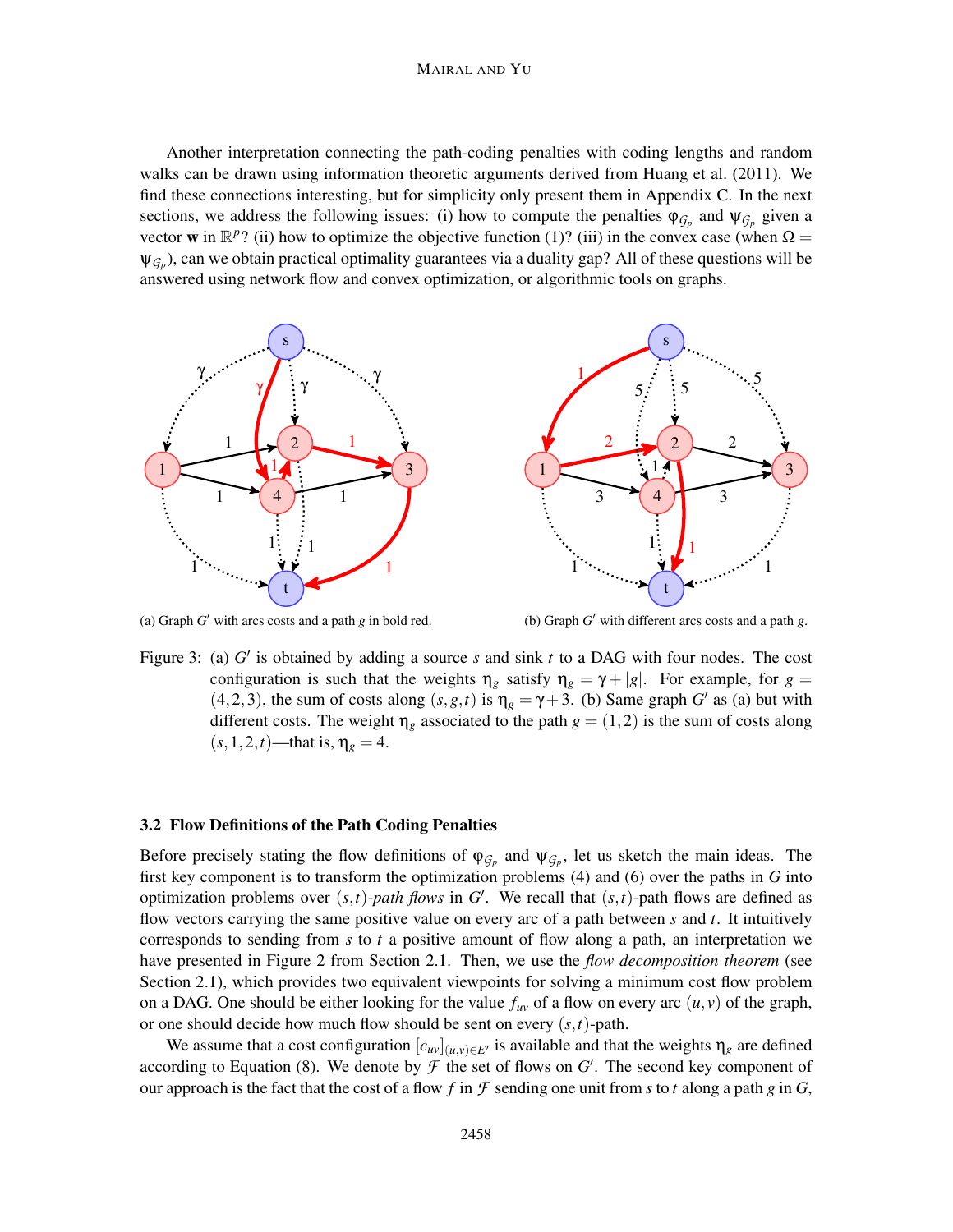#### MAIRAL AND YU

Another interpretation connecting the path-coding penalties with coding lengths and random walks can be drawn using information theoretic arguments derived from Huang et al. (2011). We find these connections interesting, but for simplicity only present them in Appendix C. In the next sections, we address the following issues: (i) how to compute the penalties  $\varphi_{\mathcal{G}_p}$  and  $\psi_{\mathcal{G}_p}$  given a vector **w** in  $\mathbb{R}^p$ ? (ii) how to optimize the objective function (1)? (iii) in the convex case (when  $\Omega$  =  $\psi_{\mathcal{G}_p}$ ), can we obtain practical optimality guarantees via a duality gap? All of these questions will be answered using network flow and convex optimization, or algorithmic tools on graphs.



(a) Graph  $G'$  with arcs costs and a path  $g$  in bold red.

(b) Graph *G* ′ with different arcs costs and a path *g*.

Figure 3: (a) G' is obtained by adding a source *s* and sink *t* to a DAG with four nodes. The cost configuration is such that the weights  $\eta_g$  satisfy  $\eta_g = \gamma + |g|$ . For example, for  $g =$  $(4,2,3)$ , the sum of costs along  $(s, g, t)$  is  $\eta_g = \gamma + 3$ . (b) Same graph *G'* as (a) but with different costs. The weight  $\eta_g$  associated to the path  $g = (1,2)$  is the sum of costs along  $(s, 1, 2, t)$ —that is,  $\eta_g = 4$ .

#### 3.2 Flow Definitions of the Path Coding Penalties

Before precisely stating the flow definitions of  $\varphi_{G_p}$  and  $\psi_{G_p}$ , let us sketch the main ideas. The first key component is to transform the optimization problems (4) and (6) over the paths in *G* into optimization problems over  $(s,t)$ -*path flows* in *G'*. We recall that  $(s,t)$ -path flows are defined as flow vectors carrying the same positive value on every arc of a path between *s* and *t*. It intuitively corresponds to sending from *s* to *t* a positive amount of flow along a path, an interpretation we have presented in Figure 2 from Section 2.1. Then, we use the *flow decomposition theorem* (see Section 2.1), which provides two equivalent viewpoints for solving a minimum cost flow problem on a DAG. One should be either looking for the value  $f_{uv}$  of a flow on every arc  $(u, v)$  of the graph, or one should decide how much flow should be sent on every (*s*,*t*)-path.

We assume that a cost configuration  $[c_{uv}]_{(u,v)\in E'}$  is available and that the weights  $\eta_g$  are defined according to Equation (8). We denote by  $\mathcal F$  the set of flows on  $G'$ . The second key component of our approach is the fact that the cost of a flow f in  $\mathcal F$  sending one unit from s to t along a path g in  $G$ ,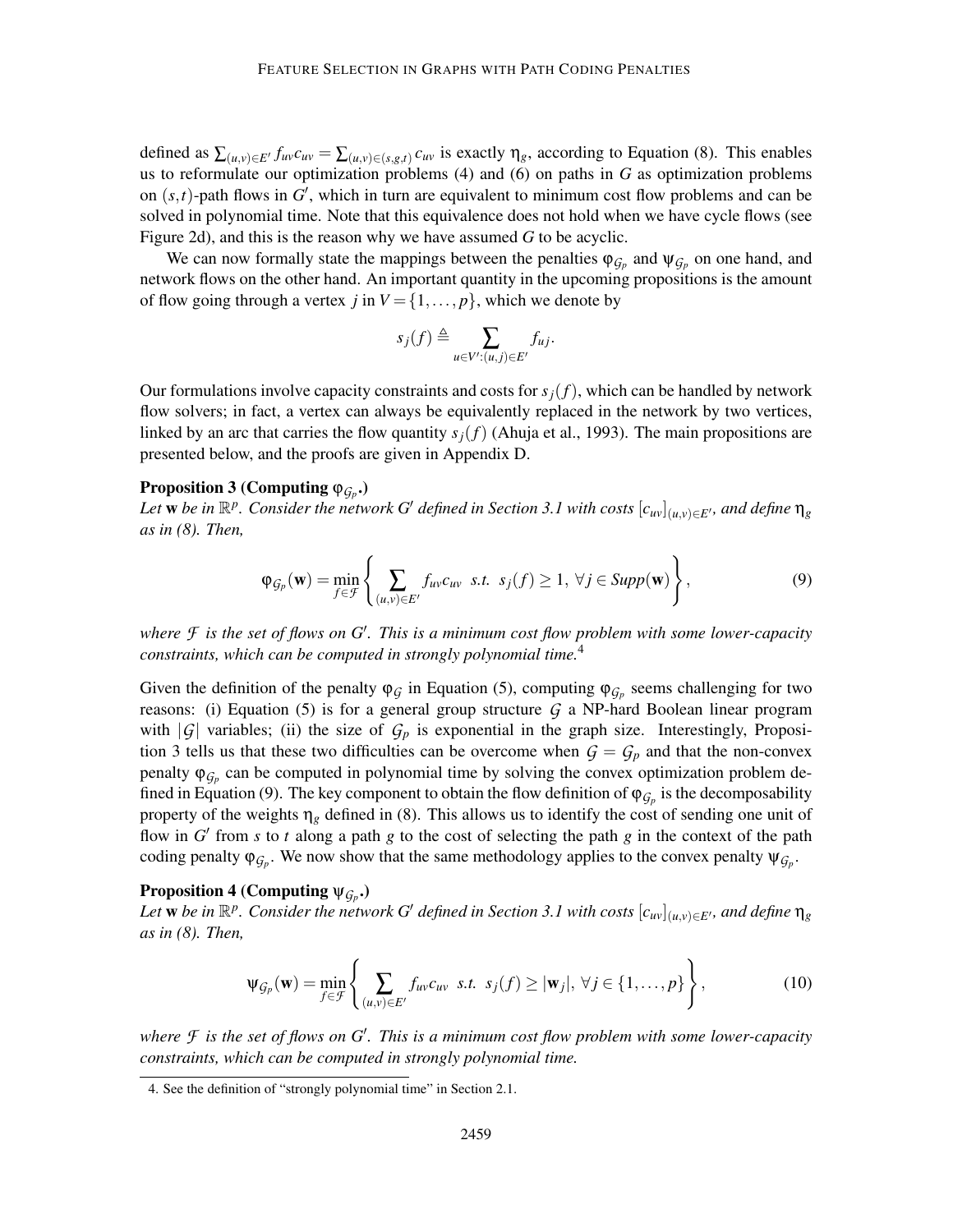defined as  $\sum_{(u,v)\in E'} f_{uv}c_{uv} = \sum_{(u,v)\in (s,g,t)} c_{uv}$  is exactly  $\eta_g$ , according to Equation (8). This enables us to reformulate our optimization problems (4) and (6) on paths in *G* as optimization problems on  $(s,t)$ -path flows in  $G'$ , which in turn are equivalent to minimum cost flow problems and can be solved in polynomial time. Note that this equivalence does not hold when we have cycle flows (see Figure 2d), and this is the reason why we have assumed *G* to be acyclic.

We can now formally state the mappings between the penalties  $\varphi_{\mathcal{G}_p}$  and  $\psi_{\mathcal{G}_p}$  on one hand, and network flows on the other hand. An important quantity in the upcoming propositions is the amount of flow going through a vertex *j* in  $V = \{1, ..., p\}$ , which we denote by

$$
s_j(f) \triangleq \sum_{u \in V': (u,j) \in E'} f_{uj}.
$$

Our formulations involve capacity constraints and costs for  $s_j(f)$ , which can be handled by network flow solvers; in fact, a vertex can always be equivalently replaced in the network by two vertices, linked by an arc that carries the flow quantity  $s_j(f)$  (Ahuja et al., 1993). The main propositions are presented below, and the proofs are given in Appendix D.

# Proposition 3 (Computing  $\varphi_{\mathcal{G}_P}$ .)

*Let* **w** be in  $\mathbb{R}^p$ . Consider the network G' defined in Section 3.1 with costs  $[c_{uv}]_{(u,v)\in E'}$ , and define  $\eta_g$ *as in (8). Then,*

$$
\varphi_{\mathcal{G}_p}(\mathbf{w}) = \min_{f \in \mathcal{F}} \left\{ \sum_{(u,v) \in E'} f_{uv} c_{uv} \text{ s.t. } s_j(f) \ge 1, \forall j \in \text{Supp}(\mathbf{w}) \right\},\tag{9}
$$

*where F is the set of flows on G*′ *. This is a minimum cost flow problem with some lower-capacity constraints, which can be computed in strongly polynomial time.*<sup>4</sup>

Given the definition of the penalty  $\varphi_{\mathcal{G}}$  in Equation (5), computing  $\varphi_{\mathcal{G}_p}$  seems challenging for two reasons: (i) Equation (5) is for a general group structure  $G$  a NP-hard Boolean linear program with  $|G|$  variables; (ii) the size of  $G_p$  is exponential in the graph size. Interestingly, Proposition 3 tells us that these two difficulties can be overcome when  $G = G_p$  and that the non-convex penalty  $\varphi_{\mathcal{G}_p}$  can be computed in polynomial time by solving the convex optimization problem defined in Equation (9). The key component to obtain the flow definition of  $\varphi_{\mathcal{G}_p}$  is the decomposability property of the weights  $\eta_g$  defined in (8). This allows us to identify the cost of sending one unit of flow in  $G'$  from  $s$  to  $t$  along a path  $g$  to the cost of selecting the path  $g$  in the context of the path coding penalty  $\varphi_{G_p}$ . We now show that the same methodology applies to the convex penalty  $\psi_{G_p}$ .

# Proposition 4 (Computing  $\psi_{\mathcal{G}_p}$ .)

*Let* **w** be in  $\mathbb{R}^p$ . Consider the network G' defined in Section 3.1 with costs  $[c_{uv}]_{(u,v)\in E'}$ , and define  $\eta_g$ *as in (8). Then,*

$$
\Psi_{\mathcal{G}_p}(\mathbf{w}) = \min_{f \in \mathcal{F}} \left\{ \sum_{(u,v) \in E'} f_{uv} c_{uv} \text{ s.t. } s_j(f) \geq |\mathbf{w}_j|, \forall j \in \{1, \dots, p\} \right\},\tag{10}
$$

*where F is the set of flows on G*′ *. This is a minimum cost flow problem with some lower-capacity constraints, which can be computed in strongly polynomial time.*

<sup>4.</sup> See the definition of "strongly polynomial time" in Section 2.1.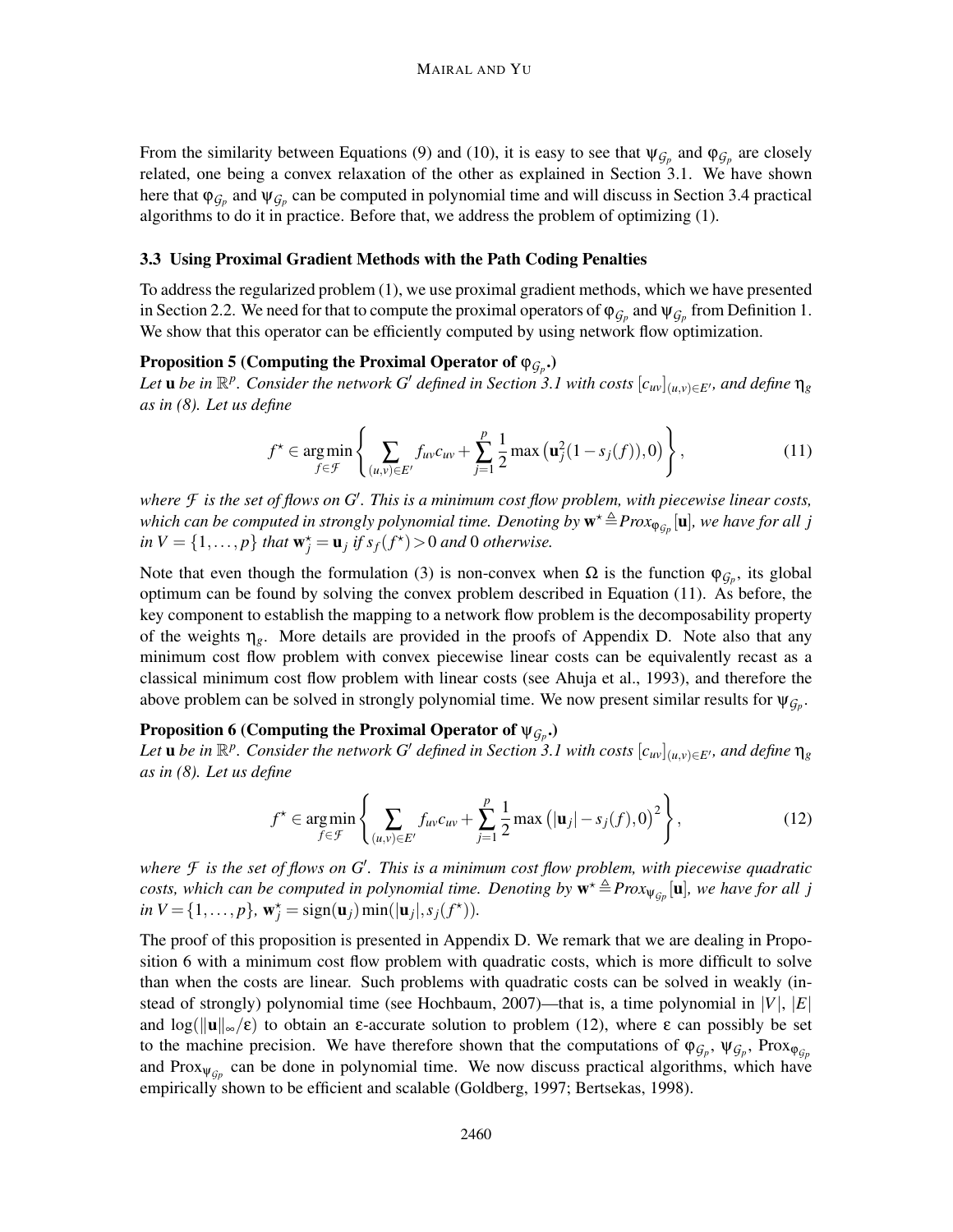From the similarity between Equations (9) and (10), it is easy to see that  $\psi_{\mathcal{G}_p}$  and  $\varphi_{\mathcal{G}_p}$  are closely related, one being a convex relaxation of the other as explained in Section 3.1. We have shown here that  $\varphi_{\mathcal{G}_p}$  and  $\psi_{\mathcal{G}_p}$  can be computed in polynomial time and will discuss in Section 3.4 practical algorithms to do it in practice. Before that, we address the problem of optimizing (1).

#### 3.3 Using Proximal Gradient Methods with the Path Coding Penalties

To address the regularized problem (1), we use proximal gradient methods, which we have presented in Section 2.2. We need for that to compute the proximal operators of  $\varphi_{G_p}$  and  $\psi_{G_p}$  from Definition 1. We show that this operator can be efficiently computed by using network flow optimization.

# Proposition 5 (Computing the Proximal Operator of ϕ*G<sup>p</sup>* .)

Let  $u$  be in  $\mathbb{R}^p$ . Consider the network G<sup>'</sup> defined in Section 3.1 with costs  $[c_{uv}]_{(u,v)\in E'}$ , and define  $\eta_g$ *as in (8). Let us define*

$$
f^{\star} \in \underset{f \in \mathcal{F}}{\arg \min} \left\{ \sum_{(u,v) \in E'} f_{uv} c_{uv} + \sum_{j=1}^{p} \frac{1}{2} \max \left( \mathbf{u}_j^2 (1 - s_j(f)), 0 \right) \right\},\tag{11}
$$

*where F is the set of flows on G*′ *. This is a minimum cost flow problem, with piecewise linear costs,* which can be computed in strongly polynomial time. Denoting by  $\mathbf{w}^\star \!\triangleq\! Prox_{\mathbf{\phi}_{Gp}}[\mathbf{u}]$ , we have for all  $j$  $\int$ *in*  $V = \{1, ..., p\}$  *that*  $\mathbf{w}_j^* = \mathbf{u}_j$  *if*  $s_f(f^*) > 0$  *and* 0 *otherwise.* 

Note that even though the formulation (3) is non-convex when  $\Omega$  is the function  $\varphi_{\mathcal{G}_p}$ , its global optimum can be found by solving the convex problem described in Equation (11). As before, the key component to establish the mapping to a network flow problem is the decomposability property of the weights η*g*. More details are provided in the proofs of Appendix D. Note also that any minimum cost flow problem with convex piecewise linear costs can be equivalently recast as a classical minimum cost flow problem with linear costs (see Ahuja et al., 1993), and therefore the above problem can be solved in strongly polynomial time. We now present similar results for  $\psi_{\mathcal{G}_p}$ .

# Proposition 6 (Computing the Proximal Operator of ψ*G<sup>p</sup>* .)

Let **u** be in  $\mathbb{R}^p$ . Consider the network G<sup>'</sup> defined in Section 3.1 with costs  $[c_{uv}]_{(u,v)\in E'}$ , and define  $\eta_g$ *as in (8). Let us define*

$$
f^* \in \underset{f \in \mathcal{F}}{\arg \min} \left\{ \sum_{(u,v) \in E'} f_{uv} c_{uv} + \sum_{j=1}^p \frac{1}{2} \max \left( |\mathbf{u}_j| - s_j(f), 0 \right)^2 \right\},\tag{12}
$$

*where F is the set of flows on G*′ *. This is a minimum cost flow problem, with piecewise quadratic costs, which can be computed in polynomial time. Denoting by*  $\mathbf{w}^{\star} \triangleq Prox_{\Psi_{G_p}}[\mathbf{u}]$ *, we have for all j*  $in V = \{1, ..., p\}$ ,  $w_j^* = sign(u_j)min(|u_j|, s_j(f^*))$ .

The proof of this proposition is presented in Appendix D. We remark that we are dealing in Proposition 6 with a minimum cost flow problem with quadratic costs, which is more difficult to solve than when the costs are linear. Such problems with quadratic costs can be solved in weakly (instead of strongly) polynomial time (see Hochbaum, 2007)—that is, a time polynomial in |*V*|, |*E*| and  $\log(||\mathbf{u}||_{\infty}/\epsilon)$  to obtain an  $\epsilon$ -accurate solution to problem (12), where  $\epsilon$  can possibly be set to the machine precision. We have therefore shown that the computations of  $\varphi_{G_p}, \psi_{G_p}, \text{Prox}_{\varphi_{G_p}}$ and Prox<sub> $\psi_{\mathcal{G}_p}$ </sub> can be done in polynomial time. We now discuss practical algorithms, which have empirically shown to be efficient and scalable (Goldberg, 1997; Bertsekas, 1998).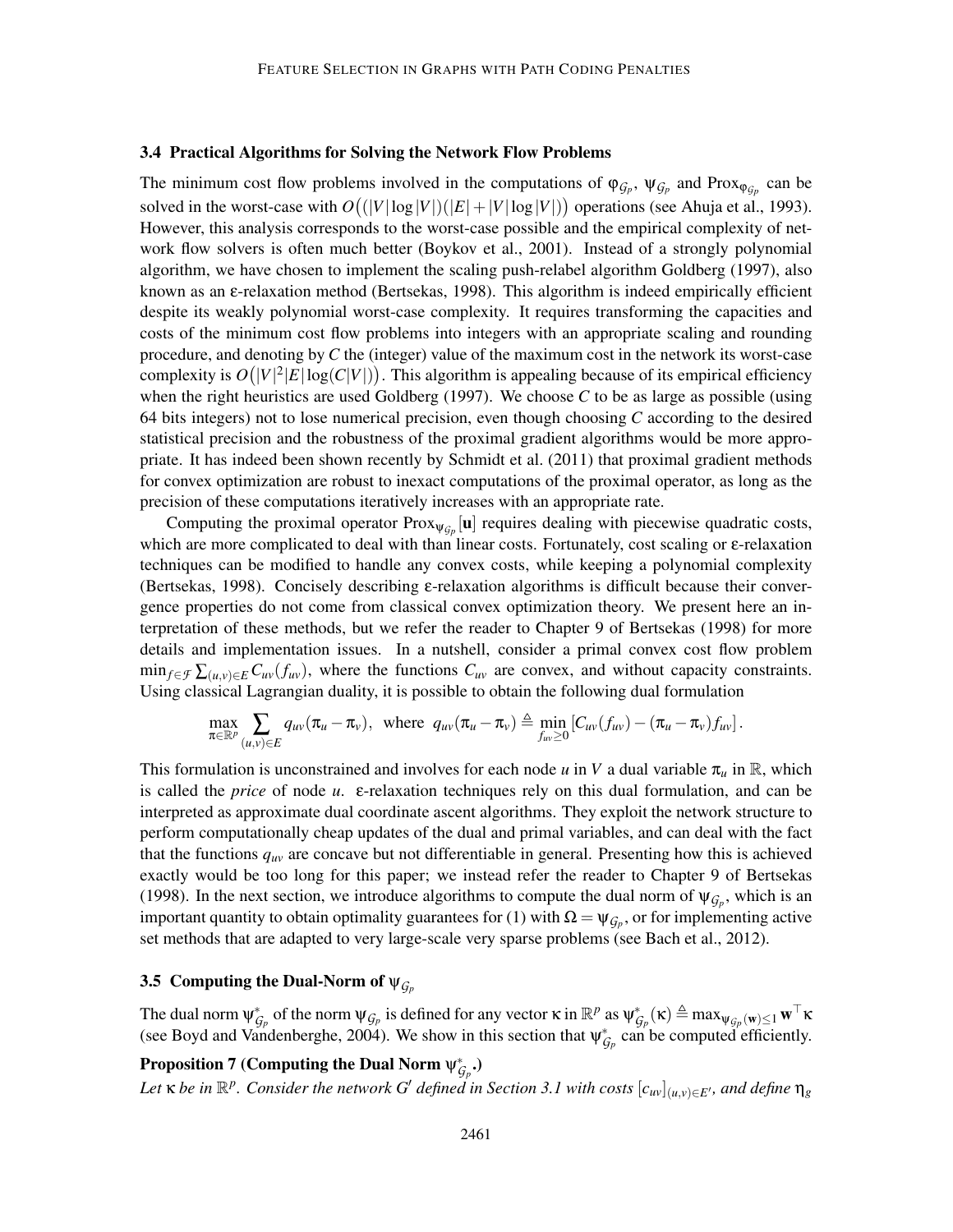## 3.4 Practical Algorithms for Solving the Network Flow Problems

The minimum cost flow problems involved in the computations of  $\varphi_{G_p}$ ,  $\psi_{G_p}$  and Prox<sub> $\varphi_{G_p}$ </sub> can be solved in the worst-case with  $O((|V|\log|V|)(|E|+|V|\log|V|))$  operations (see Ahuja et al., 1993). However, this analysis corresponds to the worst-case possible and the empirical complexity of network flow solvers is often much better (Boykov et al., 2001). Instead of a strongly polynomial algorithm, we have chosen to implement the scaling push-relabel algorithm Goldberg (1997), also known as an ε-relaxation method (Bertsekas, 1998). This algorithm is indeed empirically efficient despite its weakly polynomial worst-case complexity. It requires transforming the capacities and costs of the minimum cost flow problems into integers with an appropriate scaling and rounding procedure, and denoting by *C* the (integer) value of the maximum cost in the network its worst-case complexity is  $O(|V|^2|E|\log(C|V|))$ . This algorithm is appealing because of its empirical efficiency when the right heuristics are used Goldberg (1997). We choose *C* to be as large as possible (using 64 bits integers) not to lose numerical precision, even though choosing *C* according to the desired statistical precision and the robustness of the proximal gradient algorithms would be more appropriate. It has indeed been shown recently by Schmidt et al. (2011) that proximal gradient methods for convex optimization are robust to inexact computations of the proximal operator, as long as the precision of these computations iteratively increases with an appropriate rate.

Computing the proximal operator  $Prox_{\psi_{\mathcal{G}_p}}[\mathbf{u}]$  requires dealing with piecewise quadratic costs, which are more complicated to deal with than linear costs. Fortunately, cost scaling or ε-relaxation techniques can be modified to handle any convex costs, while keeping a polynomial complexity (Bertsekas, 1998). Concisely describing ε-relaxation algorithms is difficult because their convergence properties do not come from classical convex optimization theory. We present here an interpretation of these methods, but we refer the reader to Chapter 9 of Bertsekas (1998) for more details and implementation issues. In a nutshell, consider a primal convex cost flow problem  $\min_{f \in \mathcal{F}} \sum_{(u,v) \in E} C_{uv}(f_{uv})$ , where the functions  $C_{uv}$  are convex, and without capacity constraints. Using classical Lagrangian duality, it is possible to obtain the following dual formulation

$$
\max_{\pi \in \mathbb{R}^p} \sum_{(u,v) \in E} q_{uv}(\pi_u - \pi_v), \text{ where } q_{uv}(\pi_u - \pi_v) \triangleq \min_{f_{uv} \geq 0} \left[ C_{uv}(f_{uv}) - (\pi_u - \pi_v) f_{uv} \right].
$$

This formulation is unconstrained and involves for each node  $u$  in  $V$  a dual variable  $\pi_u$  in  $\mathbb{R}$ , which is called the *price* of node *u*. ε-relaxation techniques rely on this dual formulation, and can be interpreted as approximate dual coordinate ascent algorithms. They exploit the network structure to perform computationally cheap updates of the dual and primal variables, and can deal with the fact that the functions *quv* are concave but not differentiable in general. Presenting how this is achieved exactly would be too long for this paper; we instead refer the reader to Chapter 9 of Bertsekas (1998). In the next section, we introduce algorithms to compute the dual norm of  $\psi_{\mathcal{G}_p}$ , which is an important quantity to obtain optimality guarantees for (1) with  $\Omega = \psi_{G_p}$ , or for implementing active set methods that are adapted to very large-scale very sparse problems (see Bach et al., 2012).

## 3.5 Computing the Dual-Norm of  $\psi_{G_p}$

The dual norm  $\psi_{\mathcal{G}_p}^*$  of the norm  $\psi_{\mathcal{G}_p}$  is defined for any vector  $\kappa$  in  $\mathbb{R}^p$  as  $\psi_{\mathcal{G}_p}^*(\kappa) \triangleq \max_{\psi_{\mathcal{G}_p}(\mathbf{w}) \leq 1} \mathbf{w}^\top \kappa$ (see Boyd and Vandenberghe, 2004). We show in this section that  $\psi_{G_p}^*$  can be computed efficiently.

# Proposition 7 (Computing the Dual Norm  $\psi_{\mathcal{G}_p}^*$ .)

Let  $\kappa$  be in  $\mathbb{R}^p$ . Consider the network G' defined in Section 3.1 with costs  $[c_{uv}]_{(u,v)\in E'}$ , and define  $\eta_g$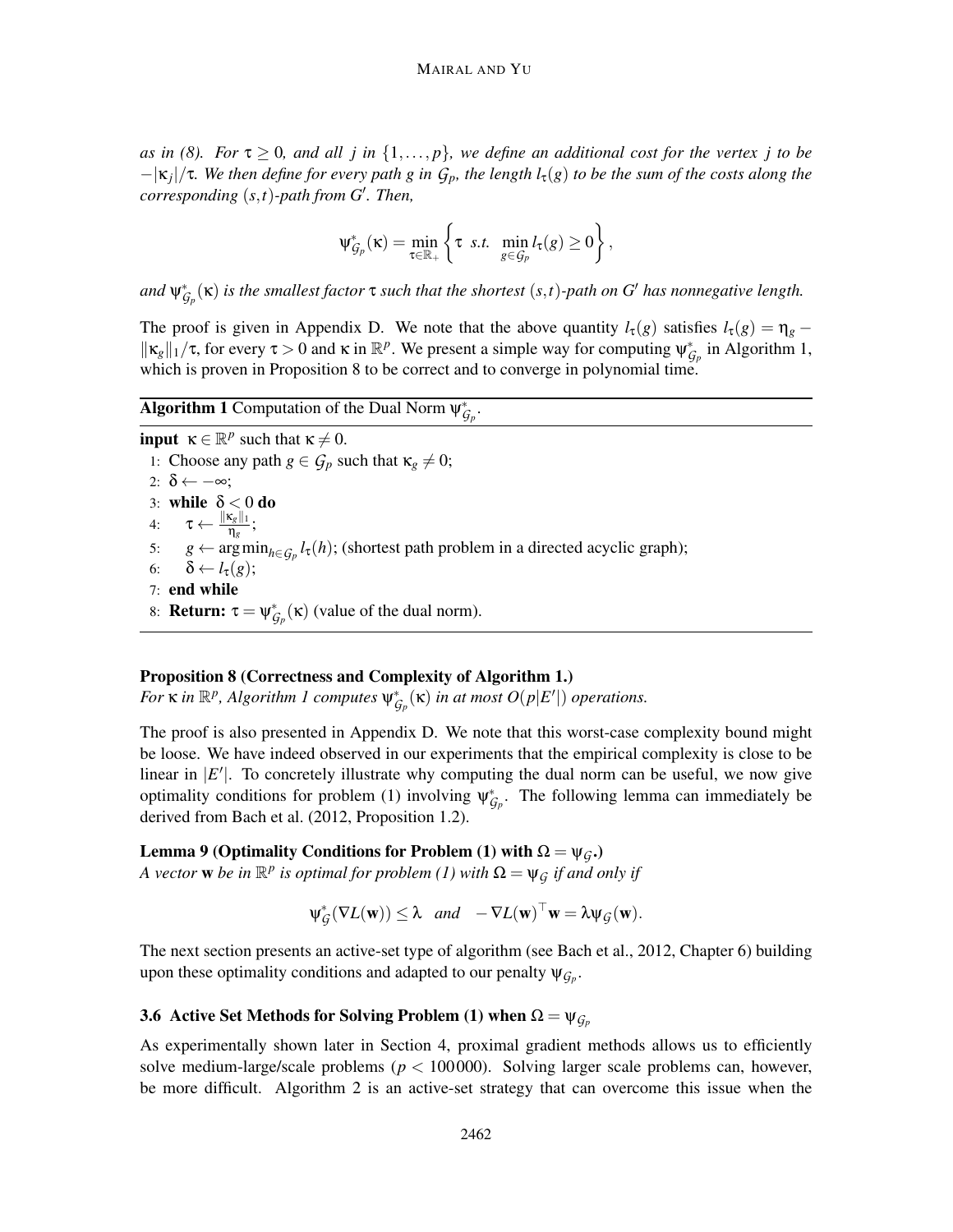*as in (8). For*  $\tau \geq 0$ *, and all j in*  $\{1,\ldots,p\}$ *, we define an additional cost for the vertex j to be* −|κ*<sup>j</sup>* |/τ*. We then define for every path g in Gp, the length l*τ(*g*) *to be the sum of the costs along the corresponding* (*s*,*t*)*-path from G*′ *. Then,*

$$
\psi_{\mathcal{G}_p}^*(\kappa) = \min_{\tau \in \mathbb{R}_+} \left\{ \tau \text{ s.t. } \min_{g \in \mathcal{G}_p} l_{\tau}(g) \geq 0 \right\},\
$$

 $f(x) = \int_{G_p}^x f(x)$  *is the smallest factor*  $\tau$  *such that the shortest*  $(s,t)$ *-path on G' has nonnegative length.* 

The proof is given in Appendix D. We note that the above quantity  $l_{\tau}(g)$  satisfies  $l_{\tau}(g) = \eta_g \|\kappa_g\|_1/\tau$ , for every  $\tau > 0$  and  $\kappa$  in  $\mathbb{R}^p$ . We present a simple way for computing  $\psi_{\mathcal{G}_p}^*$  in Algorithm 1, which is proven in Proposition 8 to be correct and to converge in polynomial time.

# **Algorithm 1** Computation of the Dual Norm  $\psi_{\mathcal{G}_p}^*$ .

**input**  $\kappa \in \mathbb{R}^p$  such that  $\kappa \neq 0$ . 1: Choose any path  $g \in \mathcal{G}_p$  such that  $\kappa_g \neq 0$ ; 2:  $\delta \leftarrow -\infty$ ; 3: while  $\delta < 0$  do 4:  $\tau \leftarrow \frac{\|\kappa_g\|_1}{n_e}$ <u>∿<sub>g∥1</u>;<br>η<sub>g</sub>;</u></sub> 5:  $g \leftarrow \arg \min_{h \in \mathcal{G}_p} l_\tau(h)$ ; (shortest path problem in a directed acyclic graph); 6:  $\delta \leftarrow l_{\tau}(g);$ 7: end while 8: **Return:**  $\tau = \psi_{\mathcal{G}_p}^*(\kappa)$  (value of the dual norm).

## Proposition 8 (Correctness and Complexity of Algorithm 1.)

*For*  $\kappa$  *in*  $\mathbb{R}^p$ , Algorithm 1 computes  $\psi_{\mathcal{G}_p}^*(\kappa)$  *in at most*  $O(p|E'|)$  *operations.* 

The proof is also presented in Appendix D. We note that this worst-case complexity bound might be loose. We have indeed observed in our experiments that the empirical complexity is close to be linear in  $|E'|$ . To concretely illustrate why computing the dual norm can be useful, we now give optimality conditions for problem (1) involving  $\psi_{\mathcal{G}_p}^*$ . The following lemma can immediately be derived from Bach et al. (2012, Proposition 1.2).

Lemma 9 (Optimality Conditions for Problem (1) with  $Ω = ψ<sub>G</sub>$ .)

*A vector* **w** *be in*  $\mathbb{R}^p$  *is optimal for problem* (1) with  $\Omega = \psi_{\mathcal{G}}$  *if and only if* 

$$
\psi_{\mathcal{G}}^*(\nabla L(\mathbf{w})) \leq \lambda \quad and \quad -\nabla L(\mathbf{w})^\top \mathbf{w} = \lambda \psi_{\mathcal{G}}(\mathbf{w}).
$$

The next section presents an active-set type of algorithm (see Bach et al., 2012, Chapter 6) building upon these optimality conditions and adapted to our penalty  $\psi_{\mathcal{G}_p}$ .

## 3.6 Active Set Methods for Solving Problem (1) when  $\Omega = \Psi_{G_p}$

As experimentally shown later in Section 4, proximal gradient methods allows us to efficiently solve medium-large/scale problems ( $p < 100000$ ). Solving larger scale problems can, however, be more difficult. Algorithm 2 is an active-set strategy that can overcome this issue when the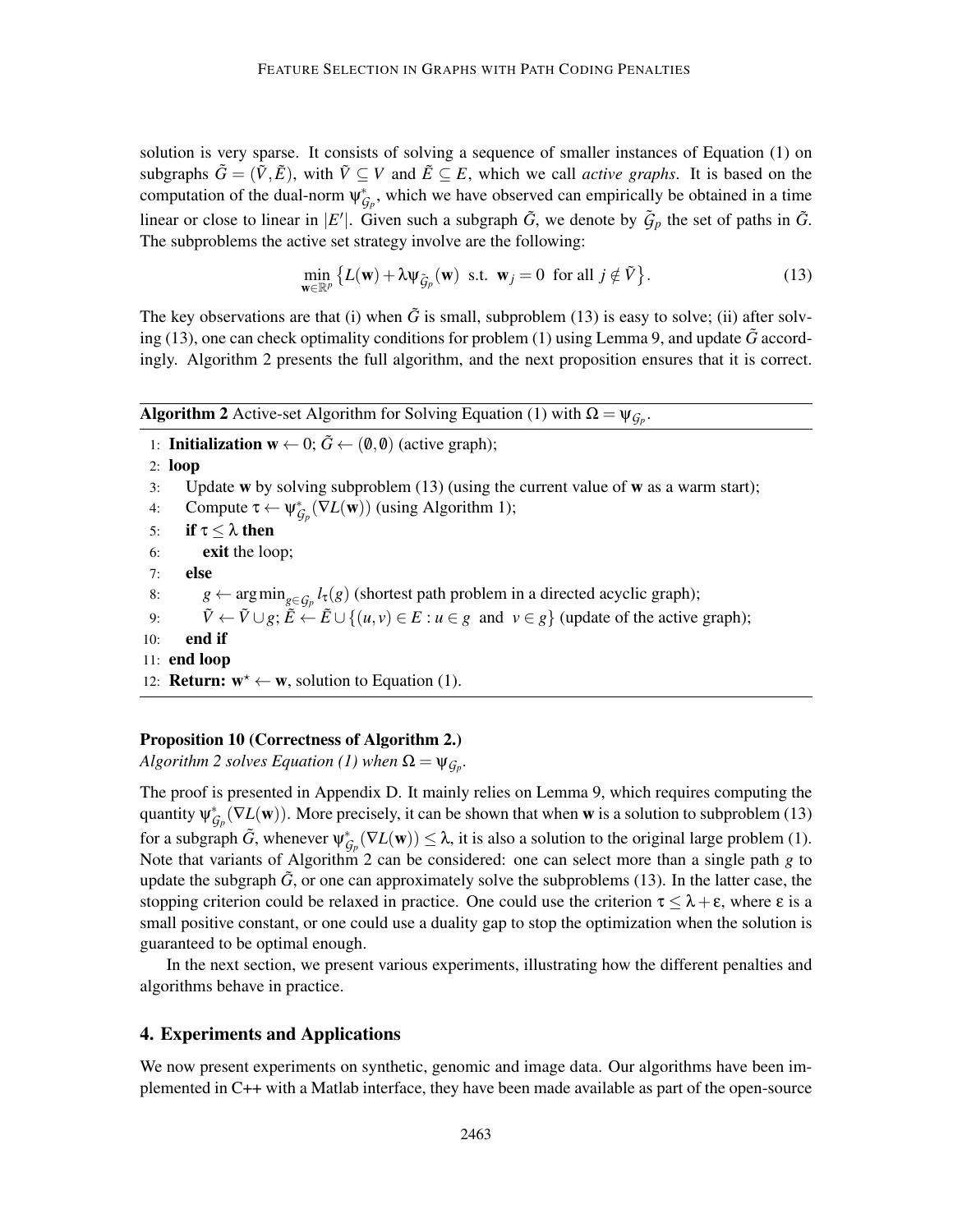solution is very sparse. It consists of solving a sequence of smaller instances of Equation (1) on subgraphs  $\tilde{G} = (\tilde{V}, \tilde{E})$ , with  $\tilde{V} \subseteq V$  and  $\tilde{E} \subseteq E$ , which we call *active graphs*. It is based on the computation of the dual-norm  $\psi_{\mathcal{G}_p}^*$ , which we have observed can empirically be obtained in a time linear or close to linear in  $|E'|$ . Given such a subgraph  $\tilde{G}$ , we denote by  $\tilde{G}_p$  the set of paths in  $\tilde{G}$ . The subproblems the active set strategy involve are the following:

$$
\min_{\mathbf{w}\in\mathbb{R}^p} \left\{ L(\mathbf{w}) + \lambda \psi_{\tilde{G}_p}(\mathbf{w}) \text{ s.t. } \mathbf{w}_j = 0 \text{ for all } j \notin \tilde{V} \right\}. \tag{13}
$$

The key observations are that (i) when  $\tilde{G}$  is small, subproblem (13) is easy to solve; (ii) after solving (13), one can check optimality conditions for problem (1) using Lemma 9, and update  $\tilde{G}$  accordingly. Algorithm 2 presents the full algorithm, and the next proposition ensures that it is correct.

Algorithm 2 Active-set Algorithm for Solving Equation (1) with  $Q = \mu_{\phi}$ 

| <b>Algorithm 2</b> Active-set Algorithm for Solving Equation (1) with $\Omega = \psi_{G_n}$ . |  |  |  |  |  |
|-----------------------------------------------------------------------------------------------|--|--|--|--|--|
|                                                                                               |  |  |  |  |  |
|                                                                                               |  |  |  |  |  |
|                                                                                               |  |  |  |  |  |
|                                                                                               |  |  |  |  |  |
|                                                                                               |  |  |  |  |  |
|                                                                                               |  |  |  |  |  |
|                                                                                               |  |  |  |  |  |
|                                                                                               |  |  |  |  |  |
|                                                                                               |  |  |  |  |  |
|                                                                                               |  |  |  |  |  |
|                                                                                               |  |  |  |  |  |
|                                                                                               |  |  |  |  |  |

12: **Return:**  $w^* \leftarrow w$ , solution to Equation (1).

## Proposition 10 (Correctness of Algorithm 2.)

*Algorithm 2 solves Equation (1) when*  $\Omega = \Psi_{\mathcal{G}_p}$ .

The proof is presented in Appendix D. It mainly relies on Lemma 9, which requires computing the quantity  $\Psi_{\mathcal{G}_p}^*(\nabla L(\mathbf{w}))$ . More precisely, it can be shown that when **w** is a solution to subproblem (13) for a subgraph  $\tilde{G}$ , whenever  $\psi_{\mathcal{G}_p}^*(\nabla L(\mathbf{w})) \leq \lambda$ , it is also a solution to the original large problem (1). Note that variants of Algorithm 2 can be considered: one can select more than a single path *g* to update the subgraph  $\tilde{G}$ , or one can approximately solve the subproblems (13). In the latter case, the stopping criterion could be relaxed in practice. One could use the criterion  $\tau \leq \lambda + \epsilon$ , where  $\epsilon$  is a small positive constant, or one could use a duality gap to stop the optimization when the solution is guaranteed to be optimal enough.

In the next section, we present various experiments, illustrating how the different penalties and algorithms behave in practice.

## 4. Experiments and Applications

We now present experiments on synthetic, genomic and image data. Our algorithms have been implemented in C++ with a Matlab interface, they have been made available as part of the open-source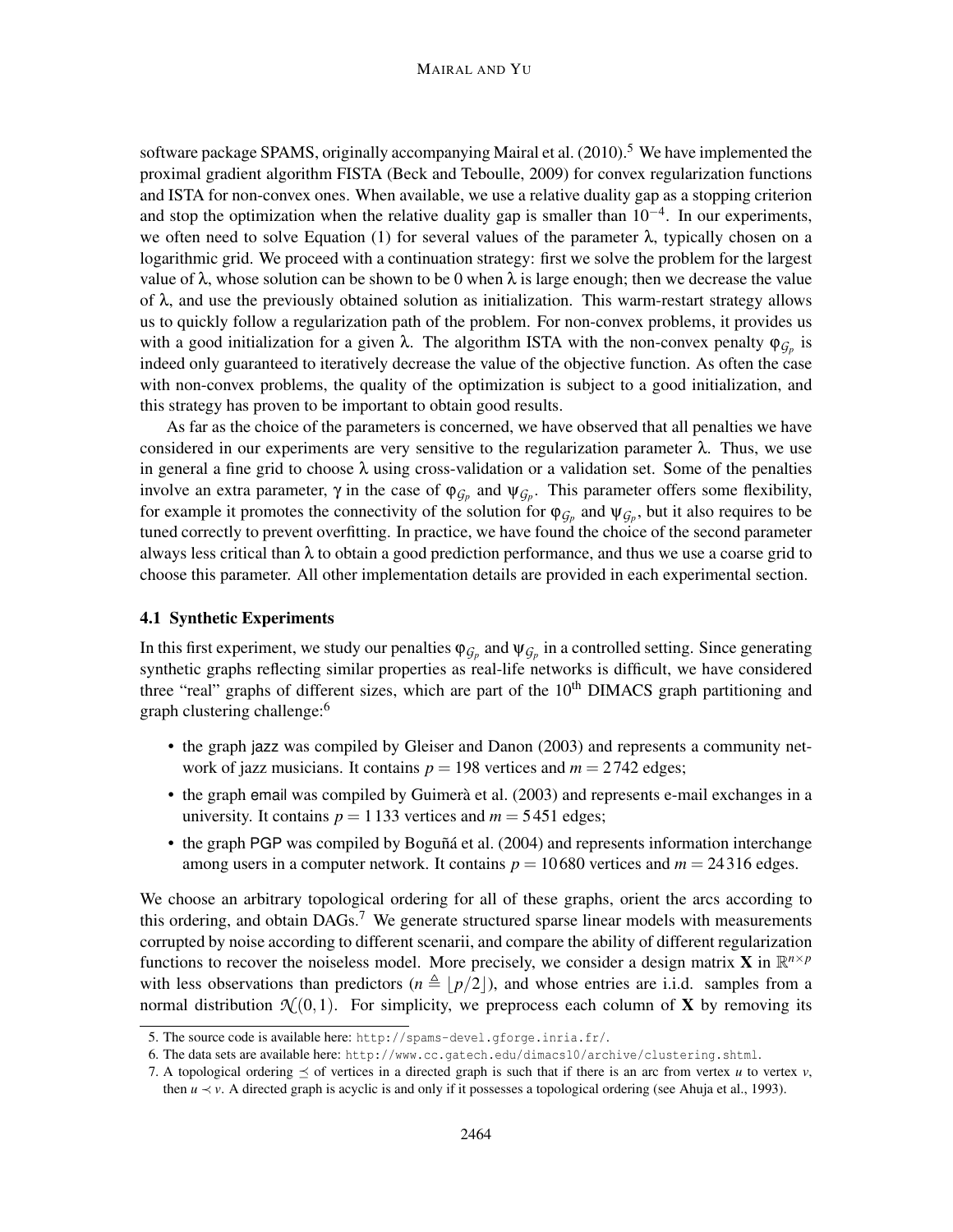software package SPAMS, originally accompanying Mairal et al. (2010).<sup>5</sup> We have implemented the proximal gradient algorithm FISTA (Beck and Teboulle, 2009) for convex regularization functions and ISTA for non-convex ones. When available, we use a relative duality gap as a stopping criterion and stop the optimization when the relative duality gap is smaller than  $10^{-4}$ . In our experiments, we often need to solve Equation (1) for several values of the parameter  $\lambda$ , typically chosen on a logarithmic grid. We proceed with a continuation strategy: first we solve the problem for the largest value of  $\lambda$ , whose solution can be shown to be 0 when  $\lambda$  is large enough; then we decrease the value of  $\lambda$ , and use the previously obtained solution as initialization. This warm-restart strategy allows us to quickly follow a regularization path of the problem. For non-convex problems, it provides us with a good initialization for a given  $\lambda$ . The algorithm ISTA with the non-convex penalty φ<sub>*G<sub>p</sub>*</sub> is indeed only guaranteed to iteratively decrease the value of the objective function. As often the case with non-convex problems, the quality of the optimization is subject to a good initialization, and this strategy has proven to be important to obtain good results.

As far as the choice of the parameters is concerned, we have observed that all penalties we have considered in our experiments are very sensitive to the regularization parameter  $\lambda$ . Thus, we use in general a fine grid to choose  $\lambda$  using cross-validation or a validation set. Some of the penalties involve an extra parameter,  $\gamma$  in the case of  $\varphi_{\mathcal{G}_p}$  and  $\psi_{\mathcal{G}_p}$ . This parameter offers some flexibility, for example it promotes the connectivity of the solution for  $\varphi_{G_p}$  and  $\psi_{G_p}$ , but it also requires to be tuned correctly to prevent overfitting. In practice, we have found the choice of the second parameter always less critical than  $\lambda$  to obtain a good prediction performance, and thus we use a coarse grid to choose this parameter. All other implementation details are provided in each experimental section.

## 4.1 Synthetic Experiments

In this first experiment, we study our penalties  $\varphi_{G_p}$  and  $\psi_{G_p}$  in a controlled setting. Since generating synthetic graphs reflecting similar properties as real-life networks is difficult, we have considered three "real" graphs of different sizes, which are part of the  $10<sup>th</sup>$  DIMACS graph partitioning and graph clustering challenge:<sup>6</sup>

- the graph jazz was compiled by Gleiser and Danon (2003) and represents a community network of jazz musicians. It contains  $p = 198$  vertices and  $m = 2742$  edges;
- the graph email was compiled by Guimerà et al. (2003) and represents e-mail exchanges in a university. It contains  $p = 1133$  vertices and  $m = 5451$  edges;
- the graph PGP was compiled by Boguñá et al. (2004) and represents information interchange among users in a computer network. It contains  $p = 10680$  vertices and  $m = 24316$  edges.

We choose an arbitrary topological ordering for all of these graphs, orient the arcs according to this ordering, and obtain  $DAGs$ .<sup>7</sup> We generate structured sparse linear models with measurements corrupted by noise according to different scenarii, and compare the ability of different regularization functions to recover the noiseless model. More precisely, we consider a design matrix **X** in  $\mathbb{R}^{n \times p}$ with less observations than predictors  $(n \triangleq |p/2|)$ , and whose entries are i.i.d. samples from a normal distribution  $\mathcal{N}(0,1)$ . For simplicity, we preprocess each column of **X** by removing its

<sup>5.</sup> The source code is available here: http://spams-devel.gforge.inria.fr/.

<sup>6.</sup> The data sets are available here: http://www.cc.gatech.edu/dimacs10/archive/clustering.shtml.

<sup>7.</sup> A topological ordering  $\leq$  of vertices in a directed graph is such that if there is an arc from vertex *u* to vertex *v*, then  $u \prec v$ . A directed graph is acyclic is and only if it possesses a topological ordering (see Ahuja et al., 1993).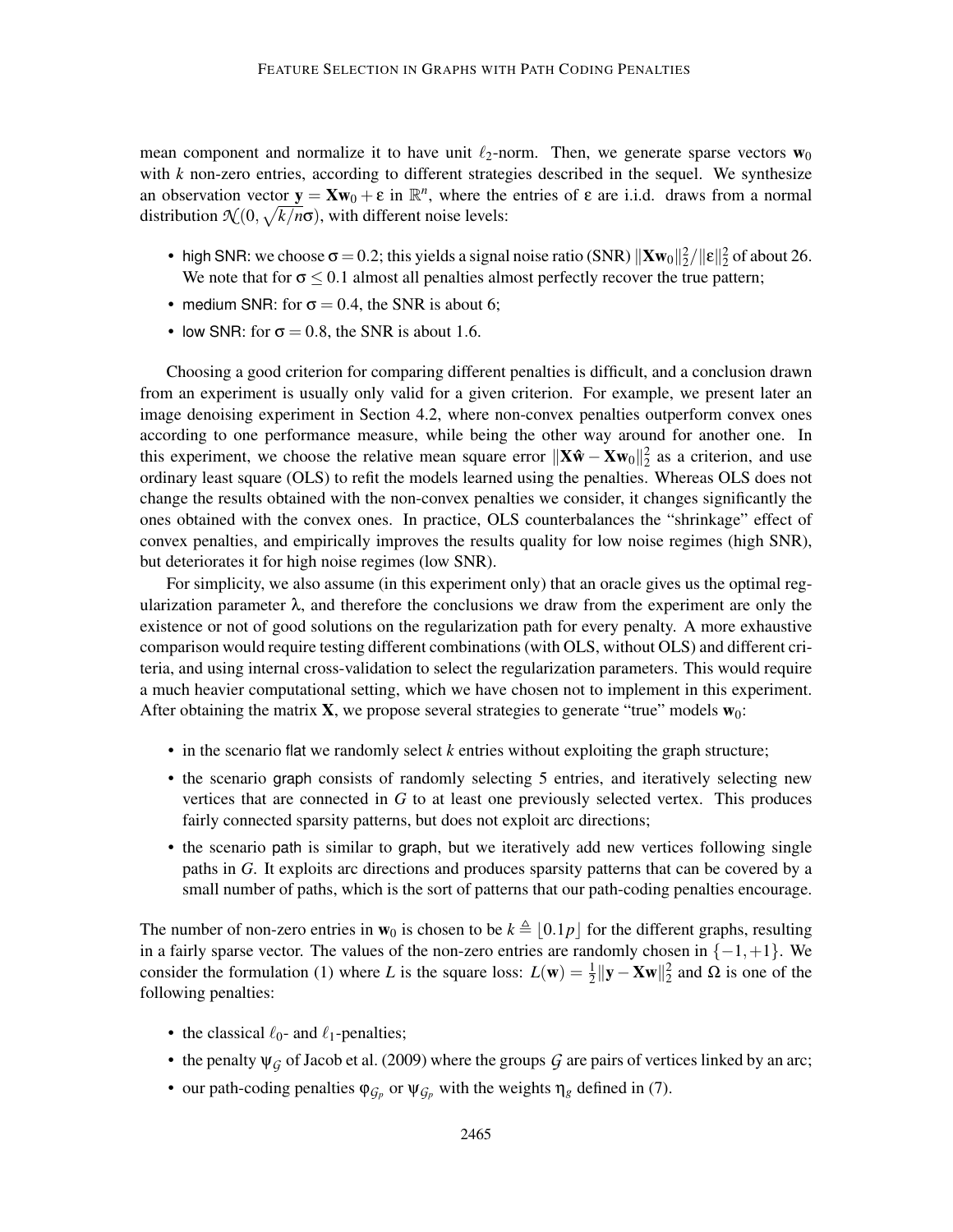mean component and normalize it to have unit  $\ell_2$ -norm. Then, we generate sparse vectors  $w_0$ with *k* non-zero entries, according to different strategies described in the sequel. We synthesize an observation vector  $y = Xw_0 + \varepsilon$  in  $\mathbb{R}^n$ , where the entries of  $\varepsilon$  are i.i.d. draws from a normal distribution  $\mathcal{N}(0, \sqrt{k/n}\sigma)$ , with different noise levels:

- high SNR: we choose  $\sigma = 0.2$ ; this yields a signal noise ratio (SNR)  $\|\mathbf{Xw}_0\|_2^2 / \|\mathbf{\varepsilon}\|_2^2$  of about 26. We note that for  $\sigma \leq 0.1$  almost all penalties almost perfectly recover the true pattern;
- medium SNR: for  $\sigma = 0.4$ , the SNR is about 6;
- low SNR: for  $\sigma = 0.8$ , the SNR is about 1.6.

Choosing a good criterion for comparing different penalties is difficult, and a conclusion drawn from an experiment is usually only valid for a given criterion. For example, we present later an image denoising experiment in Section 4.2, where non-convex penalties outperform convex ones according to one performance measure, while being the other way around for another one. In this experiment, we choose the relative mean square error  $||\mathbf{X}\hat{\mathbf{w}} - \mathbf{X}\mathbf{w}_0||_2^2$  as a criterion, and use ordinary least square (OLS) to refit the models learned using the penalties. Whereas OLS does not change the results obtained with the non-convex penalties we consider, it changes significantly the ones obtained with the convex ones. In practice, OLS counterbalances the "shrinkage" effect of convex penalties, and empirically improves the results quality for low noise regimes (high SNR), but deteriorates it for high noise regimes (low SNR).

For simplicity, we also assume (in this experiment only) that an oracle gives us the optimal regularization parameter  $\lambda$ , and therefore the conclusions we draw from the experiment are only the existence or not of good solutions on the regularization path for every penalty. A more exhaustive comparison would require testing different combinations (with OLS, without OLS) and different criteria, and using internal cross-validation to select the regularization parameters. This would require a much heavier computational setting, which we have chosen not to implement in this experiment. After obtaining the matrix  $\mathbf{X}$ , we propose several strategies to generate "true" models  $\mathbf{w}_0$ :

- in the scenario flat we randomly select *k* entries without exploiting the graph structure;
- the scenario graph consists of randomly selecting 5 entries, and iteratively selecting new vertices that are connected in *G* to at least one previously selected vertex. This produces fairly connected sparsity patterns, but does not exploit arc directions;
- the scenario path is similar to graph, but we iteratively add new vertices following single paths in *G*. It exploits arc directions and produces sparsity patterns that can be covered by a small number of paths, which is the sort of patterns that our path-coding penalties encourage.

The number of non-zero entries in  $w_0$  is chosen to be  $k \triangleq |0.1p|$  for the different graphs, resulting in a fairly sparse vector. The values of the non-zero entries are randomly chosen in  $\{-1, +1\}$ . We consider the formulation (1) where *L* is the square loss:  $L(\mathbf{w}) = \frac{1}{2} ||\mathbf{y} - \mathbf{Xw}||_2^2$  and  $\Omega$  is one of the following penalties:

- the classical  $\ell_0$  and  $\ell_1$ -penalties;
- the penalty  $\psi_G$  of Jacob et al. (2009) where the groups  $G$  are pairs of vertices linked by an arc;
- our path-coding penalties  $\varphi_{\mathcal{G}_p}$  or  $\psi_{\mathcal{G}_p}$  with the weights  $\eta_g$  defined in (7).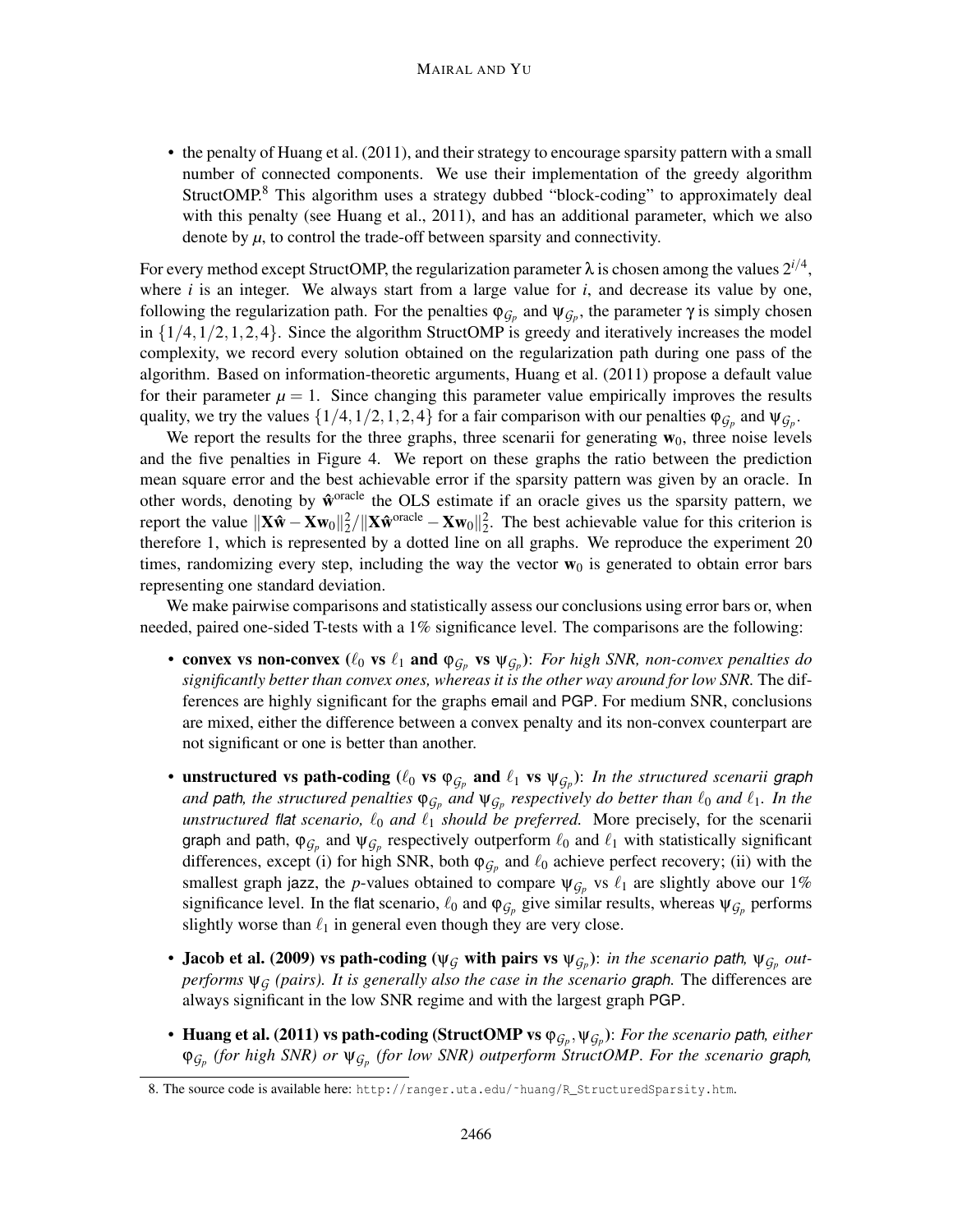• the penalty of Huang et al. (2011), and their strategy to encourage sparsity pattern with a small number of connected components. We use their implementation of the greedy algorithm StructOMP.<sup>8</sup> This algorithm uses a strategy dubbed "block-coding" to approximately deal with this penalty (see Huang et al., 2011), and has an additional parameter, which we also denote by  $\mu$ , to control the trade-off between sparsity and connectivity.

For every method except StructOMP, the regularization parameter  $\lambda$  is chosen among the values  $2^{i/4}$ , where *i* is an integer. We always start from a large value for *i*, and decrease its value by one, following the regularization path. For the penalties  $\varphi_{G_p}$  and  $\psi_{G_p}$ , the parameter  $\gamma$  is simply chosen in  $\{1/4, 1/2, 1, 2, 4\}$ . Since the algorithm StructOMP is greedy and iteratively increases the model complexity, we record every solution obtained on the regularization path during one pass of the algorithm. Based on information-theoretic arguments, Huang et al. (2011) propose a default value for their parameter  $\mu = 1$ . Since changing this parameter value empirically improves the results quality, we try the values  $\{1/4, 1/2, 1, 2, 4\}$  for a fair comparison with our penalties  $\varphi_{\mathcal{G}_p}$  and  $\psi_{\mathcal{G}_p}$ .

We report the results for the three graphs, three scenarii for generating  $w_0$ , three noise levels and the five penalties in Figure 4. We report on these graphs the ratio between the prediction mean square error and the best achievable error if the sparsity pattern was given by an oracle. In other words, denoting by  $\hat{w}^{\text{oracle}}$  the OLS estimate if an oracle gives us the sparsity pattern, we report the value  $||\mathbf{X}\hat{\mathbf{w}} - \mathbf{X}\mathbf{w}_0||_2^2 / ||\mathbf{X}\hat{\mathbf{w}}^{\text{oracle}} - \mathbf{X}\mathbf{w}_0||_2^2$ . The best achievable value for this criterion is therefore 1, which is represented by a dotted line on all graphs. We reproduce the experiment 20 times, randomizing every step, including the way the vector  $w_0$  is generated to obtain error bars representing one standard deviation.

We make pairwise comparisons and statistically assess our conclusions using error bars or, when needed, paired one-sided T-tests with a 1% significance level. The comparisons are the following:

- convex vs non-convex  $(\ell_0$  vs  $\ell_1$  and  $\varphi_{\mathcal{G}_p}$  vs  $\psi_{\mathcal{G}_p}$ ): *For high SNR, non-convex penalties do significantly better than convex ones, whereas it is the other way around for low SNR.* The differences are highly significant for the graphs email and PGP. For medium SNR, conclusions are mixed, either the difference between a convex penalty and its non-convex counterpart are not significant or one is better than another.
- unstructured vs path-coding  $(\ell_0$  vs  $\varphi_{\mathcal{G}_p}$  and  $\ell_1$  vs  $\psi_{\mathcal{G}_p}$ ): *In the structured scenarii graph and* path, the structured penalties  $\varphi_{\mathcal{G}_p}$  and  $\psi_{\mathcal{G}_p}$  respectively do better than  $\ell_0$  and  $\ell_1$ . In the *unstructured flat scenario,*  $\ell_0$  *and*  $\ell_1$  *should be preferred.* More precisely, for the scenarii graph and path,  $\varphi_{\mathcal{G}_p}$  and  $\psi_{\mathcal{G}_p}$  respectively outperform  $\ell_0$  and  $\ell_1$  with statistically significant differences, except (i) for high SNR, both  $\varphi_{\mathcal{G}_p}$  and  $\ell_0$  achieve perfect recovery; (ii) with the smallest graph jazz, the *p*-values obtained to compare  $\psi_{\mathcal{G}_p}$  vs  $\ell_1$  are slightly above our 1% significance level. In the flat scenario,  $\ell_0$  and  $\varphi_{\mathcal{G}_p}$  give similar results, whereas  $\psi_{\mathcal{G}_p}$  performs slightly worse than  $\ell_1$  in general even though they are very close.
- Jacob et al. (2009) vs path-coding ( $\psi_{\mathcal{G}}$  with pairs vs  $\psi_{\mathcal{G}_p}$ ): *in the scenario path*,  $\psi_{\mathcal{G}_p}$  *outperforms*  $\Psi_G$  (pairs). It is generally also the case in the scenario graph. The differences are always significant in the low SNR regime and with the largest graph PGP.
- Huang et al. (2011) vs path-coding (StructOMP vs  $\varphi_{G_p}, \psi_{G_p}$ ): *For the scenario path, either*  $\varphi_{\mathcal{G}_p}$  (for high SNR) or  $\psi_{\mathcal{G}_p}$  (for low SNR) outperform StructOMP. For the scenario graph,

<sup>8.</sup> The source code is available here: http://ranger.uta.edu/~huang/R\_StructuredSparsity.htm.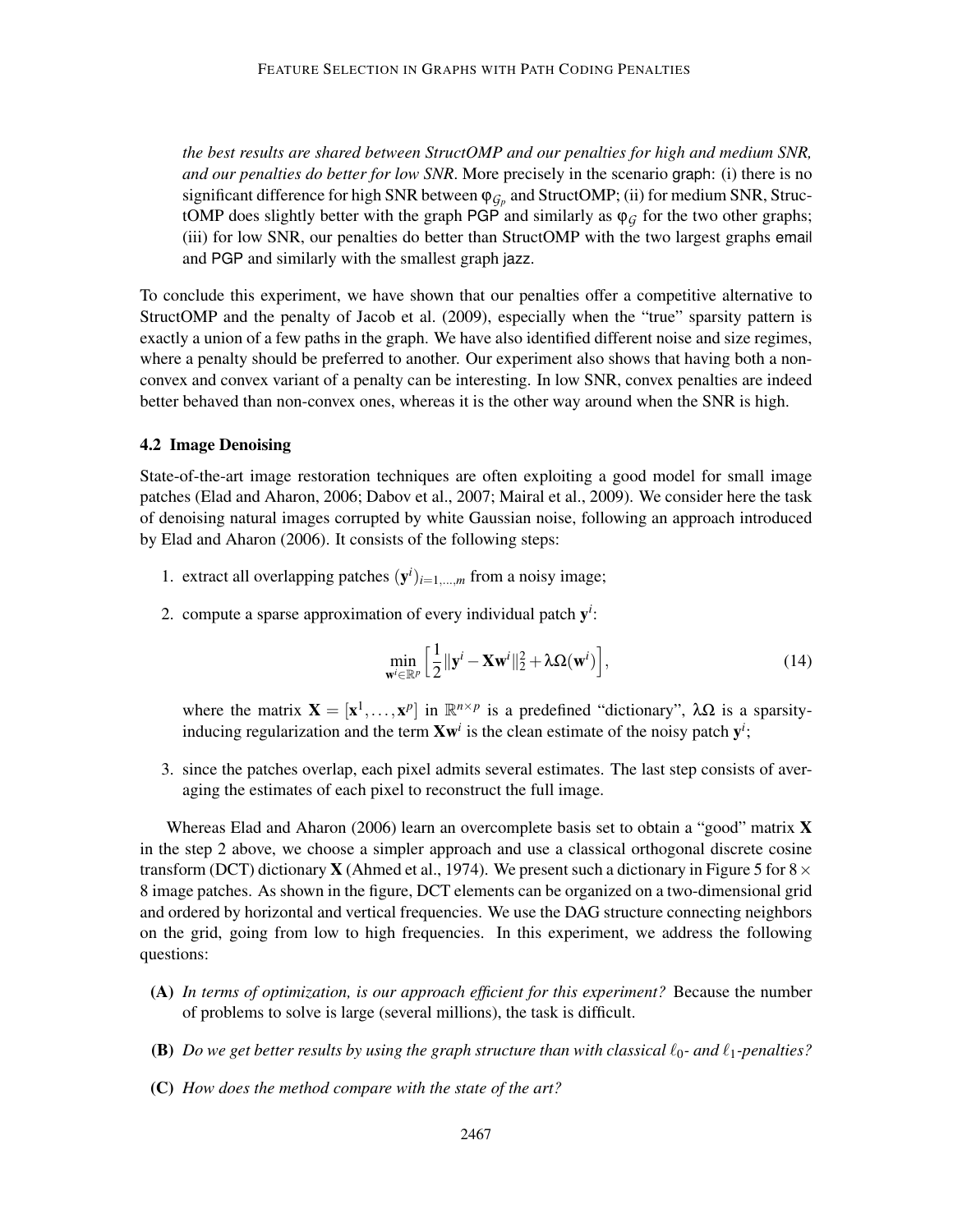*the best results are shared between StructOMP and our penalties for high and medium SNR, and our penalties do better for low SNR*. More precisely in the scenario graph: (i) there is no significant difference for high SNR between  $\varphi_{\mathcal{G}_p}$  and StructOMP; (ii) for medium SNR, StructOMP does slightly better with the graph PGP and similarly as  $\varphi_G$  for the two other graphs; (iii) for low SNR, our penalties do better than StructOMP with the two largest graphs email and PGP and similarly with the smallest graph jazz.

To conclude this experiment, we have shown that our penalties offer a competitive alternative to StructOMP and the penalty of Jacob et al. (2009), especially when the "true" sparsity pattern is exactly a union of a few paths in the graph. We have also identified different noise and size regimes, where a penalty should be preferred to another. Our experiment also shows that having both a nonconvex and convex variant of a penalty can be interesting. In low SNR, convex penalties are indeed better behaved than non-convex ones, whereas it is the other way around when the SNR is high.

## 4.2 Image Denoising

State-of-the-art image restoration techniques are often exploiting a good model for small image patches (Elad and Aharon, 2006; Dabov et al., 2007; Mairal et al., 2009). We consider here the task of denoising natural images corrupted by white Gaussian noise, following an approach introduced by Elad and Aharon (2006). It consists of the following steps:

- 1. extract all overlapping patches  $(y^i)_{i=1,\dots,m}$  from a noisy image;
- 2. compute a sparse approximation of every individual patch  $y^i$ :

$$
\min_{\mathbf{w}^i \in \mathbb{R}^p} \left[ \frac{1}{2} ||\mathbf{y}^i - \mathbf{X} \mathbf{w}^i||_2^2 + \lambda \Omega(\mathbf{w}^i) \right],\tag{14}
$$

where the matrix  $\mathbf{X} = [\mathbf{x}^1, \dots, \mathbf{x}^p]$  in  $\mathbb{R}^{n \times p}$  is a predefined "dictionary",  $\lambda \Omega$  is a sparsityinducing regularization and the term  $Xw^i$  is the clean estimate of the noisy patch  $y^i$ ;

3. since the patches overlap, each pixel admits several estimates. The last step consists of averaging the estimates of each pixel to reconstruct the full image.

Whereas Elad and Aharon (2006) learn an overcomplete basis set to obtain a "good" matrix  $\bf{X}$ in the step 2 above, we choose a simpler approach and use a classical orthogonal discrete cosine transform (DCT) dictionary **X** (Ahmed et al., 1974). We present such a dictionary in Figure 5 for  $8 \times$ 8 image patches. As shown in the figure, DCT elements can be organized on a two-dimensional grid and ordered by horizontal and vertical frequencies. We use the DAG structure connecting neighbors on the grid, going from low to high frequencies. In this experiment, we address the following questions:

- (A) *In terms of optimization, is our approach efficient for this experiment?* Because the number of problems to solve is large (several millions), the task is difficult.
- (B) *Do we get better results by using the graph structure than with classical*  $\ell_0$  *and*  $\ell_1$ *-penalties?*
- (C) *How does the method compare with the state of the art?*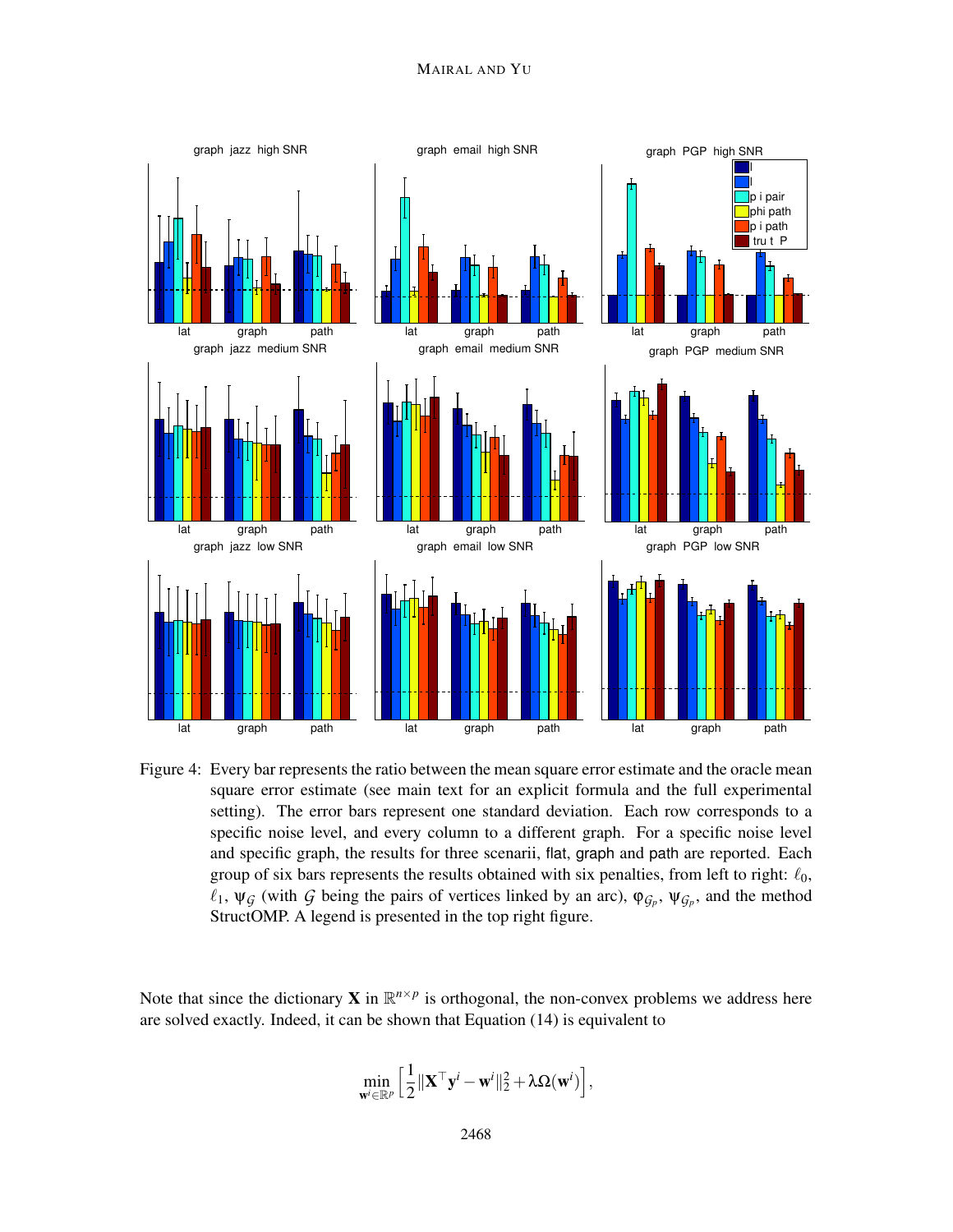

Figure 4: Every bar represents the ratio between the mean square error estimate and the oracle mean square error estimate (see main text for an explicit formula and the full experimental setting). The error bars represent one standard deviation. Each row corresponds to a specific noise level, and every column to a different graph. For a specific noise level and specific graph, the results for three scenarii, flat, graph and path are reported. Each group of six bars represents the results obtained with six penalties, from left to right:  $\ell_0$ ,  $\ell_1$ ,  $\psi$ <sup>*G*</sup> (with *G* being the pairs of vertices linked by an arc),  $\varphi$ <sub>*Gp*</sub>,  $\psi$ <sub>*Gp*</sub>, and the method StructOMP. A legend is presented in the top right figure.

Note that since the dictionary **X** in  $\mathbb{R}^{n \times p}$  is orthogonal, the non-convex problems we address here are solved exactly. Indeed, it can be shown that Equation (14) is equivalent to

$$
\min_{\mathbf{w}^i \in \mathbb{R}^p} \left[ \frac{1}{2} \| \mathbf{X}^\top \mathbf{y}^i - \mathbf{w}^i \|_2^2 + \lambda \Omega(\mathbf{w}^i) \right],
$$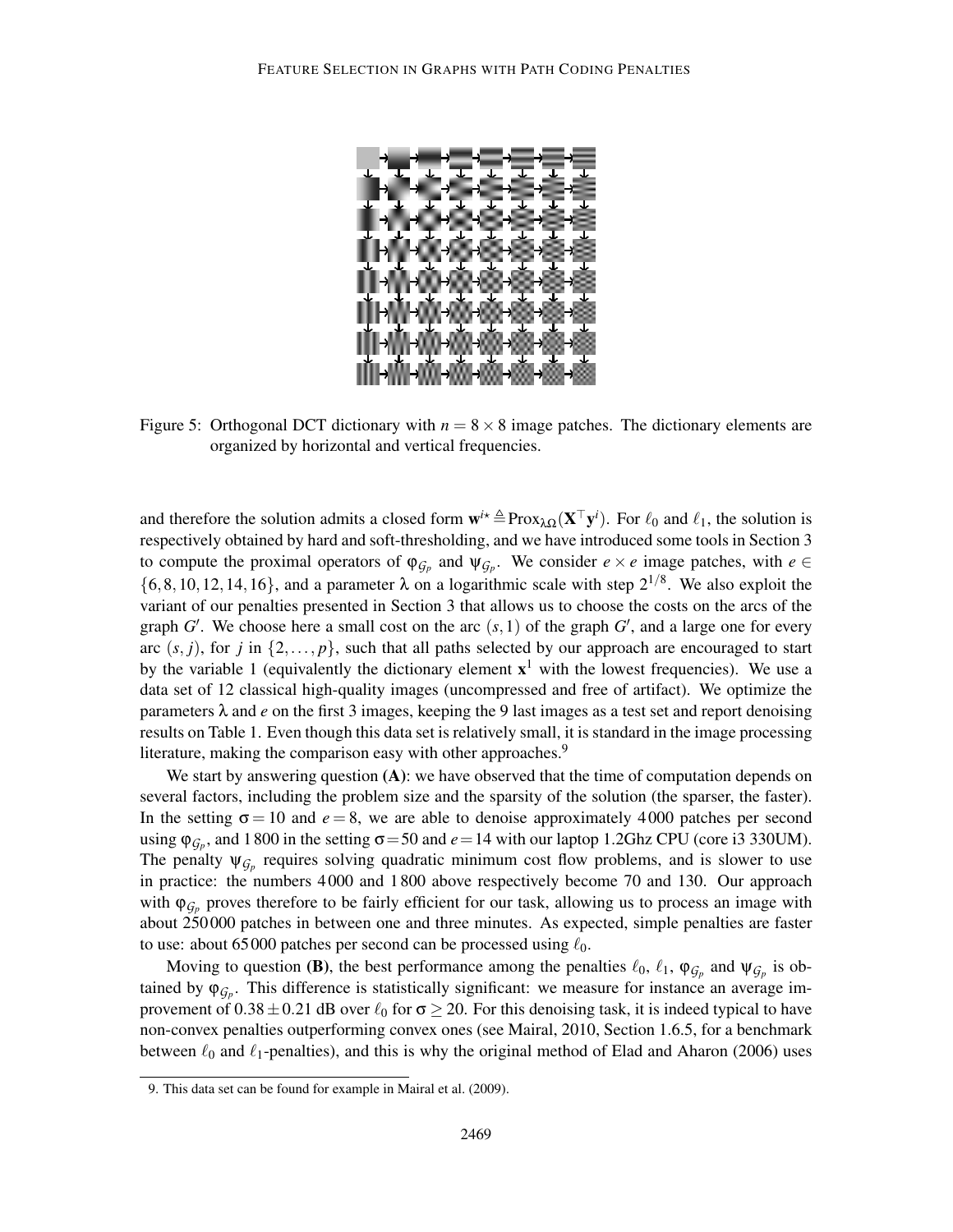

Figure 5: Orthogonal DCT dictionary with  $n = 8 \times 8$  image patches. The dictionary elements are organized by horizontal and vertical frequencies.

and therefore the solution admits a closed form  $w^{i*} \triangleq Prox_{\lambda\Omega}(X^{\top}y^{i})$ . For  $\ell_0$  and  $\ell_1$ , the solution is respectively obtained by hard and soft-thresholding, and we have introduced some tools in Section 3 to compute the proximal operators of  $\varphi_{\mathcal{G}_p}$  and  $\psi_{\mathcal{G}_p}$ . We consider  $e \times e$  image patches, with  $e \in$  $\{6, 8, 10, 12, 14, 16\}$ , and a parameter  $\lambda$  on a logarithmic scale with step  $2^{1/8}$ . We also exploit the variant of our penalties presented in Section 3 that allows us to choose the costs on the arcs of the graph  $G'$ . We choose here a small cost on the arc  $(s,1)$  of the graph  $G'$ , and a large one for every arc  $(s, j)$ , for *j* in  $\{2, \ldots, p\}$ , such that all paths selected by our approach are encouraged to start by the variable 1 (equivalently the dictionary element  $x<sup>1</sup>$  with the lowest frequencies). We use a data set of 12 classical high-quality images (uncompressed and free of artifact). We optimize the parameters  $\lambda$  and *e* on the first 3 images, keeping the 9 last images as a test set and report denoising results on Table 1. Even though this data set is relatively small, it is standard in the image processing literature, making the comparison easy with other approaches.<sup>9</sup>

We start by answering question  $(A)$ : we have observed that the time of computation depends on several factors, including the problem size and the sparsity of the solution (the sparser, the faster). In the setting  $\sigma = 10$  and  $e = 8$ , we are able to denoise approximately 4000 patches per second using  $\varphi_{\mathcal{G}_p}$ , and 1800 in the setting  $\sigma = 50$  and  $e = 14$  with our laptop 1.2Ghz CPU (core i3 330UM). The penalty  $\psi_{\mathcal{G}_p}$  requires solving quadratic minimum cost flow problems, and is slower to use in practice: the numbers 4 000 and 1 800 above respectively become 70 and 130. Our approach with  $\varphi_{\mathcal{G}_p}$  proves therefore to be fairly efficient for our task, allowing us to process an image with about 250 000 patches in between one and three minutes. As expected, simple penalties are faster to use: about 65 000 patches per second can be processed using  $\ell_0$ .

Moving to question (B), the best performance among the penalties  $\ell_0$ ,  $\ell_1$ ,  $\varphi_{G_p}$  and  $\psi_{G_p}$  is obtained by  $\varphi_{\mathcal{G}_p}$ . This difference is statistically significant: we measure for instance an average improvement of  $0.38 \pm 0.21$  dB over  $\ell_0$  for  $\sigma \ge 20$ . For this denoising task, it is indeed typical to have non-convex penalties outperforming convex ones (see Mairal, 2010, Section 1.6.5, for a benchmark between  $\ell_0$  and  $\ell_1$ -penalties), and this is why the original method of Elad and Aharon (2006) uses

<sup>9.</sup> This data set can be found for example in Mairal et al. (2009).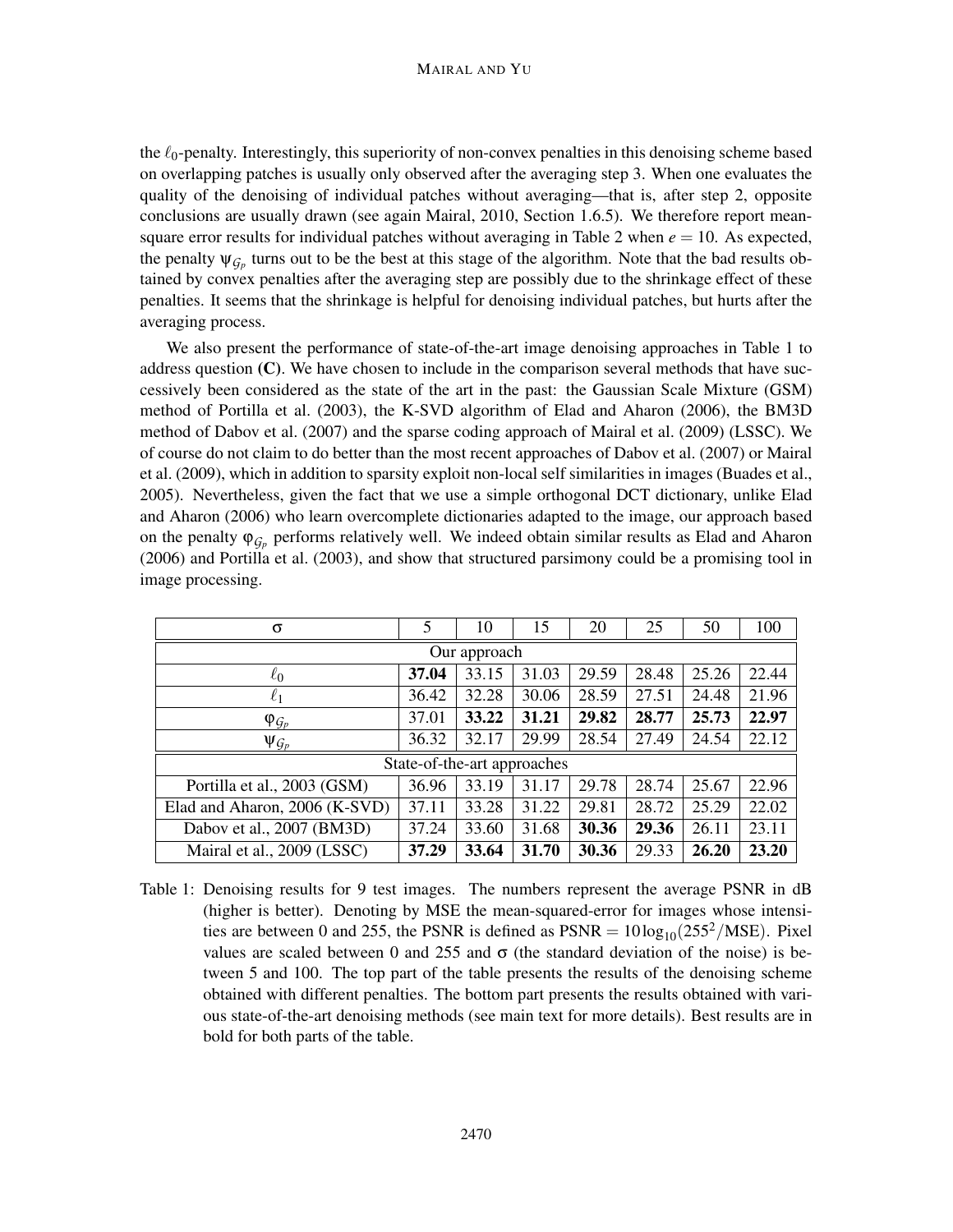#### MAIRAL AND YU

the  $\ell_0$ -penalty. Interestingly, this superiority of non-convex penalties in this denoising scheme based on overlapping patches is usually only observed after the averaging step 3. When one evaluates the quality of the denoising of individual patches without averaging—that is, after step 2, opposite conclusions are usually drawn (see again Mairal, 2010, Section 1.6.5). We therefore report meansquare error results for individual patches without averaging in Table 2 when  $e = 10$ . As expected, the penalty  $\psi_{\mathcal{G}_p}$  turns out to be the best at this stage of the algorithm. Note that the bad results obtained by convex penalties after the averaging step are possibly due to the shrinkage effect of these penalties. It seems that the shrinkage is helpful for denoising individual patches, but hurts after the averaging process.

We also present the performance of state-of-the-art image denoising approaches in Table 1 to address question (C). We have chosen to include in the comparison several methods that have successively been considered as the state of the art in the past: the Gaussian Scale Mixture (GSM) method of Portilla et al. (2003), the K-SVD algorithm of Elad and Aharon (2006), the BM3D method of Dabov et al. (2007) and the sparse coding approach of Mairal et al. (2009) (LSSC). We of course do not claim to do better than the most recent approaches of Dabov et al. (2007) or Mairal et al. (2009), which in addition to sparsity exploit non-local self similarities in images (Buades et al., 2005). Nevertheless, given the fact that we use a simple orthogonal DCT dictionary, unlike Elad and Aharon (2006) who learn overcomplete dictionaries adapted to the image, our approach based on the penalty  $\varphi_{\mathcal{G}_p}$  performs relatively well. We indeed obtain similar results as Elad and Aharon (2006) and Portilla et al. (2003), and show that structured parsimony could be a promising tool in image processing.

| σ                             | 5     | 10    | 15    | 20    | 25    | 50    | 100   |
|-------------------------------|-------|-------|-------|-------|-------|-------|-------|
| Our approach                  |       |       |       |       |       |       |       |
| $\ell_0$                      | 37.04 | 33.15 | 31.03 | 29.59 | 28.48 | 25.26 | 22.44 |
| $\ell_1$                      | 36.42 | 32.28 | 30.06 | 28.59 | 27.51 | 24.48 | 21.96 |
| $\varphi_{\mathcal{G}_p}$     | 37.01 | 33.22 | 31.21 | 29.82 | 28.77 | 25.73 | 22.97 |
| $\Psi_{\mathcal{G}_p}$        | 36.32 | 32.17 | 29.99 | 28.54 | 27.49 | 24.54 | 22.12 |
| State-of-the-art approaches   |       |       |       |       |       |       |       |
| Portilla et al., 2003 (GSM)   | 36.96 | 33.19 | 31.17 | 29.78 | 28.74 | 25.67 | 22.96 |
| Elad and Aharon, 2006 (K-SVD) | 37.11 | 33.28 | 31.22 | 29.81 | 28.72 | 25.29 | 22.02 |
| Dabov et al., 2007 (BM3D)     | 37.24 | 33.60 | 31.68 | 30.36 | 29.36 | 26.11 | 23.11 |
| Mairal et al., 2009 (LSSC)    | 37.29 | 33.64 | 31.70 | 30.36 | 29.33 | 26.20 | 23.20 |

Table 1: Denoising results for 9 test images. The numbers represent the average PSNR in dB (higher is better). Denoting by MSE the mean-squared-error for images whose intensities are between 0 and 255, the PSNR is defined as  $PSNR = 10 \log_{10}(255^2/\text{MSE})$ . Pixel values are scaled between 0 and 255 and  $\sigma$  (the standard deviation of the noise) is between 5 and 100. The top part of the table presents the results of the denoising scheme obtained with different penalties. The bottom part presents the results obtained with various state-of-the-art denoising methods (see main text for more details). Best results are in bold for both parts of the table.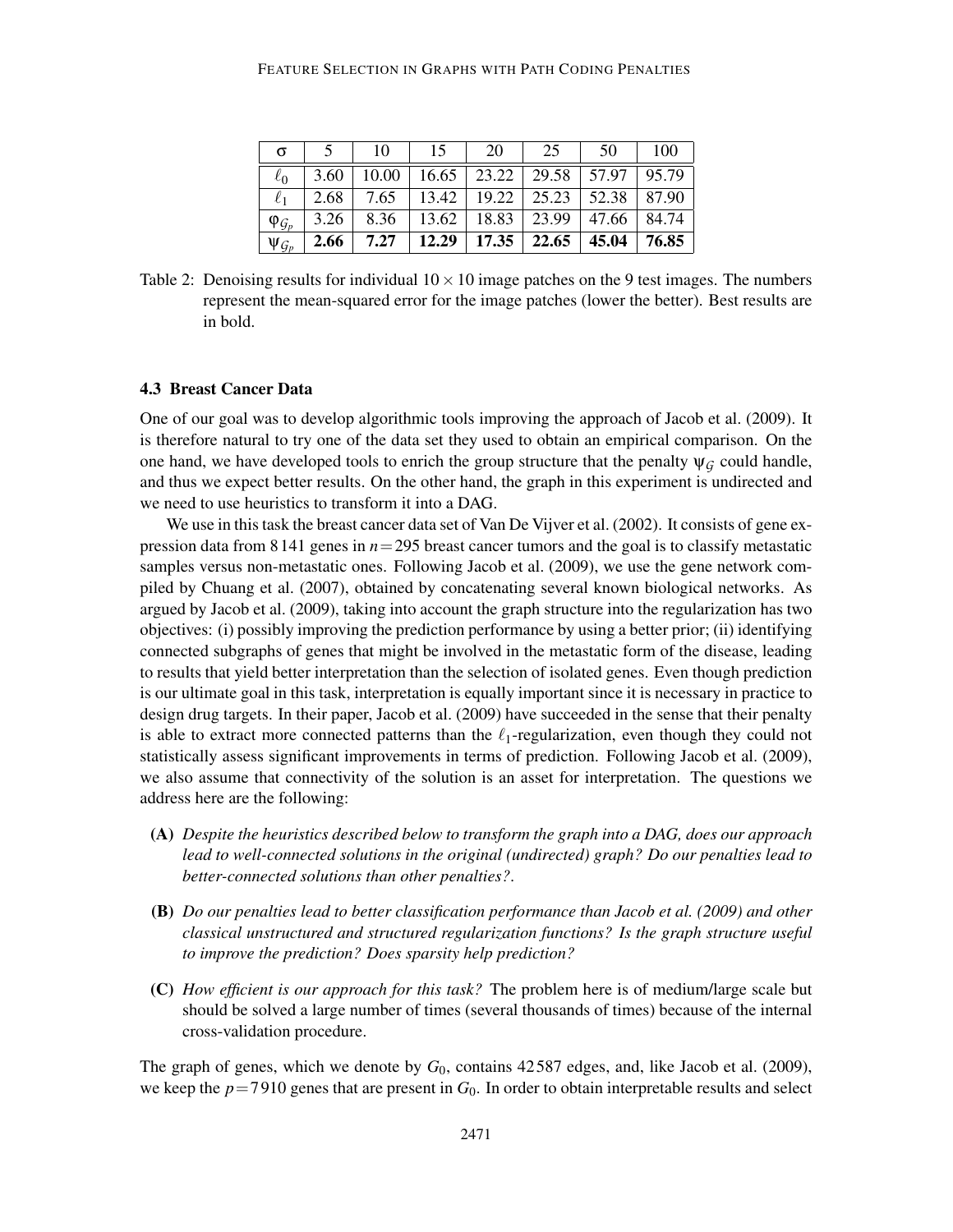#### FEATURE SELECTION IN GRAPHS WITH PATH CODING PENALTIES

| σ               |      | 10                                                     | 15. | 20 | 25                                           | 50 | 100   |
|-----------------|------|--------------------------------------------------------|-----|----|----------------------------------------------|----|-------|
| $\ell_0$        |      | $3.60$   10.00   16.65   23.22   29.58   57.97   95.79 |     |    |                                              |    |       |
|                 |      | $2.68$   7.65   13.42   19.22   25.23   52.38   87.90  |     |    |                                              |    |       |
| $\varphi_{G_p}$ | 3.26 |                                                        |     |    | 8.36   13.62   18.83   23.99   47.66   84.74 |    |       |
| $\Psi_{G_p}$    | 2.66 | $7.27$                                                 |     |    | $12.29$   17.35   22.65   45.04              |    | 76.85 |

Table 2: Denoising results for individual  $10 \times 10$  image patches on the 9 test images. The numbers represent the mean-squared error for the image patches (lower the better). Best results are in bold.

#### 4.3 Breast Cancer Data

One of our goal was to develop algorithmic tools improving the approach of Jacob et al. (2009). It is therefore natural to try one of the data set they used to obtain an empirical comparison. On the one hand, we have developed tools to enrich the group structure that the penalty  $\psi_G$  could handle, and thus we expect better results. On the other hand, the graph in this experiment is undirected and we need to use heuristics to transform it into a DAG.

We use in this task the breast cancer data set of Van De Vijver et al. (2002). It consists of gene expression data from 8 141 genes in *n*=295 breast cancer tumors and the goal is to classify metastatic samples versus non-metastatic ones. Following Jacob et al. (2009), we use the gene network compiled by Chuang et al. (2007), obtained by concatenating several known biological networks. As argued by Jacob et al. (2009), taking into account the graph structure into the regularization has two objectives: (i) possibly improving the prediction performance by using a better prior; (ii) identifying connected subgraphs of genes that might be involved in the metastatic form of the disease, leading to results that yield better interpretation than the selection of isolated genes. Even though prediction is our ultimate goal in this task, interpretation is equally important since it is necessary in practice to design drug targets. In their paper, Jacob et al. (2009) have succeeded in the sense that their penalty is able to extract more connected patterns than the  $\ell_1$ -regularization, even though they could not statistically assess significant improvements in terms of prediction. Following Jacob et al. (2009), we also assume that connectivity of the solution is an asset for interpretation. The questions we address here are the following:

- (A) *Despite the heuristics described below to transform the graph into a DAG, does our approach lead to well-connected solutions in the original (undirected) graph? Do our penalties lead to better-connected solutions than other penalties?*.
- (B) *Do our penalties lead to better classification performance than Jacob et al. (2009) and other classical unstructured and structured regularization functions? Is the graph structure useful to improve the prediction? Does sparsity help prediction?*
- (C) *How efficient is our approach for this task?* The problem here is of medium/large scale but should be solved a large number of times (several thousands of times) because of the internal cross-validation procedure.

The graph of genes, which we denote by  $G_0$ , contains 42587 edges, and, like Jacob et al. (2009), we keep the  $p=7910$  genes that are present in  $G_0$ . In order to obtain interpretable results and select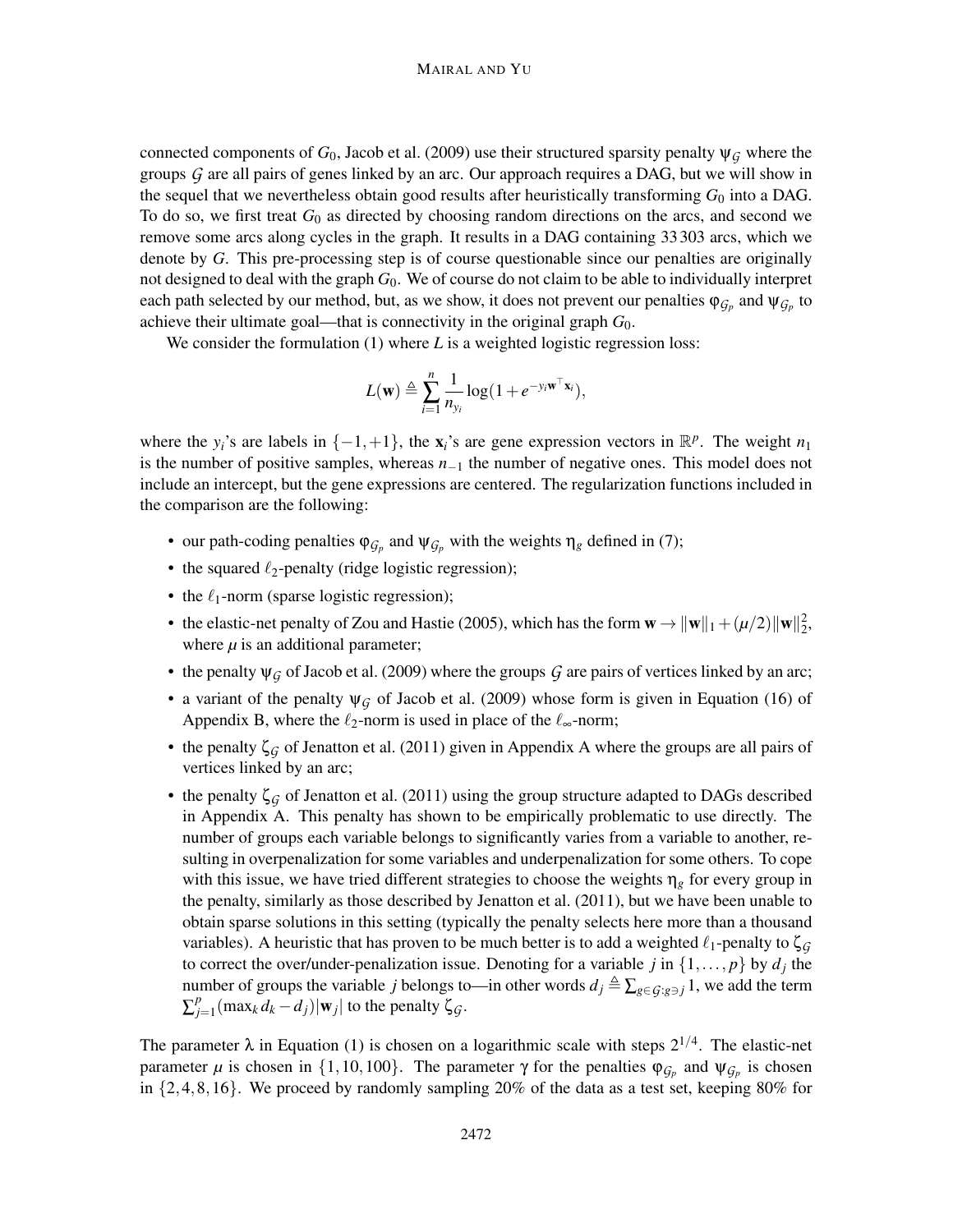connected components of  $G_0$ , Jacob et al. (2009) use their structured sparsity penalty  $\psi_G$  where the groups *G* are all pairs of genes linked by an arc. Our approach requires a DAG, but we will show in the sequel that we nevertheless obtain good results after heuristically transforming  $G_0$  into a DAG. To do so, we first treat *G*<sup>0</sup> as directed by choosing random directions on the arcs, and second we remove some arcs along cycles in the graph. It results in a DAG containing 33303 arcs, which we denote by *G*. This pre-processing step is of course questionable since our penalties are originally not designed to deal with the graph *G*0. We of course do not claim to be able to individually interpret each path selected by our method, but, as we show, it does not prevent our penalties  $\varphi_{\mathcal{G}_p}$  and  $\psi_{\mathcal{G}_p}$  to achieve their ultimate goal—that is connectivity in the original graph *G*0.

We consider the formulation (1) where *L* is a weighted logistic regression loss:

$$
L(\mathbf{w}) \triangleq \sum_{i=1}^{n} \frac{1}{n_{y_i}} \log(1 + e^{-y_i \mathbf{w}^\top \mathbf{x}_i}),
$$

where the *y<sub>i</sub>*'s are labels in  $\{-1, +1\}$ , the  $\mathbf{x}_i$ 's are gene expression vectors in  $\mathbb{R}^p$ . The weight  $n_1$ is the number of positive samples, whereas *n*−<sup>1</sup> the number of negative ones. This model does not include an intercept, but the gene expressions are centered. The regularization functions included in the comparison are the following:

- our path-coding penalties  $\varphi_{\mathcal{G}_p}$  and  $\psi_{\mathcal{G}_p}$  with the weights  $\eta_g$  defined in (7);
- the squared  $\ell_2$ -penalty (ridge logistic regression);
- the  $\ell_1$ -norm (sparse logistic regression);
- the elastic-net penalty of Zou and Hastie (2005), which has the form  $\mathbf{w} \rightarrow ||\mathbf{w}||_1 + (\mu/2)||\mathbf{w}||_2^2$ , where  $\mu$  is an additional parameter;
- the penalty  $\psi_G$  of Jacob et al. (2009) where the groups  $G$  are pairs of vertices linked by an arc;
- a variant of the penalty  $\psi$ <sup>*G*</sup> of Jacob et al. (2009) whose form is given in Equation (16) of Appendix B, where the  $\ell_2$ -norm is used in place of the  $\ell_{\infty}$ -norm;
- the penalty ζ*G* of Jenatton et al. (2011) given in Appendix A where the groups are all pairs of vertices linked by an arc;
- the penalty  $\zeta_q$  of Jenatton et al. (2011) using the group structure adapted to DAGs described in Appendix A. This penalty has shown to be empirically problematic to use directly. The number of groups each variable belongs to significantly varies from a variable to another, resulting in overpenalization for some variables and underpenalization for some others. To cope with this issue, we have tried different strategies to choose the weights  $\eta_g$  for every group in the penalty, similarly as those described by Jenatton et al. (2011), but we have been unable to obtain sparse solutions in this setting (typically the penalty selects here more than a thousand variables). A heuristic that has proven to be much better is to add a weighted  $\ell_1$ -penalty to  $\zeta_G$ to correct the over/under-penalization issue. Denoting for a variable *j* in  $\{1, \ldots, p\}$  by  $d_j$  the number of groups the variable *j* belongs to—in other words  $d_j \triangleq \sum_{g \in G: g \ni j} 1$ , we add the term ∑ *p*  $\int_{j=1}^{p}$  (max<sub>*k*</sub> *d<sub>k</sub>* − *d<sub>j</sub>*)|**w**<sub>*j*</sub>| to the penalty ζ*G*.

The parameter  $\lambda$  in Equation (1) is chosen on a logarithmic scale with steps  $2^{1/4}$ . The elastic-net parameter  $\mu$  is chosen in  $\{1,10,100\}$ . The parameter  $\gamma$  for the penalties  $\varphi_{\mathcal{G}_p}$  and  $\psi_{\mathcal{G}_p}$  is chosen in  $\{2,4,8,16\}$ . We proceed by randomly sampling 20% of the data as a test set, keeping 80% for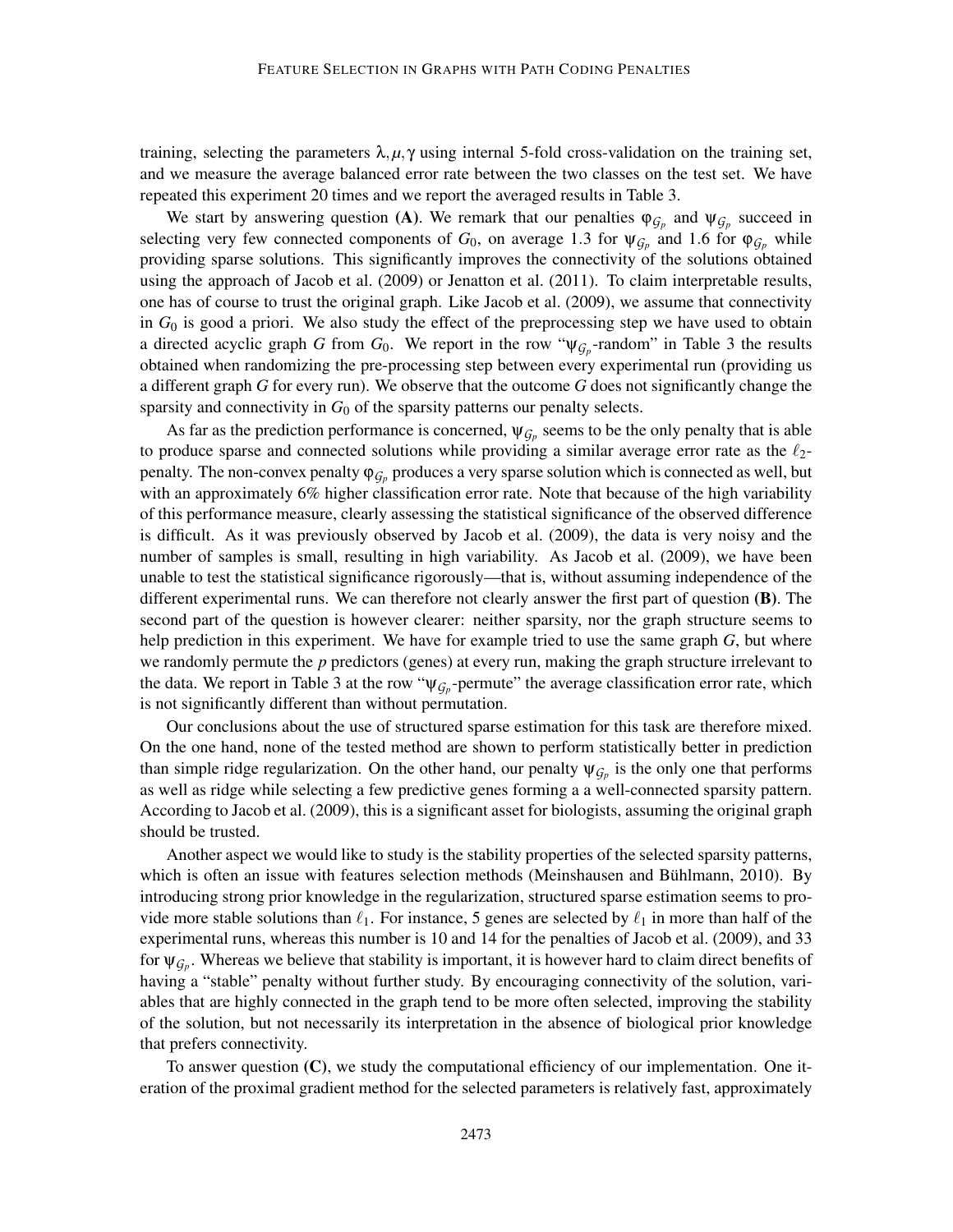training, selecting the parameters  $\lambda, \mu, \gamma$  using internal 5-fold cross-validation on the training set, and we measure the average balanced error rate between the two classes on the test set. We have repeated this experiment 20 times and we report the averaged results in Table 3.

We start by answering question (A). We remark that our penalties  $\varphi_{\mathcal{G}_p}$  and  $\psi_{\mathcal{G}_p}$  succeed in selecting very few connected components of  $G_0$ , on average 1.3 for  $\psi_{G_p}$  and 1.6 for  $\varphi_{G_p}$  while providing sparse solutions. This significantly improves the connectivity of the solutions obtained using the approach of Jacob et al. (2009) or Jenatton et al. (2011). To claim interpretable results, one has of course to trust the original graph. Like Jacob et al. (2009), we assume that connectivity in  $G_0$  is good a priori. We also study the effect of the preprocessing step we have used to obtain a directed acyclic graph *G* from  $G_0$ . We report in the row " $\psi_{G_p}$ -random" in Table 3 the results obtained when randomizing the pre-processing step between every experimental run (providing us a different graph *G* for every run). We observe that the outcome *G* does not significantly change the sparsity and connectivity in  $G_0$  of the sparsity patterns our penalty selects.

As far as the prediction performance is concerned,  $\psi_{\mathcal{G}_p}$  seems to be the only penalty that is able to produce sparse and connected solutions while providing a similar average error rate as the  $\ell_2$ penalty. The non-convex penalty  $\varphi_{\mathcal{G}_p}$  produces a very sparse solution which is connected as well, but with an approximately 6% higher classification error rate. Note that because of the high variability of this performance measure, clearly assessing the statistical significance of the observed difference is difficult. As it was previously observed by Jacob et al. (2009), the data is very noisy and the number of samples is small, resulting in high variability. As Jacob et al. (2009), we have been unable to test the statistical significance rigorously—that is, without assuming independence of the different experimental runs. We can therefore not clearly answer the first part of question (B). The second part of the question is however clearer: neither sparsity, nor the graph structure seems to help prediction in this experiment. We have for example tried to use the same graph *G*, but where we randomly permute the *p* predictors (genes) at every run, making the graph structure irrelevant to the data. We report in Table 3 at the row " $\Psi_{\mathcal{G}_p}$ -permute" the average classification error rate, which is not significantly different than without permutation.

Our conclusions about the use of structured sparse estimation for this task are therefore mixed. On the one hand, none of the tested method are shown to perform statistically better in prediction than simple ridge regularization. On the other hand, our penalty  $\psi_{\mathcal{G}_p}$  is the only one that performs as well as ridge while selecting a few predictive genes forming a a well-connected sparsity pattern. According to Jacob et al. (2009), this is a significant asset for biologists, assuming the original graph should be trusted.

Another aspect we would like to study is the stability properties of the selected sparsity patterns, which is often an issue with features selection methods (Meinshausen and Bühlmann, 2010). By introducing strong prior knowledge in the regularization, structured sparse estimation seems to provide more stable solutions than  $\ell_1$ . For instance, 5 genes are selected by  $\ell_1$  in more than half of the experimental runs, whereas this number is 10 and 14 for the penalties of Jacob et al. (2009), and 33 for  $\psi_{\mathcal{G}_p}$ . Whereas we believe that stability is important, it is however hard to claim direct benefits of having a "stable" penalty without further study. By encouraging connectivity of the solution, variables that are highly connected in the graph tend to be more often selected, improving the stability of the solution, but not necessarily its interpretation in the absence of biological prior knowledge that prefers connectivity.

To answer question (C), we study the computational efficiency of our implementation. One iteration of the proximal gradient method for the selected parameters is relatively fast, approximately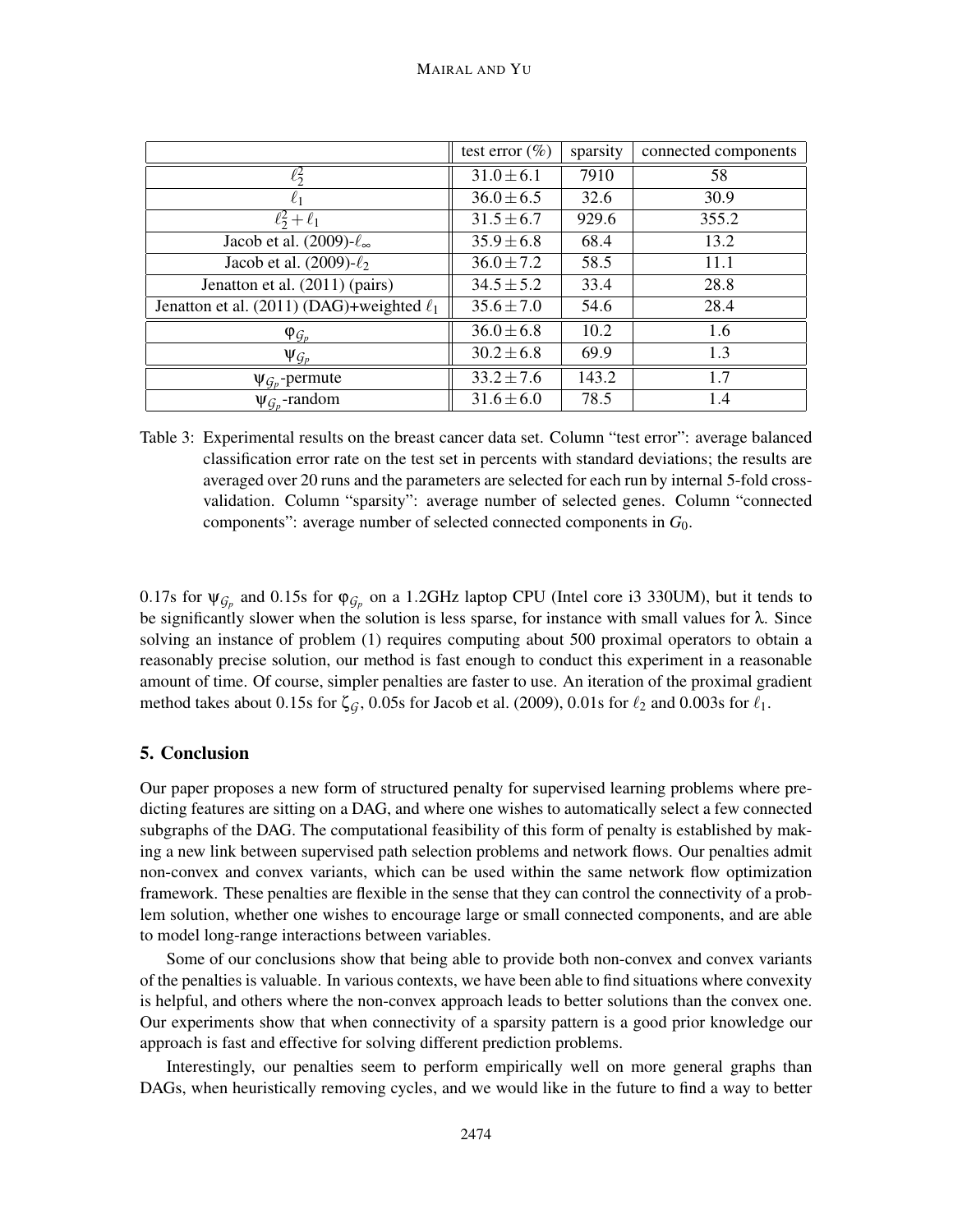|                                                | test error $(\%)$ | sparsity | connected components |
|------------------------------------------------|-------------------|----------|----------------------|
| $\ell^2$                                       | $31.0 \pm 6.1$    | 7910     | 58                   |
| $\ell_1$                                       | $36.0 \pm 6.5$    | 32.6     | 30.9                 |
| $\ell_2^2+\ell_1$                              | $31.5 \pm 6.7$    | 929.6    | 355.2                |
| Jacob et al. $(2009)-\ell_{\infty}$            | $35.9 \pm 6.8$    | 68.4     | 13.2                 |
| Jacob et al. $(2009)-\ell_2$                   | $36.0 \pm 7.2$    | 58.5     | 11.1                 |
| Jenatton et al. (2011) (pairs)                 | $34.5 \pm 5.2$    | 33.4     | 28.8                 |
| Jenatton et al. (2011) (DAG)+weighted $\ell_1$ | $35.6 \pm 7.0$    | 54.6     | 28.4                 |
| $\varphi_{G_p}$                                | $36.0 \pm 6.8$    | 10.2     | 1.6                  |
| $\Psi_{\mathcal{G}_p}$                         | $30.2 \pm 6.8$    | 69.9     | 1.3                  |
| $\Psi_{G_p}$ -permute                          | $33.2 \pm 7.6$    | 143.2    | 1.7                  |
| $\Psi_{G_p}$ -random                           | $31.6 \pm 6.0$    | 78.5     | 1.4                  |

Table 3: Experimental results on the breast cancer data set. Column "test error": average balanced classification error rate on the test set in percents with standard deviations; the results are averaged over 20 runs and the parameters are selected for each run by internal 5-fold crossvalidation. Column "sparsity": average number of selected genes. Column "connected components": average number of selected connected components in *G*0.

0.17s for  $\psi_{\mathcal{G}_p}$  and 0.15s for  $\varphi_{\mathcal{G}_p}$  on a 1.2GHz laptop CPU (Intel core i3 330UM), but it tends to be significantly slower when the solution is less sparse, for instance with small values for  $\lambda$ . Since solving an instance of problem (1) requires computing about 500 proximal operators to obtain a reasonably precise solution, our method is fast enough to conduct this experiment in a reasonable amount of time. Of course, simpler penalties are faster to use. An iteration of the proximal gradient method takes about 0.15s for  $\zeta_G$ , 0.05s for Jacob et al. (2009), 0.01s for  $\ell_2$  and 0.003s for  $\ell_1$ .

## 5. Conclusion

Our paper proposes a new form of structured penalty for supervised learning problems where predicting features are sitting on a DAG, and where one wishes to automatically select a few connected subgraphs of the DAG. The computational feasibility of this form of penalty is established by making a new link between supervised path selection problems and network flows. Our penalties admit non-convex and convex variants, which can be used within the same network flow optimization framework. These penalties are flexible in the sense that they can control the connectivity of a problem solution, whether one wishes to encourage large or small connected components, and are able to model long-range interactions between variables.

Some of our conclusions show that being able to provide both non-convex and convex variants of the penalties is valuable. In various contexts, we have been able to find situations where convexity is helpful, and others where the non-convex approach leads to better solutions than the convex one. Our experiments show that when connectivity of a sparsity pattern is a good prior knowledge our approach is fast and effective for solving different prediction problems.

Interestingly, our penalties seem to perform empirically well on more general graphs than DAGs, when heuristically removing cycles, and we would like in the future to find a way to better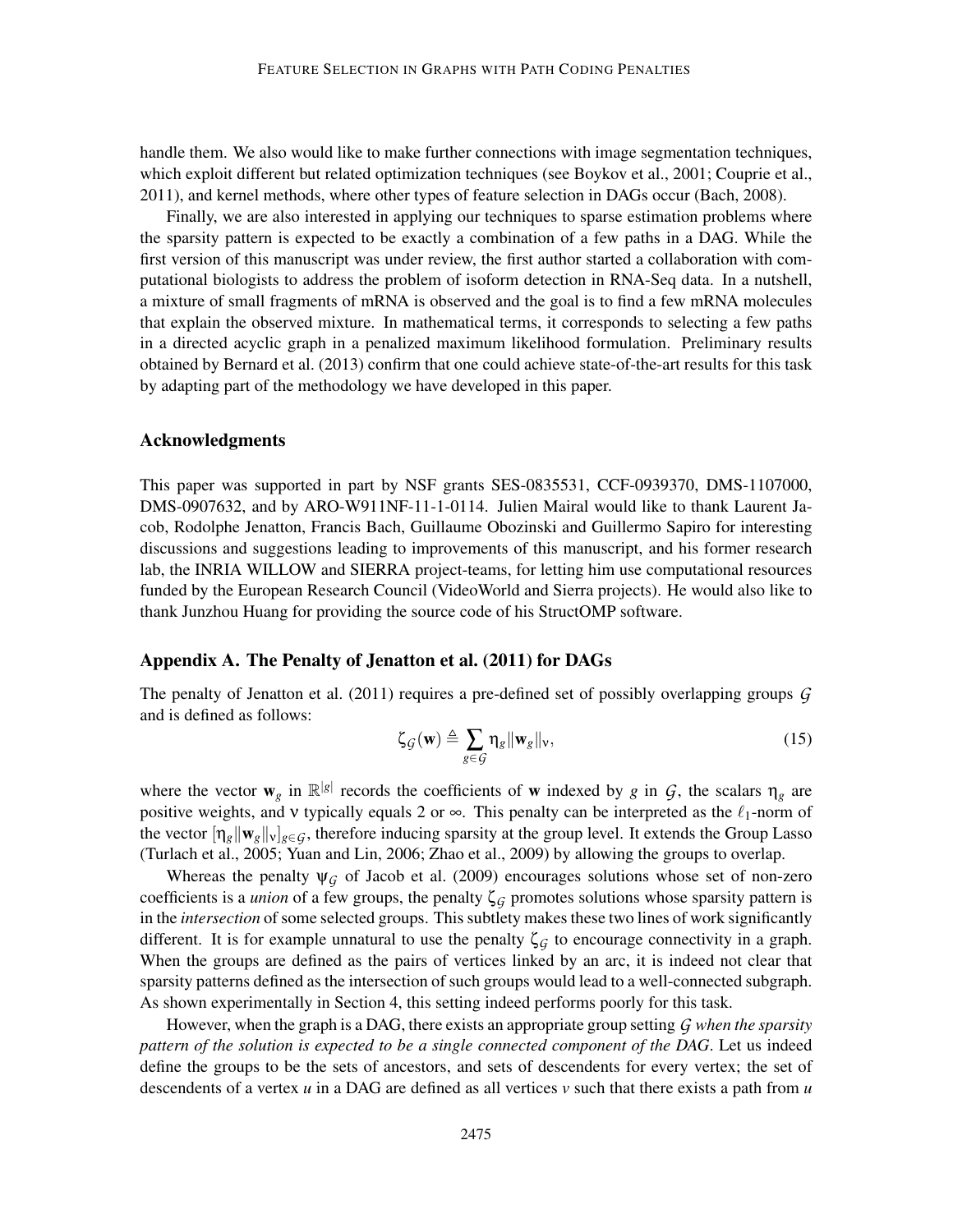handle them. We also would like to make further connections with image segmentation techniques, which exploit different but related optimization techniques (see Boykov et al., 2001; Couprie et al., 2011), and kernel methods, where other types of feature selection in DAGs occur (Bach, 2008).

Finally, we are also interested in applying our techniques to sparse estimation problems where the sparsity pattern is expected to be exactly a combination of a few paths in a DAG. While the first version of this manuscript was under review, the first author started a collaboration with computational biologists to address the problem of isoform detection in RNA-Seq data. In a nutshell, a mixture of small fragments of mRNA is observed and the goal is to find a few mRNA molecules that explain the observed mixture. In mathematical terms, it corresponds to selecting a few paths in a directed acyclic graph in a penalized maximum likelihood formulation. Preliminary results obtained by Bernard et al. (2013) confirm that one could achieve state-of-the-art results for this task by adapting part of the methodology we have developed in this paper.

## Acknowledgments

This paper was supported in part by NSF grants SES-0835531, CCF-0939370, DMS-1107000, DMS-0907632, and by ARO-W911NF-11-1-0114. Julien Mairal would like to thank Laurent Jacob, Rodolphe Jenatton, Francis Bach, Guillaume Obozinski and Guillermo Sapiro for interesting discussions and suggestions leading to improvements of this manuscript, and his former research lab, the INRIA WILLOW and SIERRA project-teams, for letting him use computational resources funded by the European Research Council (VideoWorld and Sierra projects). He would also like to thank Junzhou Huang for providing the source code of his StructOMP software.

## Appendix A. The Penalty of Jenatton et al. (2011) for DAGs

The penalty of Jenatton et al. (2011) requires a pre-defined set of possibly overlapping groups *G* and is defined as follows:

$$
\zeta_{\mathcal{G}}(\mathbf{w}) \triangleq \sum_{g \in \mathcal{G}} \eta_g \|\mathbf{w}_g\|_{\mathbf{v}},\tag{15}
$$

where the vector  $w_g$  in  $\mathbb{R}^{|g|}$  records the coefficients of w indexed by *g* in *G*, the scalars  $\eta_g$  are positive weights, and v typically equals 2 or  $\infty$ . This penalty can be interpreted as the  $\ell_1$ -norm of the vector  $\eta_g \|\mathbf{w}_g\|_{\mathbf{y}}_{g \in G}$ , therefore inducing sparsity at the group level. It extends the Group Lasso (Turlach et al., 2005; Yuan and Lin, 2006; Zhao et al., 2009) by allowing the groups to overlap.

Whereas the penalty  $\psi_G$  of Jacob et al. (2009) encourages solutions whose set of non-zero coefficients is a *union* of a few groups, the penalty  $\zeta$ <sup>*G*</sup> promotes solutions whose sparsity pattern is in the *intersection* of some selected groups. This subtlety makes these two lines of work significantly different. It is for example unnatural to use the penalty  $\zeta_G$  to encourage connectivity in a graph. When the groups are defined as the pairs of vertices linked by an arc, it is indeed not clear that sparsity patterns defined as the intersection of such groups would lead to a well-connected subgraph. As shown experimentally in Section 4, this setting indeed performs poorly for this task.

However, when the graph is a DAG, there exists an appropriate group setting *G when the sparsity pattern of the solution is expected to be a single connected component of the DAG*. Let us indeed define the groups to be the sets of ancestors, and sets of descendents for every vertex; the set of descendents of a vertex *u* in a DAG are defined as all vertices *v* such that there exists a path from *u*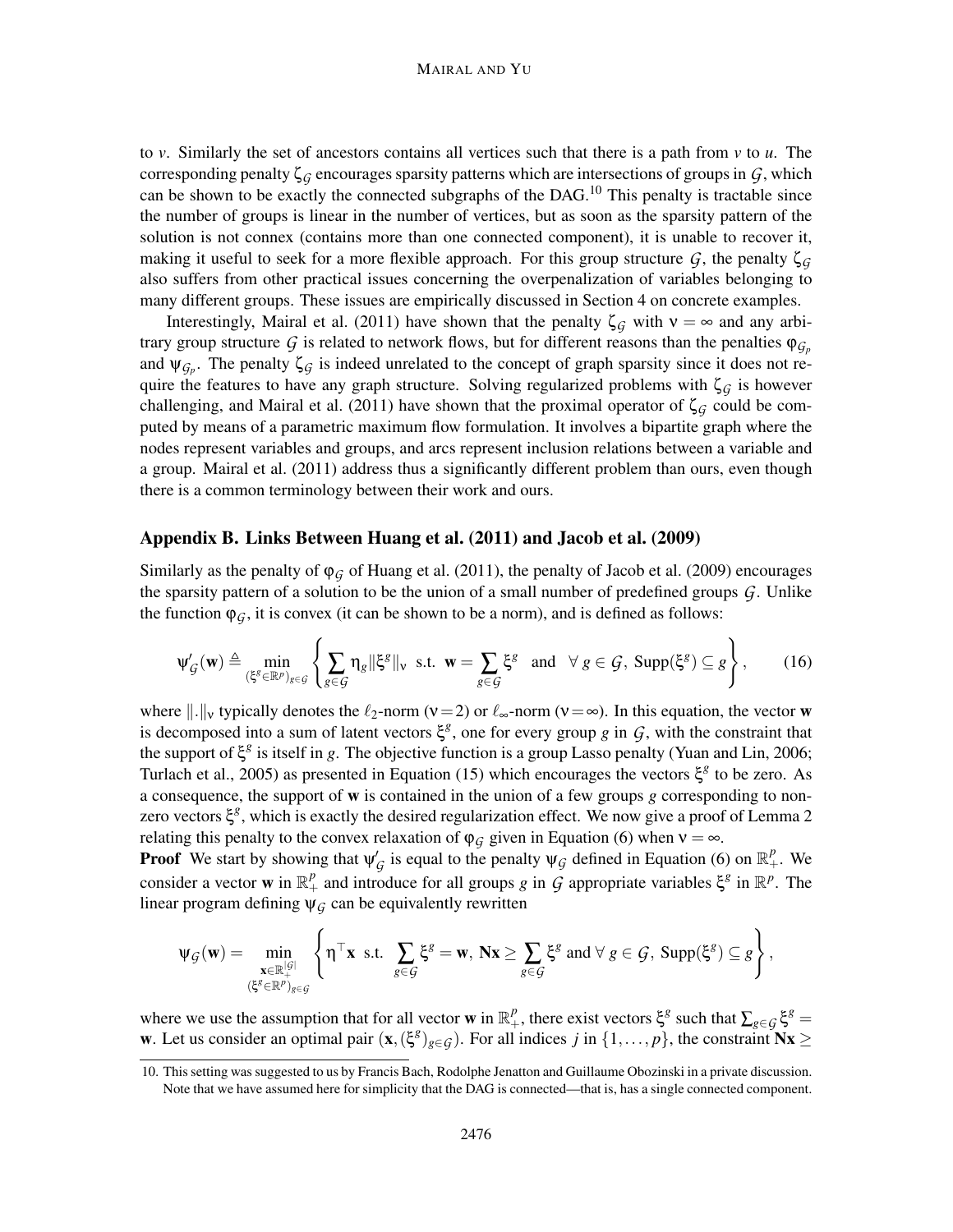to *v*. Similarly the set of ancestors contains all vertices such that there is a path from *v* to *u*. The corresponding penalty  $\zeta_G$  encourages sparsity patterns which are intersections of groups in  $G$ , which can be shown to be exactly the connected subgraphs of the DAG.<sup>10</sup> This penalty is tractable since the number of groups is linear in the number of vertices, but as soon as the sparsity pattern of the solution is not connex (contains more than one connected component), it is unable to recover it, making it useful to seek for a more flexible approach. For this group structure  $G$ , the penalty  $\zeta_G$ also suffers from other practical issues concerning the overpenalization of variables belonging to many different groups. These issues are empirically discussed in Section 4 on concrete examples.

Interestingly, Mairal et al. (2011) have shown that the penalty  $\zeta_G$  with  $v = \infty$  and any arbitrary group structure *G* is related to network flows, but for different reasons than the penalties  $\varphi_{G_p}$ and  $\psi_{\mathcal{G}_p}$ . The penalty  $\zeta_{\mathcal{G}}$  is indeed unrelated to the concept of graph sparsity since it does not require the features to have any graph structure. Solving regularized problems with  $\zeta_G$  is however challenging, and Mairal et al. (2011) have shown that the proximal operator of  $\zeta$ <sup>G</sup> could be computed by means of a parametric maximum flow formulation. It involves a bipartite graph where the nodes represent variables and groups, and arcs represent inclusion relations between a variable and a group. Mairal et al. (2011) address thus a significantly different problem than ours, even though there is a common terminology between their work and ours.

## Appendix B. Links Between Huang et al. (2011) and Jacob et al. (2009)

Similarly as the penalty of  $\varphi_G$  of Huang et al. (2011), the penalty of Jacob et al. (2009) encourages the sparsity pattern of a solution to be the union of a small number of predefined groups *G*. Unlike the function  $\varphi_G$ , it is convex (it can be shown to be a norm), and is defined as follows:

$$
\Psi'_{\mathcal{G}}(\mathbf{w}) \triangleq \min_{(\xi^g \in \mathbb{R}^p)_{g \in \mathcal{G}}} \left\{ \sum_{g \in \mathcal{G}} \eta_g \|\xi^g\|_{\mathbf{v}} \text{ s.t. } \mathbf{w} = \sum_{g \in \mathcal{G}} \xi^g \text{ and } \forall g \in \mathcal{G}, \text{Supp}(\xi^g) \subseteq g \right\},\qquad(16)
$$

where  $\|.\|_{\nu}$  typically denotes the  $\ell_2$ -norm ( $\nu=2$ ) or  $\ell_{\infty}$ -norm ( $\nu=\infty$ ). In this equation, the vector w is decomposed into a sum of latent vectors  $\xi^g$ , one for every group *g* in *G*, with the constraint that the support of ξ<sup>g</sup> is itself in *g*. The objective function is a group Lasso penalty (Yuan and Lin, 2006; Turlach et al., 2005) as presented in Equation (15) which encourages the vectors  $\xi^g$  to be zero. As a consequence, the support of w is contained in the union of a few groups *g* corresponding to nonzero vectors ξ *g* , which is exactly the desired regularization effect. We now give a proof of Lemma 2 relating this penalty to the convex relaxation of  $\varphi_G$  given in Equation (6) when  $v = \infty$ .

**Proof** We start by showing that  $\psi_{\mathcal{G}}'$  is equal to the penalty  $\psi_{\mathcal{G}}$  defined in Equation (6) on  $\mathbb{R}^p_+$ . We consider a vector **w** in  $\mathbb{R}^p_+$  and introduce for all groups *g* in *G* appropriate variables  $\xi^g$  in  $\mathbb{R}^p$ . The linear program defining  $\psi_G$  can be equivalently rewritten

$$
\psi_{\mathcal{G}}(\mathbf{w}) = \min_{\substack{\mathbf{x} \in \mathbb{R}^{|{\mathcal{G}}|}\\ (\xi^g \in \mathbb{R}^p)_{g \in \mathcal{G}}}} \left\{ \boldsymbol{\eta}^\top \mathbf{x} \text{ s.t. } \sum_{g \in \mathcal{G}} \xi^g = \mathbf{w}, \, \mathbf{N} \mathbf{x} \ge \sum_{g \in \mathcal{G}} \xi^g \text{ and } \forall \, g \in \mathcal{G}, \, \text{Supp}(\xi^g) \subseteq g \right\},
$$

where we use the assumption that for all vector **w** in  $\mathbb{R}^p_+$ , there exist vectors  $\xi^g$  such that  $\sum_{g \in \mathcal{G}} \xi^g =$ w. Let us consider an optimal pair  $(x, (\xi^g)_{g \in G})$ . For all indices *j* in  $\{1, \ldots, p\}$ , the constraint  $Nx \ge$ 

<sup>10.</sup> This setting was suggested to us by Francis Bach, Rodolphe Jenatton and Guillaume Obozinski in a private discussion. Note that we have assumed here for simplicity that the DAG is connected—that is, has a single connected component.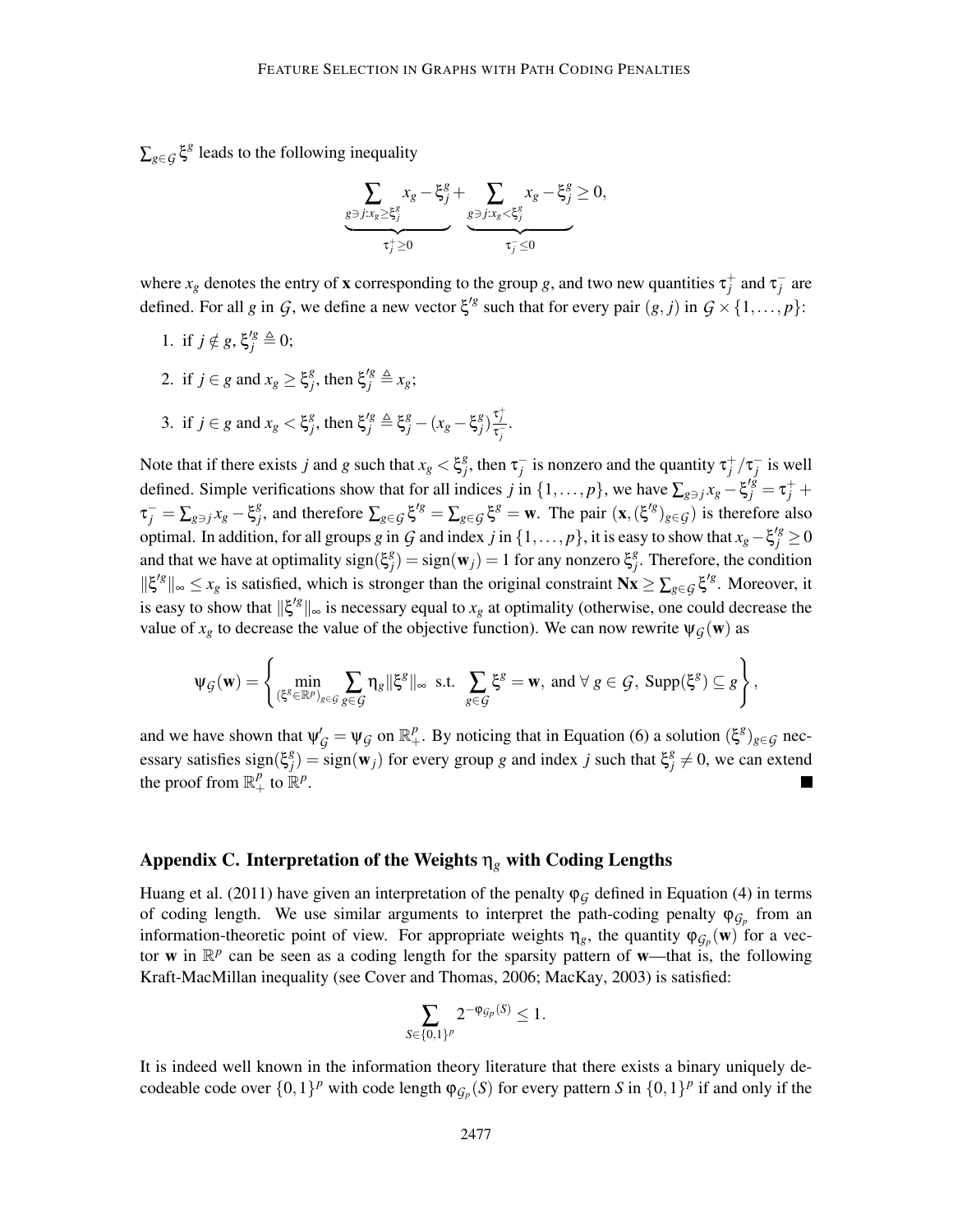$\sum_{g \in \mathcal{G}} \xi^g$  leads to the following inequality

$$
\underbrace{\sum_{g \ni j: x_g \geq \xi_j^g} x_g - \xi_j^g}_{\tau_j^+ \geq 0} + \underbrace{\sum_{g \ni j: x_g < \xi_j^g} x_g - \xi_j^g}_{\tau_j^- \leq 0} \geq 0,
$$

where  $x_g$  denotes the entry of **x** corresponding to the group *g*, and two new quantities  $\tau_j^+$  and  $\tau_j^-$  are defined. For all *g* in *G*, we define a new vector  $\xi'^g$  such that for every pair  $(g, j)$  in  $G \times \{1, \ldots, p\}$ :

- 1. if  $j \notin g$ ,  $\xi_j^{\prime g} \triangleq 0$ ;
- 2. if  $j \in g$  and  $x_g \geq \xi_j^g$  $\zeta_j^g$ , then  $\xi_j^{'g} \triangleq x_g$ ; 3. if  $j \in g$  and  $x_g < \xi_j^g$  $\zeta_j^g$ , then  $\xi_j^g \triangleq \xi_j^g - (x_g - \xi_j^g)$  $\left(\frac{g}{j}\right) \frac{\tau_j^+}{\tau_j^-}$ .

Note that if there exists *j* and *g* such that  $x_g < \xi_j^g$ *f*<sub>*j*</sub>, then  $\tau_j^-$  is nonzero and the quantity  $\tau_j^+ / \tau_j^-$  is well defined. Simple verifications show that for all indices *j* in  $\{1,\ldots,p\}$ , we have  $\sum_{g \ni j} x_g - \xi_j^{i\bar{g}} = \tau_j^+ + \bar{g}_j^{i\bar{g}} = \tau_j^ \tau_j^+ = \sum_{g \ni j} x_g - \xi_j^g$ *f*<sub>*s*</sub>, and therefore  $\sum_{g \in \mathcal{G}} \xi^{g} = \sum_{g \in \mathcal{G}} \xi^{g} = \mathbf{w}$ . The pair  $(\mathbf{x}, (\xi^{g})_{g \in \mathcal{G}})$  is therefore also optimal. In addition, for all groups *g* in *G* and index *j* in {1,..., *p*}, it is easy to show that  $x_g - \xi_j^2 \ge 0$ and that we have at optimality sign( $\xi_i^g$  $g_j^g$ ) = sign(**w**<sub>j</sub>) = 1 for any nonzero  $\xi_j^g$  $j<sup>g</sup>$ . Therefore, the condition  $\|\xi^{g}\|_{\infty} \leq x_{g}$  is satisfied, which is stronger than the original constraint  $N\mathbf{x} \geq \sum_{g \in \mathcal{G}} \xi^{g}$ . Moreover, it is easy to show that  $\|\xi'^g\|_{\infty}$  is necessary equal to  $x_g$  at optimality (otherwise, one could decrease the value of  $x_g$  to decrease the value of the objective function). We can now rewrite  $\psi_G(w)$  as

$$
\psi_{\mathcal{G}}(\mathbf{w}) = \left\{ \min_{(\xi^g \in \mathbb{R}^p)_{g \in \mathcal{G}}} \sum_{g \in \mathcal{G}} \eta_g \|\xi^g\|_{\infty} \text{ s.t. } \sum_{g \in \mathcal{G}} \xi^g = \mathbf{w}, \text{ and } \forall g \in \mathcal{G}, \text{ Supp}(\xi^g) \subseteq g \right\},\
$$

and we have shown that  $\psi'_{\mathcal{G}} = \psi_{\mathcal{G}}$  on  $\mathbb{R}^p_+$ . By noticing that in Equation (6) a solution  $(\xi^g)_{g \in \mathcal{G}}$  necessary satisfies sign(ξ *g*  $g_j^g$  = sign(**w**<sub>j</sub>) for every group *g* and index *j* such that  $\xi_j^g$  $\frac{g}{j} \neq 0$ , we can extend the proof from  $\mathbb{R}^p_+$  to  $\mathbb{R}^p$ .

# Appendix C. Interpretation of the Weights η*<sup>g</sup>* with Coding Lengths

Huang et al. (2011) have given an interpretation of the penalty  $\varphi_G$  defined in Equation (4) in terms of coding length. We use similar arguments to interpret the path-coding penalty  $\varphi_{\mathcal{G}_p}$  from an information-theoretic point of view. For appropriate weights  $\eta_g$ , the quantity  $\varphi_{\mathcal{G}_p}(\mathbf{w})$  for a vector w in  $\mathbb{R}^p$  can be seen as a coding length for the sparsity pattern of w—that is, the following Kraft-MacMillan inequality (see Cover and Thomas, 2006; MacKay, 2003) is satisfied:

$$
\sum_{S \in \{0,1\}^p} 2^{-\varphi_{\mathcal{G}_p}(S)} \le 1.
$$

It is indeed well known in the information theory literature that there exists a binary uniquely decodeable code over  $\{0,1\}^p$  with code length  $\varphi_{\mathcal{G}_p}(S)$  for every pattern *S* in  $\{0,1\}^p$  if and only if the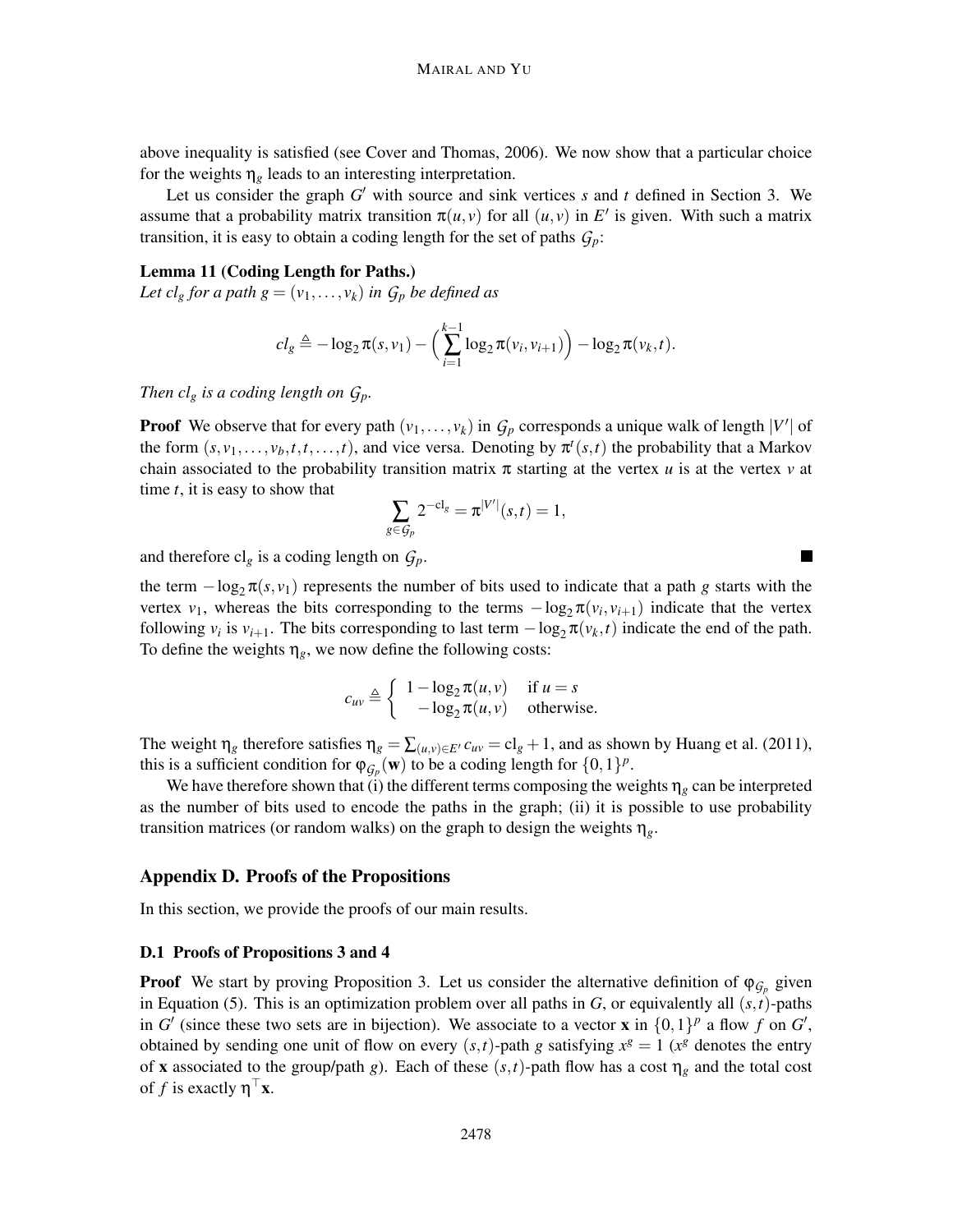above inequality is satisfied (see Cover and Thomas, 2006). We now show that a particular choice for the weights  $\eta_g$  leads to an interesting interpretation.

Let us consider the graph  $G'$  with source and sink vertices  $s$  and  $t$  defined in Section 3. We assume that a probability matrix transition  $\pi(u, v)$  for all  $(u, v)$  in E' is given. With such a matrix transition, it is easy to obtain a coding length for the set of paths  $G_p$ :

#### Lemma 11 (Coding Length for Paths.)

*Let cl<sub>g</sub> for a path*  $g = (v_1, \ldots, v_k)$  *in*  $G_p$  *be defined as* 

$$
cl_g \triangleq -\log_2 \pi(s, v_1) - \Big(\sum_{i=1}^{k-1} \log_2 \pi(v_i, v_{i+1})\Big) - \log_2 \pi(v_k, t).
$$

*Then cl<sub>g</sub> is a coding length on*  $G_p$ *.* 

**Proof** We observe that for every path  $(v_1, \ldots, v_k)$  in  $G_p$  corresponds a unique walk of length  $|V'|$  of the form  $(s, v_1, \ldots, v_b, t, t, \ldots, t)$ , and vice versa. Denoting by  $\pi^t(s, t)$  the probability that a Markov chain associated to the probability transition matrix  $\pi$  starting at the vertex *u* is at the vertex *v* at time *t*, it is easy to show that

$$
\sum_{g \in \mathcal{G}_p} 2^{-\mathrm{cl}_g} = \pi^{|V'|}(s,t) = 1,
$$

and therefore  $cl_g$  is a coding length on  $G_p$ .

the term  $-\log_2 \pi(s, v_1)$  represents the number of bits used to indicate that a path *g* starts with the vertex  $v_1$ , whereas the bits corresponding to the terms  $-\log_2 \pi(v_i, v_{i+1})$  indicate that the vertex following  $v_i$  is  $v_{i+1}$ . The bits corresponding to last term  $-\log_2 \pi(v_k, t)$  indicate the end of the path. To define the weights  $\eta_g$ , we now define the following costs:

$$
c_{uv} \triangleq \left\{ \begin{array}{ll} 1 - \log_2 \pi(u, v) & \text{if } u = s \\ -\log_2 \pi(u, v) & \text{otherwise.} \end{array} \right.
$$

The weight  $\eta_g$  therefore satisfies  $\eta_g = \sum_{(u,v)\in E'} c_{uv} = c l_g + 1$ , and as shown by Huang et al. (2011), this is a sufficient condition for  $\varphi_{\mathcal{G}_p}(\mathbf{w})$  to be a coding length for  $\{0,1\}^p$ .

We have therefore shown that (i) the different terms composing the weights  $\eta_g$  can be interpreted as the number of bits used to encode the paths in the graph; (ii) it is possible to use probability transition matrices (or random walks) on the graph to design the weights η*g*.

#### Appendix D. Proofs of the Propositions

In this section, we provide the proofs of our main results.

#### D.1 Proofs of Propositions 3 and 4

**Proof** We start by proving Proposition 3. Let us consider the alternative definition of  $\varphi_{\mathcal{G}_p}$  given in Equation (5). This is an optimization problem over all paths in  $G$ , or equivalently all  $(s,t)$ -paths in *G*<sup> $\prime$ </sup> (since these two sets are in bijection). We associate to a vector **x** in  $\{0,1\}^p$  a flow *f* on *G*<sup> $\prime$ </sup>, obtained by sending one unit of flow on every  $(s,t)$ -path *g* satisfying  $x^g = 1$  ( $x^g$  denotes the entry of **x** associated to the group/path *g*). Each of these  $(s, t)$ -path flow has a cost  $\eta_g$  and the total cost of *f* is exactly  $\eta$ <sup> $\top$ </sup>**x**.

 $\blacksquare$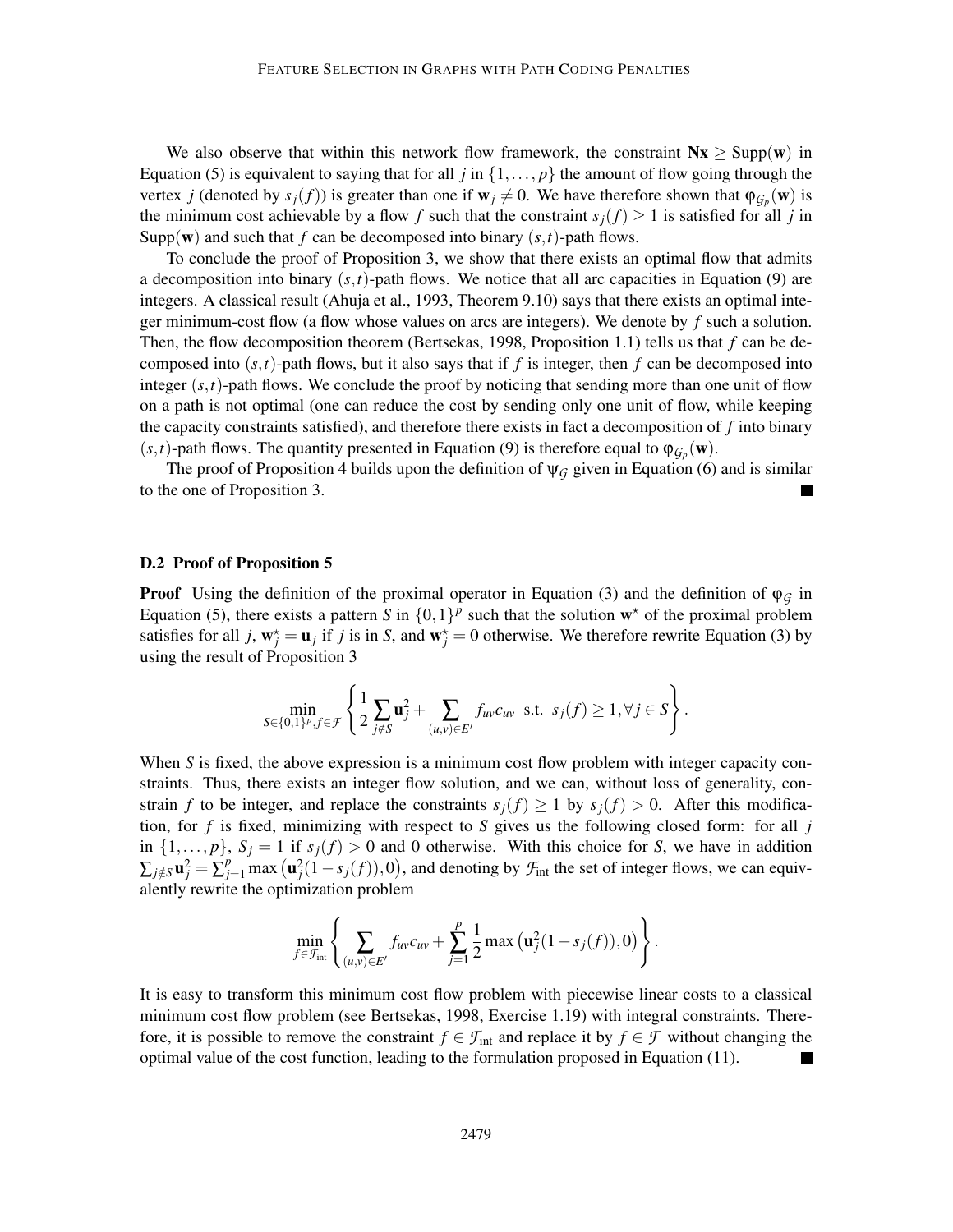We also observe that within this network flow framework, the constraint  $Nx \geq \text{Supp}(w)$  in Equation (5) is equivalent to saying that for all *j* in  $\{1,\ldots,p\}$  the amount of flow going through the vertex *j* (denoted by  $s_j(f)$ ) is greater than one if  $w_j \neq 0$ . We have therefore shown that  $\varphi_{\mathcal{G}_p}(\mathbf{w})$  is the minimum cost achievable by a flow *f* such that the constraint  $s_j(f) \geq 1$  is satisfied for all *j* in Supp(w) and such that  $f$  can be decomposed into binary  $(s, t)$ -path flows.

To conclude the proof of Proposition 3, we show that there exists an optimal flow that admits a decomposition into binary  $(s,t)$ -path flows. We notice that all arc capacities in Equation (9) are integers. A classical result (Ahuja et al., 1993, Theorem 9.10) says that there exists an optimal integer minimum-cost flow (a flow whose values on arcs are integers). We denote by *f* such a solution. Then, the flow decomposition theorem (Bertsekas, 1998, Proposition 1.1) tells us that *f* can be decomposed into  $(s,t)$ -path flows, but it also says that if f is integer, then f can be decomposed into integer  $(s, t)$ -path flows. We conclude the proof by noticing that sending more than one unit of flow on a path is not optimal (one can reduce the cost by sending only one unit of flow, while keeping the capacity constraints satisfied), and therefore there exists in fact a decomposition of *f* into binary (*s*,*t*)-path flows. The quantity presented in Equation (9) is therefore equal to  $\varphi_{G_p}(\mathbf{w})$ .

The proof of Proposition 4 builds upon the definition of  $\psi_G$  given in Equation (6) and is similar to the one of Proposition 3.

## D.2 Proof of Proposition 5

**Proof** Using the definition of the proximal operator in Equation (3) and the definition of  $\varphi$ <sup>*G*</sup> in Equation (5), there exists a pattern *S* in  $\{0,1\}^p$  such that the solution  $w^*$  of the proximal problem satisfies for all *j*,  $w_j^* = u_j$  if *j* is in *S*, and  $w_j^* = 0$  otherwise. We therefore rewrite Equation (3) by using the result of Proposition 3

$$
\min_{S \in \{0,1\}^p, f \in \mathcal{F}} \left\{ \frac{1}{2} \sum_{j \notin S} \mathbf{u}_j^2 + \sum_{(u,v) \in E'} f_{uv} c_{uv} \text{ s.t. } s_j(f) \ge 1, \forall j \in S \right\}.
$$

When *S* is fixed, the above expression is a minimum cost flow problem with integer capacity constraints. Thus, there exists an integer flow solution, and we can, without loss of generality, constrain *f* to be integer, and replace the constraints  $s_j(f) \ge 1$  by  $s_j(f) > 0$ . After this modification, for *f* is fixed, minimizing with respect to *S* gives us the following closed form: for all *j* in  $\{1,\ldots,p\}$ ,  $S_j = 1$  if  $s_j(f) > 0$  and 0 otherwise. With this choice for *S*, we have in addition  $\sum_{j \notin S} \mathbf{u}_j^2 = \sum_{j=1}^p \max(\mathbf{u}_j^2(1-s_j(f)),0)$ , and denoting by  $\mathcal{F}_{\text{int}}$  the set of integer flows, we can equivalently rewrite the optimization problem

$$
\min_{f \in \mathcal{F}_{int}} \left\{ \sum_{(u,v) \in E'} f_{uv} c_{uv} + \sum_{j=1}^p \frac{1}{2} \max \left( \mathbf{u}_j^2 (1 - s_j(f)), 0 \right) \right\}.
$$

It is easy to transform this minimum cost flow problem with piecewise linear costs to a classical minimum cost flow problem (see Bertsekas, 1998, Exercise 1.19) with integral constraints. Therefore, it is possible to remove the constraint  $f \in \mathcal{F}_{int}$  and replace it by  $f \in \mathcal{F}$  without changing the optimal value of the cost function, leading to the formulation proposed in Equation (11).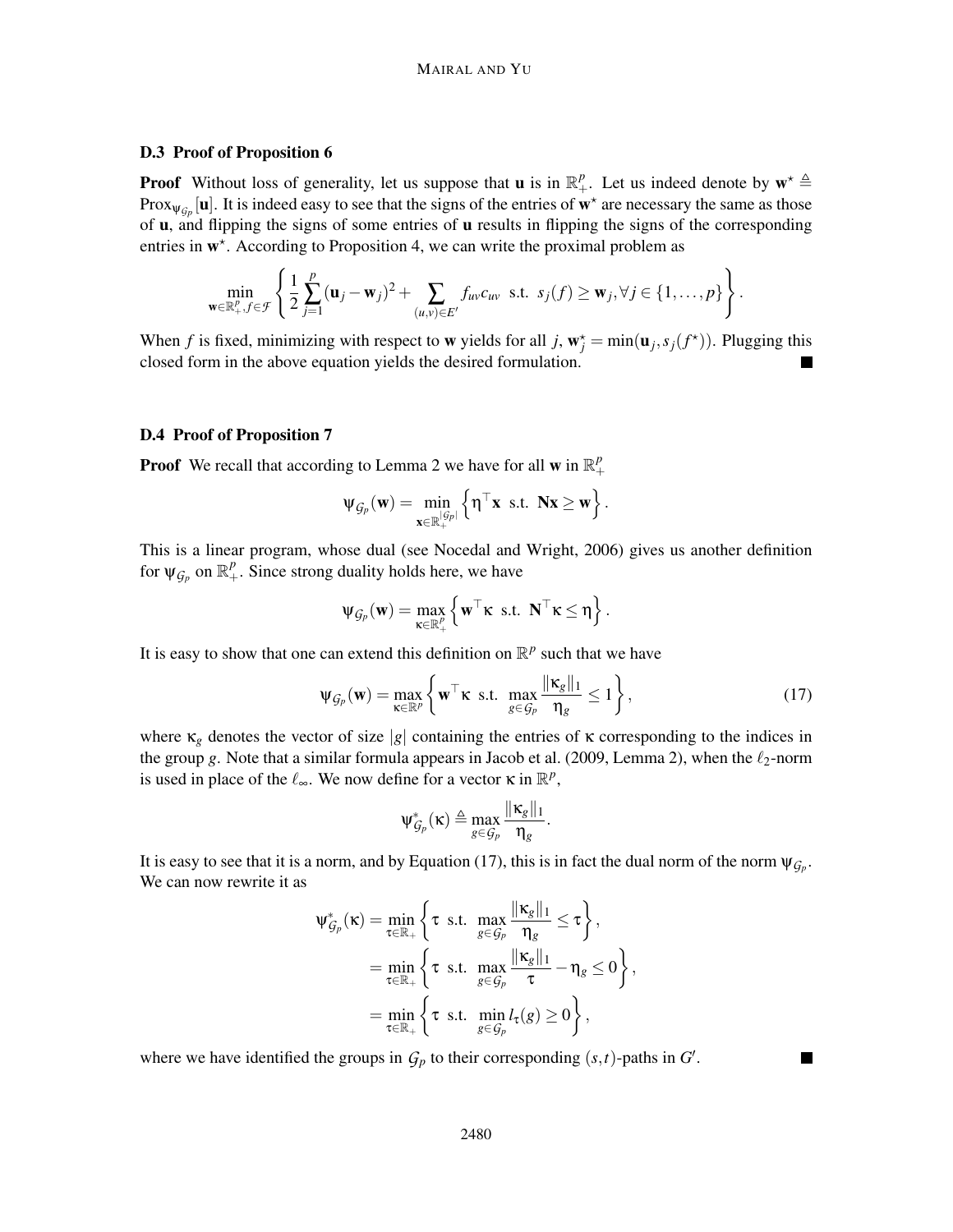### D.3 Proof of Proposition 6

**Proof** Without loss of generality, let us suppose that **u** is in  $\mathbb{R}^p_+$ . Let us indeed denote by  $\mathbf{w}^* \triangleq$ Prox<sub> $\psi_{\mathcal{G}_p}$  [**u**]. It is indeed easy to see that the signs of the entries of  $w^*$  are necessary the same as those</sub> of u, and flipping the signs of some entries of u results in flipping the signs of the corresponding entries in w<sup>\*</sup>. According to Proposition 4, we can write the proximal problem as

$$
\min_{\mathbf{w}\in\mathbb{R}^p_+,f\in\mathcal{F}}\left\{\frac{1}{2}\sum_{j=1}^p(\mathbf{u}_j-\mathbf{w}_j)^2+\sum_{(u,v)\in E'}f_{uv}c_{uv}\text{ s.t. }s_j(f)\geq\mathbf{w}_j,\forall j\in\{1,\ldots,p\}\right\}.
$$

When *f* is fixed, minimizing with respect to **w** yields for all *j*,  $\mathbf{w}_j^* = \min(\mathbf{u}_j, s_j(f^*))$ . Plugging this closed form in the above equation yields the desired formulation.

#### D.4 Proof of Proposition 7

**Proof** We recall that according to Lemma 2 we have for all **w** in  $\mathbb{R}^p_+$ +

$$
\psi_{\mathcal{G}_p}(\mathbf{w}) = \min_{\mathbf{x} \in \mathbb{R}^{|\mathcal{G}_p|}_+} \left\{ \boldsymbol{\eta}^\top \mathbf{x} \text{ s.t. } \mathbf{N} \mathbf{x} \geq \mathbf{w} \right\}.
$$

This is a linear program, whose dual (see Nocedal and Wright, 2006) gives us another definition for  $\psi_{\mathcal{G}_p}$  on  $\mathbb{R}^p_+$ . Since strong duality holds here, we have

$$
\psi_{\mathcal{G}_p}(\mathbf{w}) = \max_{\mathbf{\kappa} \in \mathbb{R}_+^p} \left\{ \mathbf{w}^\top \mathbf{\kappa} \text{ s.t. } \mathbf{N}^\top \mathbf{\kappa} \leq \eta \right\}.
$$

It is easy to show that one can extend this definition on  $\mathbb{R}^p$  such that we have

$$
\Psi_{\mathcal{G}_p}(\mathbf{w}) = \max_{\mathbf{x} \in \mathbb{R}^p} \left\{ \mathbf{w}^\top \mathbf{x} \text{ s.t. } \max_{g \in \mathcal{G}_p} \frac{\|\mathbf{x}_g\|_1}{\eta_g} \le 1 \right\},\tag{17}
$$

where  $\kappa_g$  denotes the vector of size |*g*| containing the entries of  $\kappa$  corresponding to the indices in the group *g*. Note that a similar formula appears in Jacob et al. (2009, Lemma 2), when the  $\ell_2$ -norm is used in place of the  $\ell_{\infty}$ . We now define for a vector  $\kappa$  in  $\mathbb{R}^p$ ,

$$
\psi_{\mathcal{G}_p}^*(\kappa) \triangleq \max_{g \in \mathcal{G}_p} \frac{\|\kappa_g\|_1}{\eta_g}.
$$

It is easy to see that it is a norm, and by Equation (17), this is in fact the dual norm of the norm  $\psi_{\mathcal{G}_p}$ . We can now rewrite it as

$$
\begin{split} \Psi_{\mathcal{G}_p}^*(\kappa) &= \min_{\tau \in \mathbb{R}_+} \left\{ \tau \text{ s.t. } \max_{g \in \mathcal{G}_p} \frac{\|\kappa_g\|_1}{\eta_g} \le \tau \right\}, \\ &= \min_{\tau \in \mathbb{R}_+} \left\{ \tau \text{ s.t. } \max_{g \in \mathcal{G}_p} \frac{\|\kappa_g\|_1}{\tau} - \eta_g \le 0 \right\}, \\ &= \min_{\tau \in \mathbb{R}_+} \left\{ \tau \text{ s.t. } \min_{g \in \mathcal{G}_p} l_\tau(g) \ge 0 \right\}, \end{split}
$$

where we have identified the groups in  $G_p$  to their corresponding  $(s,t)$ -paths in  $G'$ .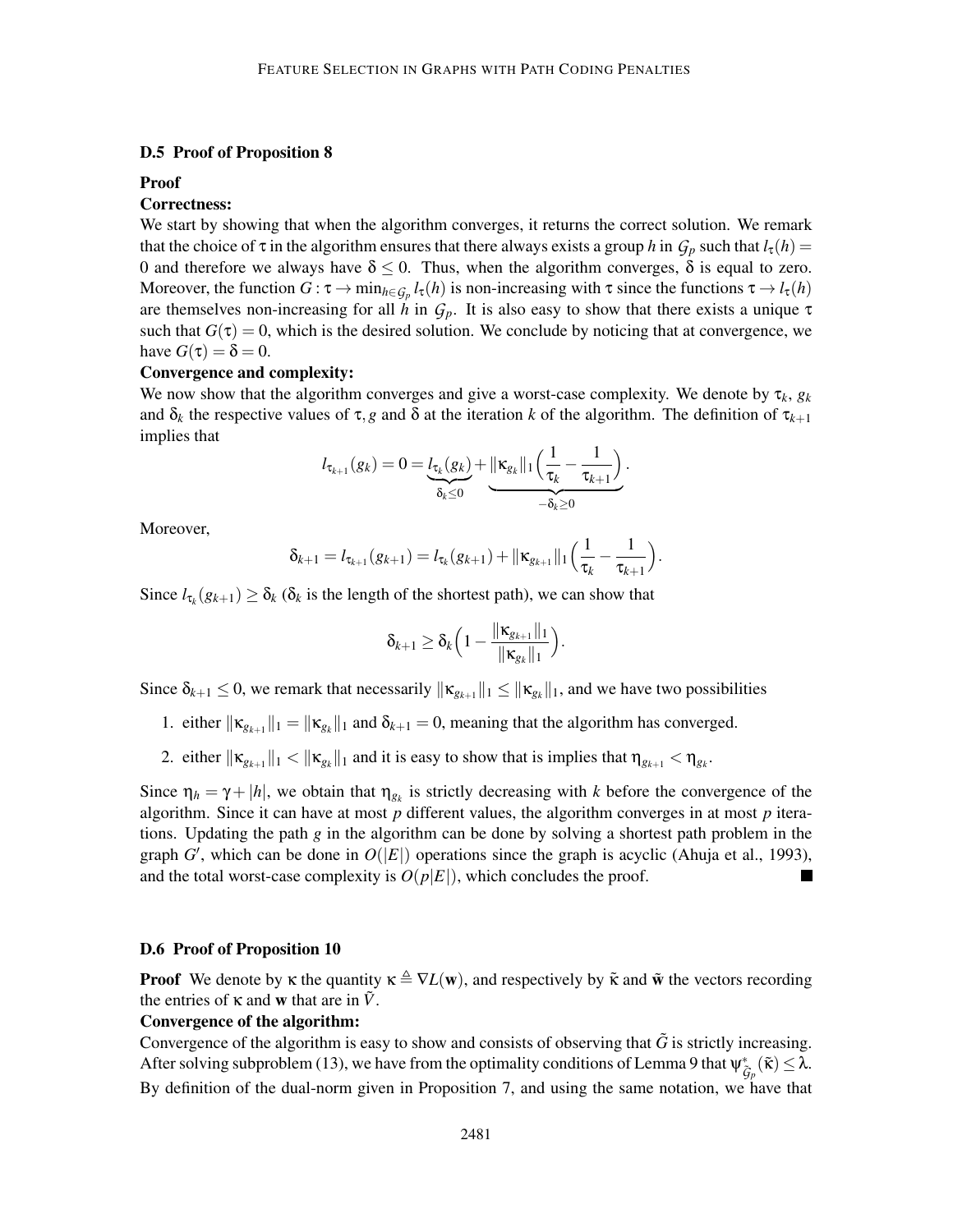## D.5 Proof of Proposition 8

#### Proof

### Correctness:

We start by showing that when the algorithm converges, it returns the correct solution. We remark that the choice of  $\tau$  in the algorithm ensures that there always exists a group *h* in  $G_p$  such that  $l_{\tau}(h)$  = 0 and therefore we always have  $\delta \leq 0$ . Thus, when the algorithm converges,  $\delta$  is equal to zero. Moreover, the function  $G : \tau \to \min_{h \in \mathcal{G}_p} l_\tau(h)$  is non-increasing with  $\tau$  since the functions  $\tau \to l_\tau(h)$ are themselves non-increasing for all *h* in  $G_p$ . It is also easy to show that there exists a unique  $\tau$ such that  $G(\tau) = 0$ , which is the desired solution. We conclude by noticing that at convergence, we have  $G(\tau) = \delta = 0$ .

#### Convergence and complexity:

We now show that the algorithm converges and give a worst-case complexity. We denote by  $\tau_k$ ,  $g_k$ and  $\delta_k$  the respective values of  $\tau$ , *g* and  $\delta$  at the iteration *k* of the algorithm. The definition of  $\tau_{k+1}$ implies that

$$
l_{\tau_{k+1}}(g_k) = 0 = \underbrace{l_{\tau_k}(g_k)}_{\delta_k \leq 0} + \underbrace{\|\kappa_{g_k}\|_1 \Big(\frac{1}{\tau_k} - \frac{1}{\tau_{k+1}}\Big)}_{-\delta_k \geq 0}.
$$

Moreover,

$$
\delta_{k+1} = l_{\tau_{k+1}}(g_{k+1}) = l_{\tau_k}(g_{k+1}) + ||\kappa_{g_{k+1}}||_1 \Big(\frac{1}{\tau_k} - \frac{1}{\tau_{k+1}}\Big).
$$

Since  $l_{\tau_k}(g_{k+1}) \geq \delta_k$  ( $\delta_k$  is the length of the shortest path), we can show that

$$
\delta_{k+1} \geq \delta_k \Big(1 - \frac{\|\kappa_{g_{k+1}}\|_1}{\|\kappa_{g_k}\|_1}\Big).
$$

Since  $\delta_{k+1} \leq 0$ , we remark that necessarily  $\|\mathbf{x}_{g_{k+1}}\|_1 \leq \|\mathbf{x}_{g_k}\|_1$ , and we have two possibilities

- 1. either  $\|\mathbf{k}_{g_{k+1}}\|_1 = \|\mathbf{k}_{g_k}\|_1$  and  $\delta_{k+1} = 0$ , meaning that the algorithm has converged.
- 2. either  $\|\mathbf{k}_{g_{k+1}}\|_1 < \|\mathbf{k}_{g_k}\|_1$  and it is easy to show that is implies that  $\eta_{g_{k+1}} < \eta_{g_k}$ .

Since  $\eta_h = \gamma + |h|$ , we obtain that  $\eta_{g_k}$  is strictly decreasing with *k* before the convergence of the algorithm. Since it can have at most *p* different values, the algorithm converges in at most *p* iterations. Updating the path *g* in the algorithm can be done by solving a shortest path problem in the graph  $G'$ , which can be done in  $O(|E|)$  operations since the graph is acyclic (Ahuja et al., 1993), and the total worst-case complexity is  $O(p|E|)$ , which concludes the proof.

## D.6 Proof of Proposition 10

**Proof** We denote by  $\kappa$  the quantity  $\kappa \triangleq \nabla L(\mathbf{w})$ , and respectively by  $\tilde{\kappa}$  and  $\tilde{\mathbf{w}}$  the vectors recording the entries of  $\kappa$  and **w** that are in  $\tilde{V}$ .

#### Convergence of the algorithm:

Convergence of the algorithm is easy to show and consists of observing that  $\tilde{G}$  is strictly increasing. After solving subproblem (13), we have from the optimality conditions of Lemma 9 that  $\psi_{\tilde{G}_p}^*(\tilde{\kappa}) \leq \lambda$ . By definition of the dual-norm given in Proposition 7, and using the same notation, we have that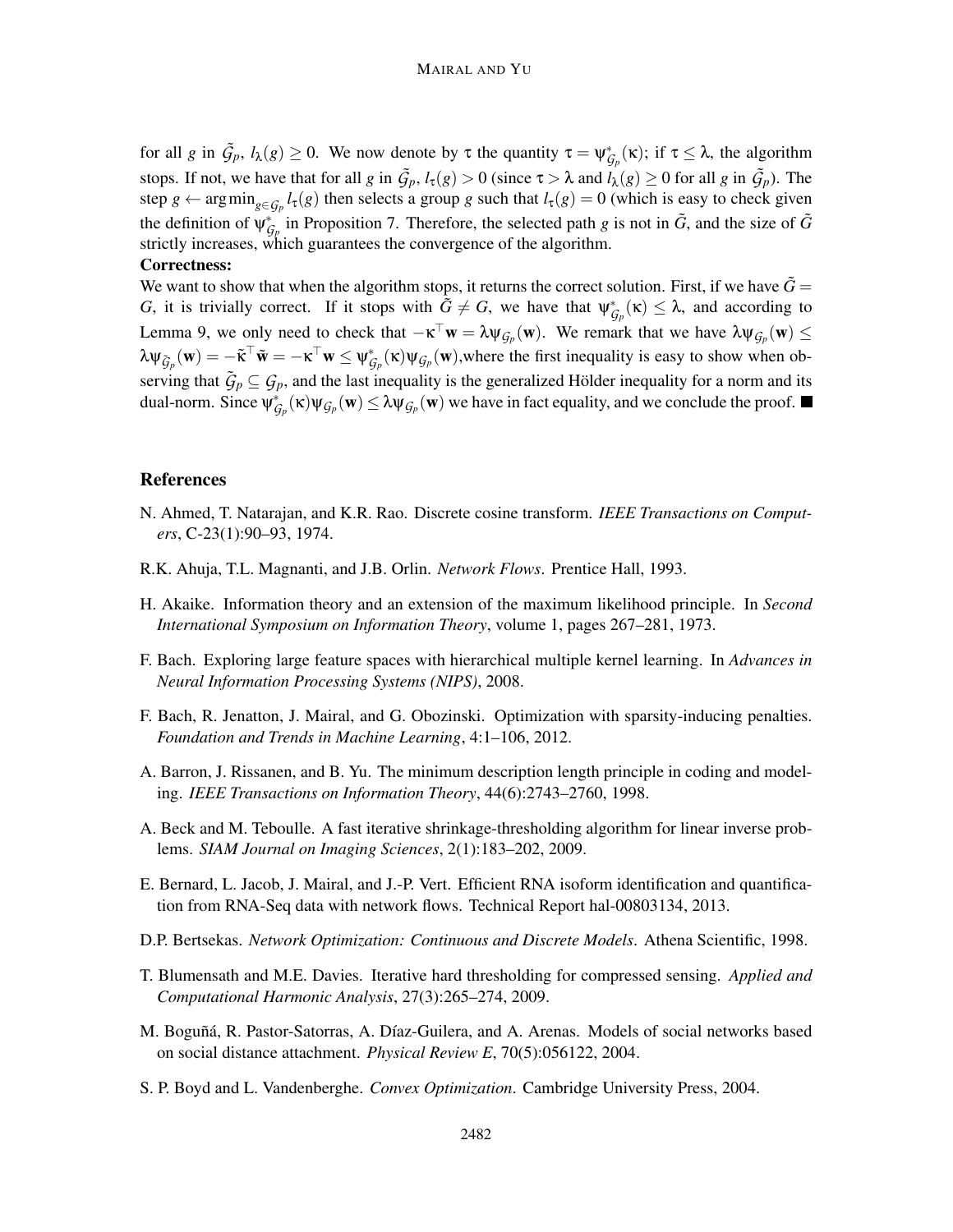for all *g* in  $\tilde{G}_p$ ,  $l_\lambda(g) \ge 0$ . We now denote by  $\tau$  the quantity  $\tau = \psi_{\mathcal{G}_p}^*(\kappa)$ ; if  $\tau \le \lambda$ , the algorithm stops. If not, we have that for all *g* in  $\tilde{G}_p$ ,  $l_\tau(g) > 0$  (since  $\tau > \lambda$  and  $l_\lambda(g) \ge 0$  for all *g* in  $\tilde{G}_p$ ). The step  $g \leftarrow \arg \min_{g \in \mathcal{G}_p} l_\tau(g)$  then selects a group *g* such that  $l_\tau(g) = 0$  (which is easy to check given the definition of  $\psi_{\mathcal{G}_p}^*$  in Proposition 7. Therefore, the selected path *g* is not in  $\tilde{G}$ , and the size of  $\tilde{G}$ strictly increases, which guarantees the convergence of the algorithm.

#### Correctness:

We want to show that when the algorithm stops, it returns the correct solution. First, if we have  $\dot{G} =$ *G*, it is trivially correct. If it stops with  $\tilde{G} \neq G$ , we have that  $\psi_{\mathcal{G}_p}^*(\kappa) \leq \lambda$ , and according to Lemma 9, we only need to check that  $-\kappa^{\top}w = \lambda \psi_{\mathcal{G}_p}(w)$ . We remark that we have  $\lambda \psi_{\mathcal{G}_p}(w) \leq$  $\lambda \psi_{\tilde{G}_p}(\mathbf{w}) = -\tilde{\mathbf{\kappa}}^\top \tilde{\mathbf{w}} = -\mathbf{\kappa}^\top \mathbf{w} \leq \psi_{\mathcal{G}_p}^*(\mathbf{x}) \psi_{\mathcal{G}_p}(\mathbf{w})$ , where the first inequality is easy to show when observing that  $\tilde{G}_p \subseteq G_p$ , and the last inequality is the generalized Hölder inequality for a norm and its dual-norm. Since  $\psi^*_{\mathcal{G}_p}(\kappa)\psi_{\mathcal{G}_p}(\mathbf{w}) \leq \lambda \psi_{\mathcal{G}_p}(\mathbf{w})$  we have in fact equality, and we conclude the proof.

## References

- N. Ahmed, T. Natarajan, and K.R. Rao. Discrete cosine transform. *IEEE Transactions on Computers*, C-23(1):90–93, 1974.
- R.K. Ahuja, T.L. Magnanti, and J.B. Orlin. *Network Flows*. Prentice Hall, 1993.
- H. Akaike. Information theory and an extension of the maximum likelihood principle. In *Second International Symposium on Information Theory*, volume 1, pages 267–281, 1973.
- F. Bach. Exploring large feature spaces with hierarchical multiple kernel learning. In *Advances in Neural Information Processing Systems (NIPS)*, 2008.
- F. Bach, R. Jenatton, J. Mairal, and G. Obozinski. Optimization with sparsity-inducing penalties. *Foundation and Trends in Machine Learning*, 4:1–106, 2012.
- A. Barron, J. Rissanen, and B. Yu. The minimum description length principle in coding and modeling. *IEEE Transactions on Information Theory*, 44(6):2743–2760, 1998.
- A. Beck and M. Teboulle. A fast iterative shrinkage-thresholding algorithm for linear inverse problems. *SIAM Journal on Imaging Sciences*, 2(1):183–202, 2009.
- E. Bernard, L. Jacob, J. Mairal, and J.-P. Vert. Efficient RNA isoform identification and quantification from RNA-Seq data with network flows. Technical Report hal-00803134, 2013.
- D.P. Bertsekas. *Network Optimization: Continuous and Discrete Models*. Athena Scientific, 1998.
- T. Blumensath and M.E. Davies. Iterative hard thresholding for compressed sensing. *Applied and Computational Harmonic Analysis*, 27(3):265–274, 2009.
- M. Boguñá, R. Pastor-Satorras, A. Díaz-Guilera, and A. Arenas. Models of social networks based on social distance attachment. *Physical Review E*, 70(5):056122, 2004.
- S. P. Boyd and L. Vandenberghe. *Convex Optimization*. Cambridge University Press, 2004.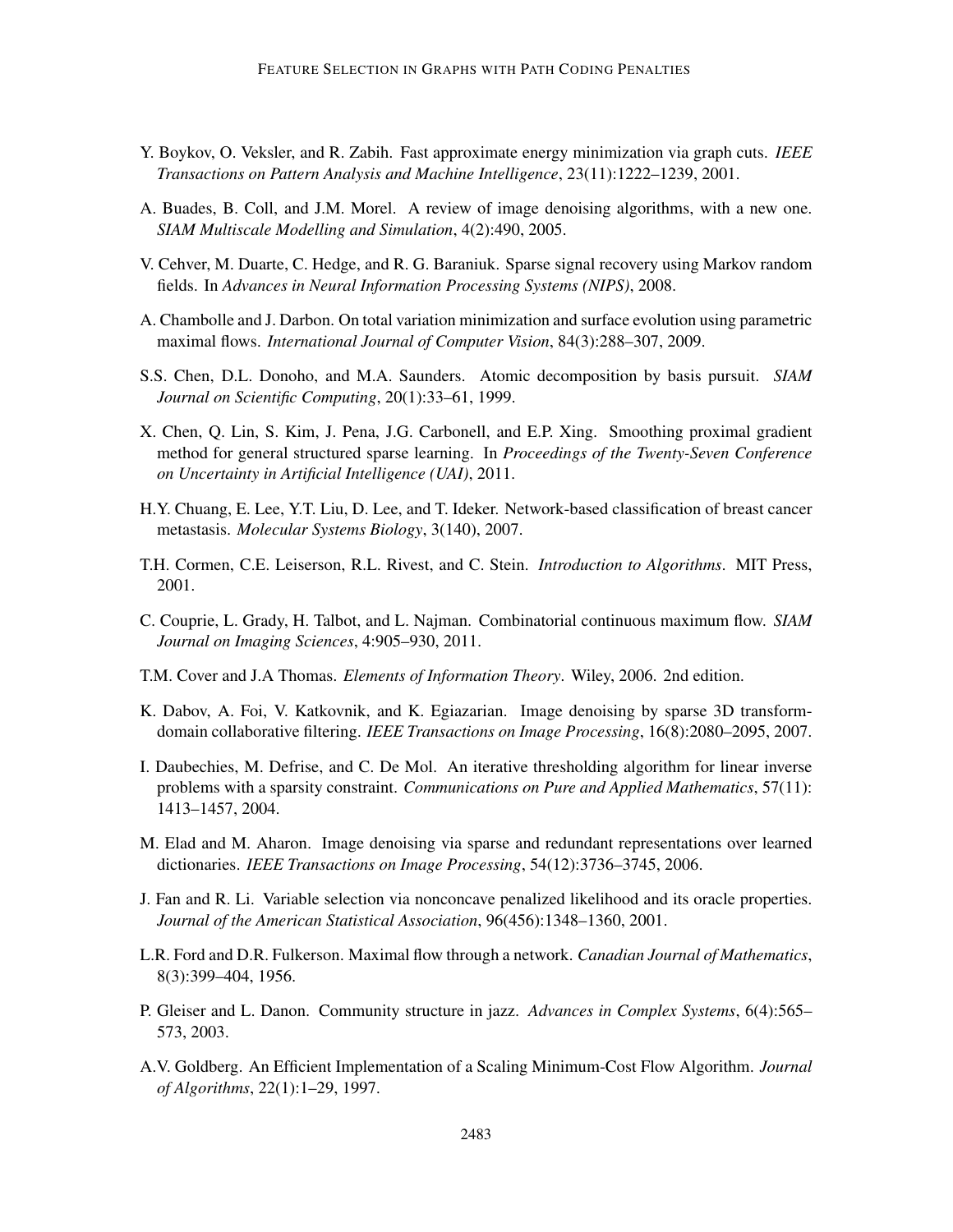- Y. Boykov, O. Veksler, and R. Zabih. Fast approximate energy minimization via graph cuts. *IEEE Transactions on Pattern Analysis and Machine Intelligence*, 23(11):1222–1239, 2001.
- A. Buades, B. Coll, and J.M. Morel. A review of image denoising algorithms, with a new one. *SIAM Multiscale Modelling and Simulation*, 4(2):490, 2005.
- V. Cehver, M. Duarte, C. Hedge, and R. G. Baraniuk. Sparse signal recovery using Markov random fields. In *Advances in Neural Information Processing Systems (NIPS)*, 2008.
- A. Chambolle and J. Darbon. On total variation minimization and surface evolution using parametric maximal flows. *International Journal of Computer Vision*, 84(3):288–307, 2009.
- S.S. Chen, D.L. Donoho, and M.A. Saunders. Atomic decomposition by basis pursuit. *SIAM Journal on Scientific Computing*, 20(1):33–61, 1999.
- X. Chen, Q. Lin, S. Kim, J. Pena, J.G. Carbonell, and E.P. Xing. Smoothing proximal gradient method for general structured sparse learning. In *Proceedings of the Twenty-Seven Conference on Uncertainty in Artificial Intelligence (UAI)*, 2011.
- H.Y. Chuang, E. Lee, Y.T. Liu, D. Lee, and T. Ideker. Network-based classification of breast cancer metastasis. *Molecular Systems Biology*, 3(140), 2007.
- T.H. Cormen, C.E. Leiserson, R.L. Rivest, and C. Stein. *Introduction to Algorithms*. MIT Press, 2001.
- C. Couprie, L. Grady, H. Talbot, and L. Najman. Combinatorial continuous maximum flow. *SIAM Journal on Imaging Sciences*, 4:905–930, 2011.
- T.M. Cover and J.A Thomas. *Elements of Information Theory*. Wiley, 2006. 2nd edition.
- K. Dabov, A. Foi, V. Katkovnik, and K. Egiazarian. Image denoising by sparse 3D transformdomain collaborative filtering. *IEEE Transactions on Image Processing*, 16(8):2080–2095, 2007.
- I. Daubechies, M. Defrise, and C. De Mol. An iterative thresholding algorithm for linear inverse problems with a sparsity constraint. *Communications on Pure and Applied Mathematics*, 57(11): 1413–1457, 2004.
- M. Elad and M. Aharon. Image denoising via sparse and redundant representations over learned dictionaries. *IEEE Transactions on Image Processing*, 54(12):3736–3745, 2006.
- J. Fan and R. Li. Variable selection via nonconcave penalized likelihood and its oracle properties. *Journal of the American Statistical Association*, 96(456):1348–1360, 2001.
- L.R. Ford and D.R. Fulkerson. Maximal flow through a network. *Canadian Journal of Mathematics*, 8(3):399–404, 1956.
- P. Gleiser and L. Danon. Community structure in jazz. *Advances in Complex Systems*, 6(4):565– 573, 2003.
- A.V. Goldberg. An Efficient Implementation of a Scaling Minimum-Cost Flow Algorithm. *Journal of Algorithms*, 22(1):1–29, 1997.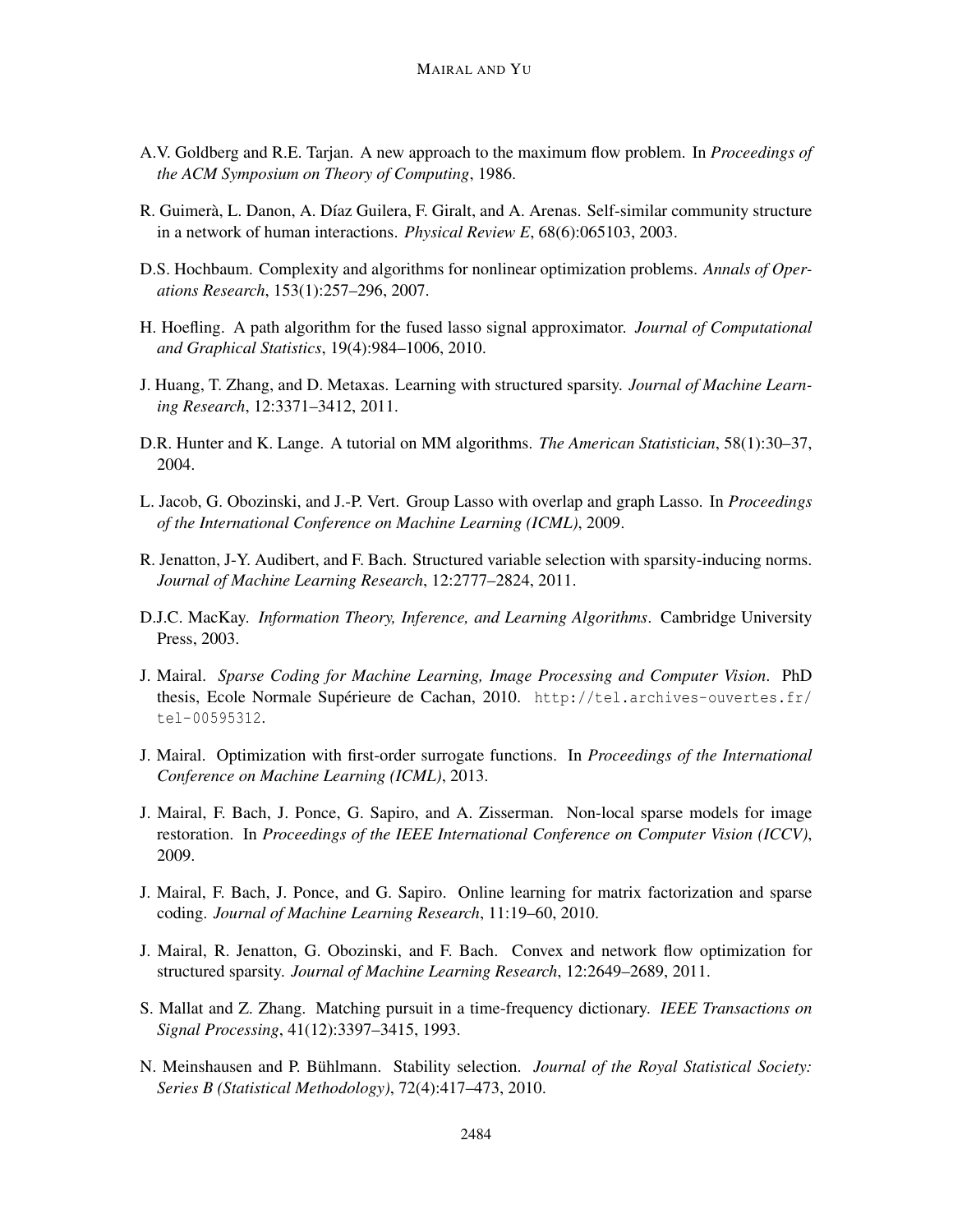- A.V. Goldberg and R.E. Tarjan. A new approach to the maximum flow problem. In *Proceedings of the ACM Symposium on Theory of Computing*, 1986.
- R. Guimerà, L. Danon, A. Díaz Guilera, F. Giralt, and A. Arenas. Self-similar community structure in a network of human interactions. *Physical Review E*, 68(6):065103, 2003.
- D.S. Hochbaum. Complexity and algorithms for nonlinear optimization problems. *Annals of Operations Research*, 153(1):257–296, 2007.
- H. Hoefling. A path algorithm for the fused lasso signal approximator. *Journal of Computational and Graphical Statistics*, 19(4):984–1006, 2010.
- J. Huang, T. Zhang, and D. Metaxas. Learning with structured sparsity. *Journal of Machine Learning Research*, 12:3371–3412, 2011.
- D.R. Hunter and K. Lange. A tutorial on MM algorithms. *The American Statistician*, 58(1):30–37, 2004.
- L. Jacob, G. Obozinski, and J.-P. Vert. Group Lasso with overlap and graph Lasso. In *Proceedings of the International Conference on Machine Learning (ICML)*, 2009.
- R. Jenatton, J-Y. Audibert, and F. Bach. Structured variable selection with sparsity-inducing norms. *Journal of Machine Learning Research*, 12:2777–2824, 2011.
- D.J.C. MacKay. *Information Theory, Inference, and Learning Algorithms*. Cambridge University Press, 2003.
- J. Mairal. *Sparse Coding for Machine Learning, Image Processing and Computer Vision*. PhD thesis, Ecole Normale Supérieure de Cachan, 2010.  $http://tel.archive-ouverts.fr/$ tel-00595312.
- J. Mairal. Optimization with first-order surrogate functions. In *Proceedings of the International Conference on Machine Learning (ICML)*, 2013.
- J. Mairal, F. Bach, J. Ponce, G. Sapiro, and A. Zisserman. Non-local sparse models for image restoration. In *Proceedings of the IEEE International Conference on Computer Vision (ICCV)*, 2009.
- J. Mairal, F. Bach, J. Ponce, and G. Sapiro. Online learning for matrix factorization and sparse coding. *Journal of Machine Learning Research*, 11:19–60, 2010.
- J. Mairal, R. Jenatton, G. Obozinski, and F. Bach. Convex and network flow optimization for structured sparsity. *Journal of Machine Learning Research*, 12:2649–2689, 2011.
- S. Mallat and Z. Zhang. Matching pursuit in a time-frequency dictionary. *IEEE Transactions on Signal Processing*, 41(12):3397–3415, 1993.
- N. Meinshausen and P. Bühlmann. Stability selection. *Journal of the Royal Statistical Society*: *Series B (Statistical Methodology)*, 72(4):417–473, 2010.